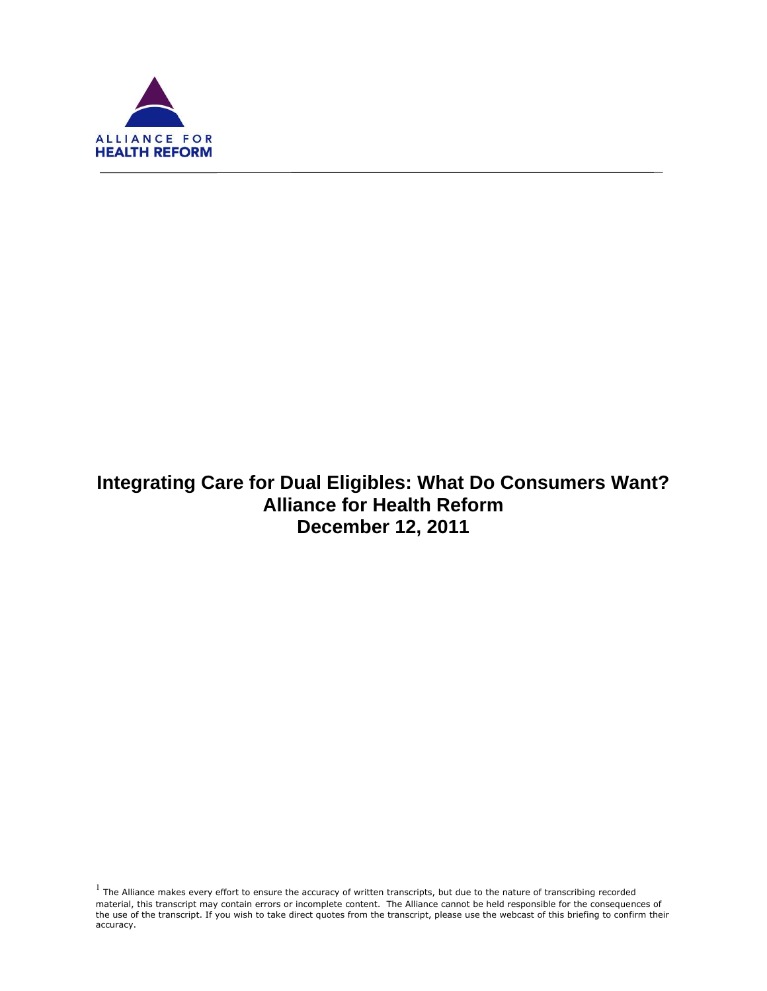

f

# **Integrating Care for Dual Eligibles: What Do Consumers Want? Alliance for Health Reform December 12, 2011**

 $<sup>1</sup>$  The Alliance makes every effort to ensure the accuracy of written transcripts, but due to the nature of transcribing recorded</sup> material, this transcript may contain errors or incomplete content. The Alliance cannot be held responsible for the consequences of the use of the transcript. If you wish to take direct quotes from the transcript, please use the webcast of this briefing to confirm their accuracy.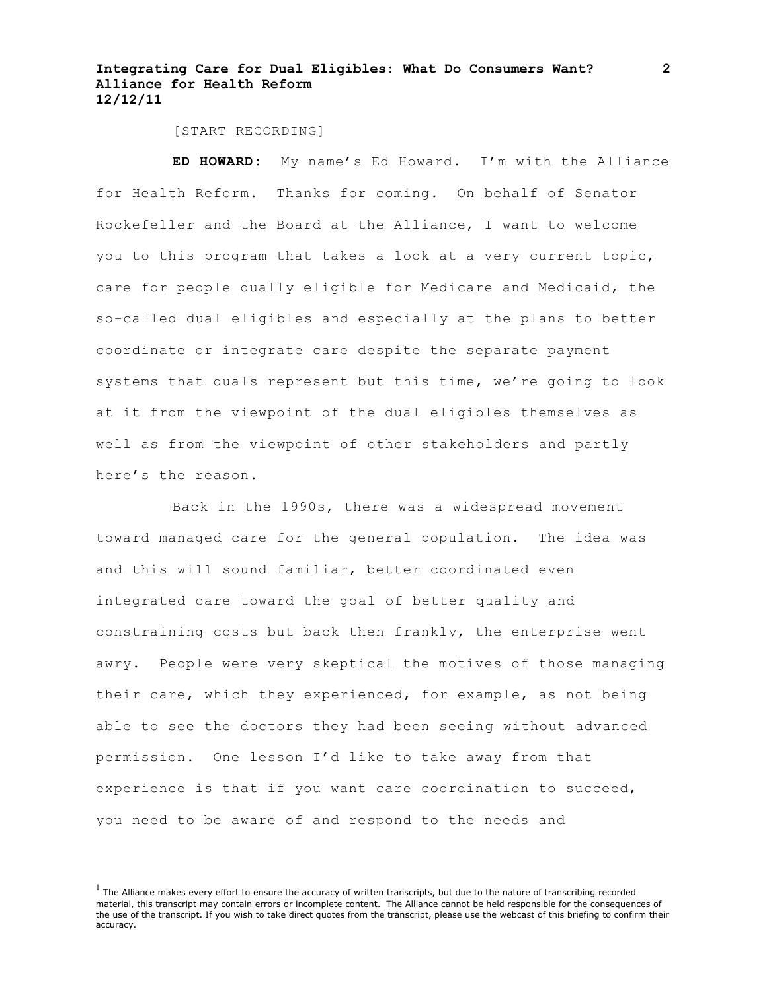[START RECORDING]

**ED HOWARD:** My name's Ed Howard. I'm with the Alliance for Health Reform. Thanks for coming. On behalf of Senator Rockefeller and the Board at the Alliance, I want to welcome you to this program that takes a look at a very current topic, care for people dually eligible for Medicare and Medicaid, the so-called dual eligibles and especially at the plans to better coordinate or integrate care despite the separate payment systems that duals represent but this time, we're going to look at it from the viewpoint of the dual eligibles themselves as well as from the viewpoint of other stakeholders and partly here's the reason.

Back in the 1990s, there was a widespread movement toward managed care for the general population. The idea was and this will sound familiar, better coordinated even integrated care toward the goal of better quality and constraining costs but back then frankly, the enterprise went awry. People were very skeptical the motives of those managing their care, which they experienced, for example, as not being able to see the doctors they had been seeing without advanced permission. One lesson I'd like to take away from that experience is that if you want care coordination to succeed, you need to be aware of and respond to the needs and

 $<sup>1</sup>$  The Alliance makes every effort to ensure the accuracy of written transcripts, but due to the nature of transcribing recorded</sup> material, this transcript may contain errors or incomplete content. The Alliance cannot be held responsible for the consequences of the use of the transcript. If you wish to take direct quotes from the transcript, please use the webcast of this briefing to confirm their accuracy.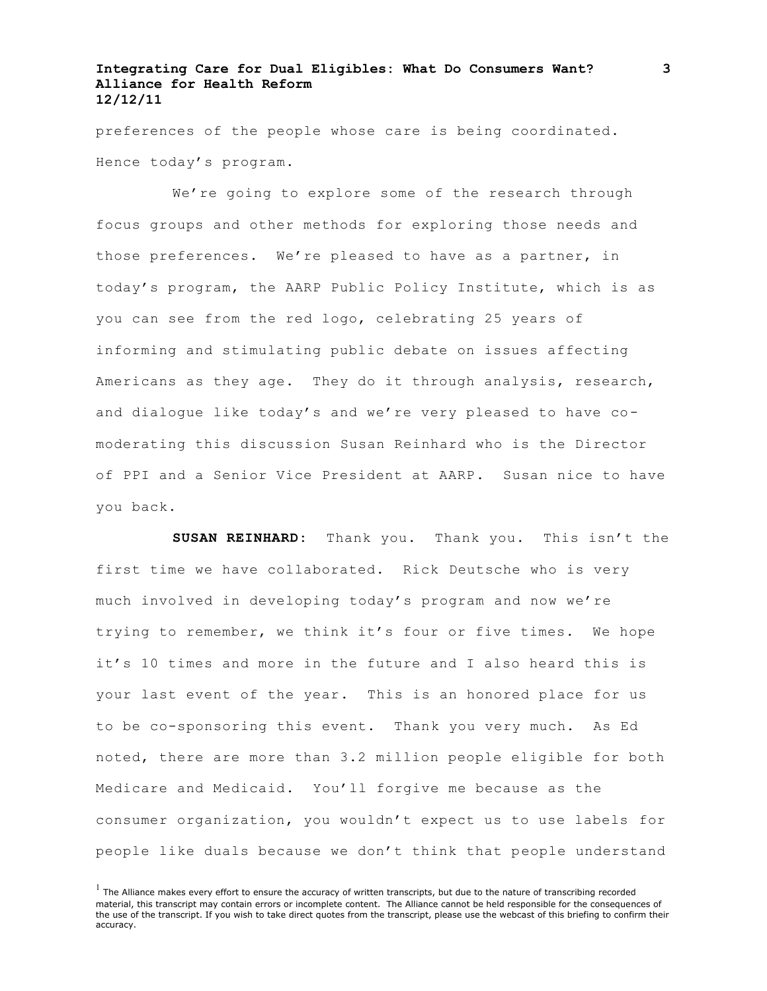preferences of the people whose care is being coordinated. Hence today's program.

We're going to explore some of the research through focus groups and other methods for exploring those needs and those preferences. We're pleased to have as a partner, in today's program, the AARP Public Policy Institute, which is as you can see from the red logo, celebrating 25 years of informing and stimulating public debate on issues affecting Americans as they age. They do it through analysis, research, and dialogue like today's and we're very pleased to have comoderating this discussion Susan Reinhard who is the Director of PPI and a Senior Vice President at AARP. Susan nice to have you back.

**SUSAN REINHARD:** Thank you. Thank you. This isn't the first time we have collaborated. Rick Deutsche who is very much involved in developing today's program and now we're trying to remember, we think it's four or five times. We hope it's 10 times and more in the future and I also heard this is your last event of the year. This is an honored place for us to be co-sponsoring this event. Thank you very much. As Ed noted, there are more than 3.2 million people eligible for both Medicare and Medicaid. You'll forgive me because as the consumer organization, you wouldn't expect us to use labels for people like duals because we don't think that people understand

 $<sup>1</sup>$  The Alliance makes every effort to ensure the accuracy of written transcripts, but due to the nature of transcribing recorded</sup> material, this transcript may contain errors or incomplete content. The Alliance cannot be held responsible for the consequences of the use of the transcript. If you wish to take direct quotes from the transcript, please use the webcast of this briefing to confirm their accuracy.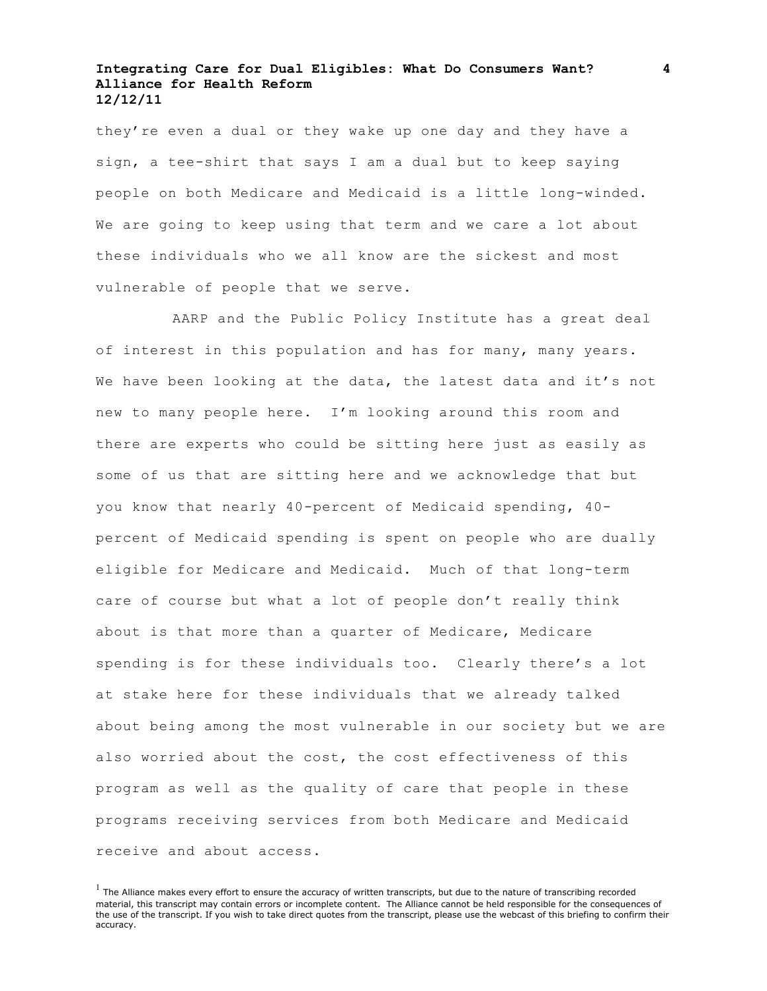they're even a dual or they wake up one day and they have a sign, a tee-shirt that says I am a dual but to keep saying people on both Medicare and Medicaid is a little long-winded. We are going to keep using that term and we care a lot about these individuals who we all know are the sickest and most vulnerable of people that we serve.

AARP and the Public Policy Institute has a great deal of interest in this population and has for many, many years. We have been looking at the data, the latest data and it's not new to many people here. I'm looking around this room and there are experts who could be sitting here just as easily as some of us that are sitting here and we acknowledge that but you know that nearly 40-percent of Medicaid spending, 40 percent of Medicaid spending is spent on people who are dually eligible for Medicare and Medicaid. Much of that long-term care of course but what a lot of people don't really think about is that more than a quarter of Medicare, Medicare spending is for these individuals too. Clearly there's a lot at stake here for these individuals that we already talked about being among the most vulnerable in our society but we are also worried about the cost, the cost effectiveness of this program as well as the quality of care that people in these programs receiving services from both Medicare and Medicaid receive and about access.

 $<sup>1</sup>$  The Alliance makes every effort to ensure the accuracy of written transcripts, but due to the nature of transcribing recorded</sup> material, this transcript may contain errors or incomplete content. The Alliance cannot be held responsible for the consequences of the use of the transcript. If you wish to take direct quotes from the transcript, please use the webcast of this briefing to confirm their accuracy.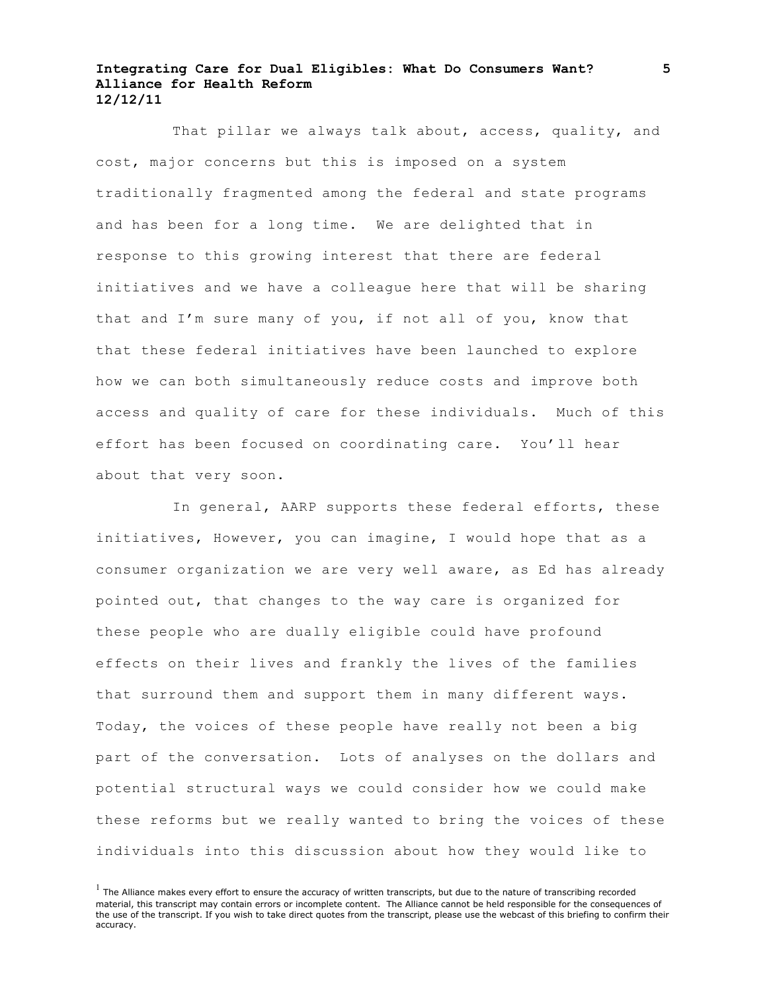That pillar we always talk about, access, quality, and cost, major concerns but this is imposed on a system traditionally fragmented among the federal and state programs and has been for a long time. We are delighted that in response to this growing interest that there are federal initiatives and we have a colleague here that will be sharing that and I'm sure many of you, if not all of you, know that that these federal initiatives have been launched to explore how we can both simultaneously reduce costs and improve both access and quality of care for these individuals. Much of this effort has been focused on coordinating care. You'll hear about that very soon.

In general, AARP supports these federal efforts, these initiatives, However, you can imagine, I would hope that as a consumer organization we are very well aware, as Ed has already pointed out, that changes to the way care is organized for these people who are dually eligible could have profound effects on their lives and frankly the lives of the families that surround them and support them in many different ways. Today, the voices of these people have really not been a big part of the conversation. Lots of analyses on the dollars and potential structural ways we could consider how we could make these reforms but we really wanted to bring the voices of these individuals into this discussion about how they would like to

 $<sup>1</sup>$  The Alliance makes every effort to ensure the accuracy of written transcripts, but due to the nature of transcribing recorded</sup> material, this transcript may contain errors or incomplete content. The Alliance cannot be held responsible for the consequences of the use of the transcript. If you wish to take direct quotes from the transcript, please use the webcast of this briefing to confirm their accuracy.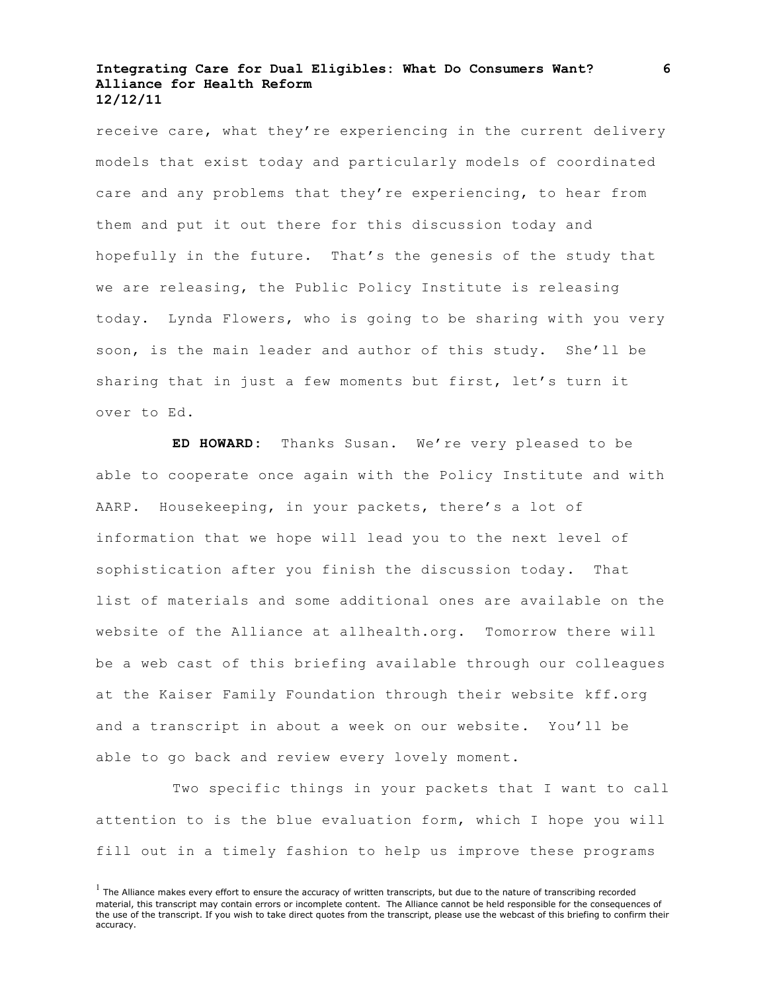receive care, what they're experiencing in the current delivery models that exist today and particularly models of coordinated care and any problems that they're experiencing, to hear from them and put it out there for this discussion today and hopefully in the future. That's the genesis of the study that we are releasing, the Public Policy Institute is releasing today. Lynda Flowers, who is going to be sharing with you very soon, is the main leader and author of this study. She'll be sharing that in just a few moments but first, let's turn it over to Ed.

**ED HOWARD:** Thanks Susan. We're very pleased to be able to cooperate once again with the Policy Institute and with AARP. Housekeeping, in your packets, there's a lot of information that we hope will lead you to the next level of sophistication after you finish the discussion today. That list of materials and some additional ones are available on the website of the Alliance at allhealth.org. Tomorrow there will be a web cast of this briefing available through our colleagues at the Kaiser Family Foundation through their website kff.org and a transcript in about a week on our website. You'll be able to go back and review every lovely moment.

Two specific things in your packets that I want to call attention to is the blue evaluation form, which I hope you will fill out in a timely fashion to help us improve these programs

 $<sup>1</sup>$  The Alliance makes every effort to ensure the accuracy of written transcripts, but due to the nature of transcribing recorded</sup> material, this transcript may contain errors or incomplete content. The Alliance cannot be held responsible for the consequences of the use of the transcript. If you wish to take direct quotes from the transcript, please use the webcast of this briefing to confirm their accuracy.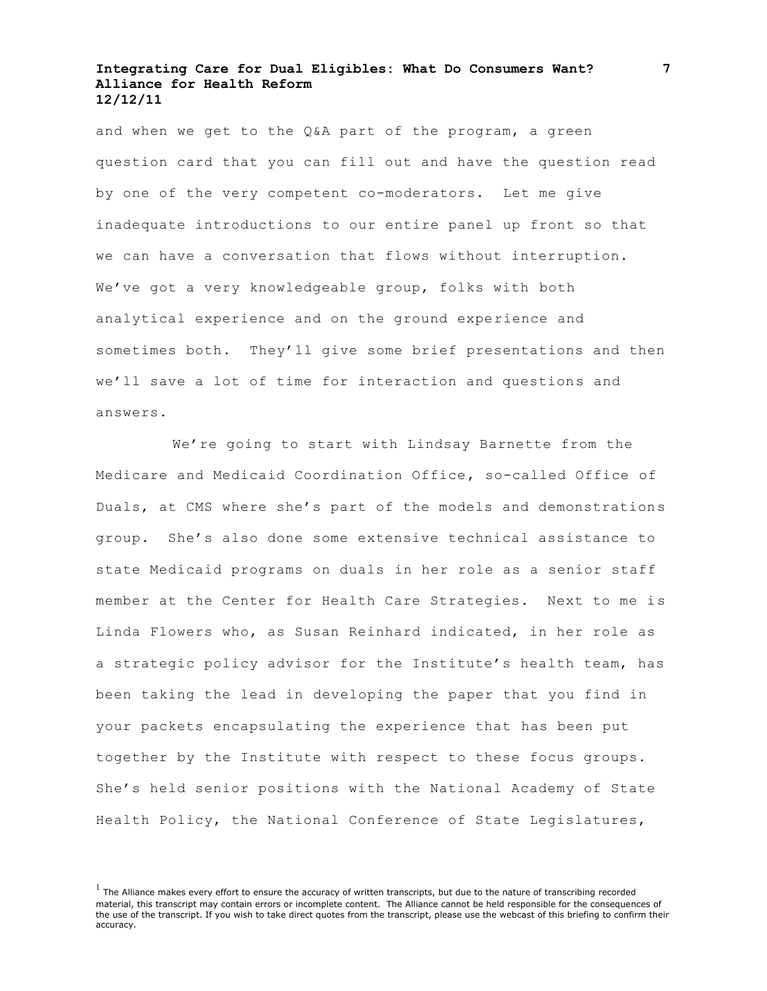and when we get to the Q&A part of the program, a green question card that you can fill out and have the question read by one of the very competent co-moderators. Let me give inadequate introductions to our entire panel up front so that we can have a conversation that flows without interruption. We've got a very knowledgeable group, folks with both analytical experience and on the ground experience and sometimes both. They'll give some brief presentations and then we'll save a lot of time for interaction and questions and answers.

We're going to start with Lindsay Barnette from the Medicare and Medicaid Coordination Office, so-called Office of Duals, at CMS where she's part of the models and demonstrations group. She's also done some extensive technical assistance to state Medicaid programs on duals in her role as a senior staff member at the Center for Health Care Strategies. Next to me is Linda Flowers who, as Susan Reinhard indicated, in her role as a strategic policy advisor for the Institute's health team, has been taking the lead in developing the paper that you find in your packets encapsulating the experience that has been put together by the Institute with respect to these focus groups. She's held senior positions with the National Academy of State Health Policy, the National Conference of State Legislatures,

 $<sup>1</sup>$  The Alliance makes every effort to ensure the accuracy of written transcripts, but due to the nature of transcribing recorded</sup> material, this transcript may contain errors or incomplete content. The Alliance cannot be held responsible for the consequences of the use of the transcript. If you wish to take direct quotes from the transcript, please use the webcast of this briefing to confirm their accuracy.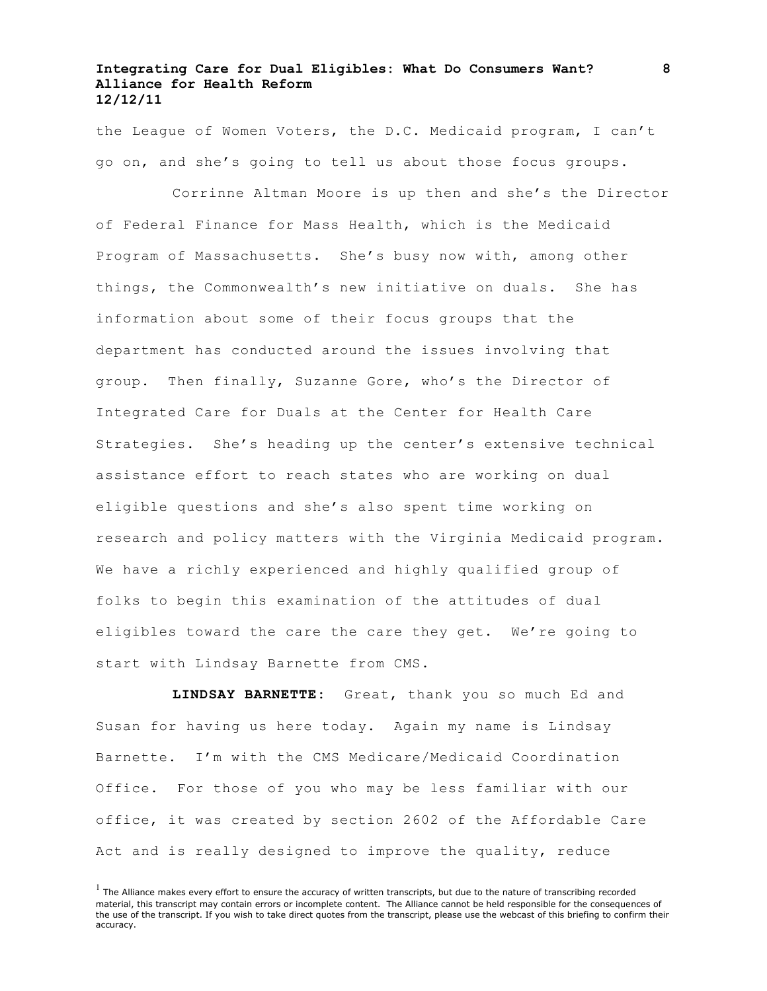the League of Women Voters, the D.C. Medicaid program, I can't go on, and she's going to tell us about those focus groups.

Corrinne Altman Moore is up then and she's the Director of Federal Finance for Mass Health, which is the Medicaid Program of Massachusetts. She's busy now with, among other things, the Commonwealth's new initiative on duals. She has information about some of their focus groups that the department has conducted around the issues involving that group. Then finally, Suzanne Gore, who's the Director of Integrated Care for Duals at the Center for Health Care Strategies. She's heading up the center's extensive technical assistance effort to reach states who are working on dual eligible questions and she's also spent time working on research and policy matters with the Virginia Medicaid program. We have a richly experienced and highly qualified group of folks to begin this examination of the attitudes of dual eligibles toward the care the care they get. We're going to start with Lindsay Barnette from CMS.

**LINDSAY BARNETTE:** Great, thank you so much Ed and Susan for having us here today. Again my name is Lindsay Barnette. I'm with the CMS Medicare/Medicaid Coordination Office. For those of you who may be less familiar with our office, it was created by section 2602 of the Affordable Care Act and is really designed to improve the quality, reduce

 $<sup>1</sup>$  The Alliance makes every effort to ensure the accuracy of written transcripts, but due to the nature of transcribing recorded</sup> material, this transcript may contain errors or incomplete content. The Alliance cannot be held responsible for the consequences of the use of the transcript. If you wish to take direct quotes from the transcript, please use the webcast of this briefing to confirm their accuracy.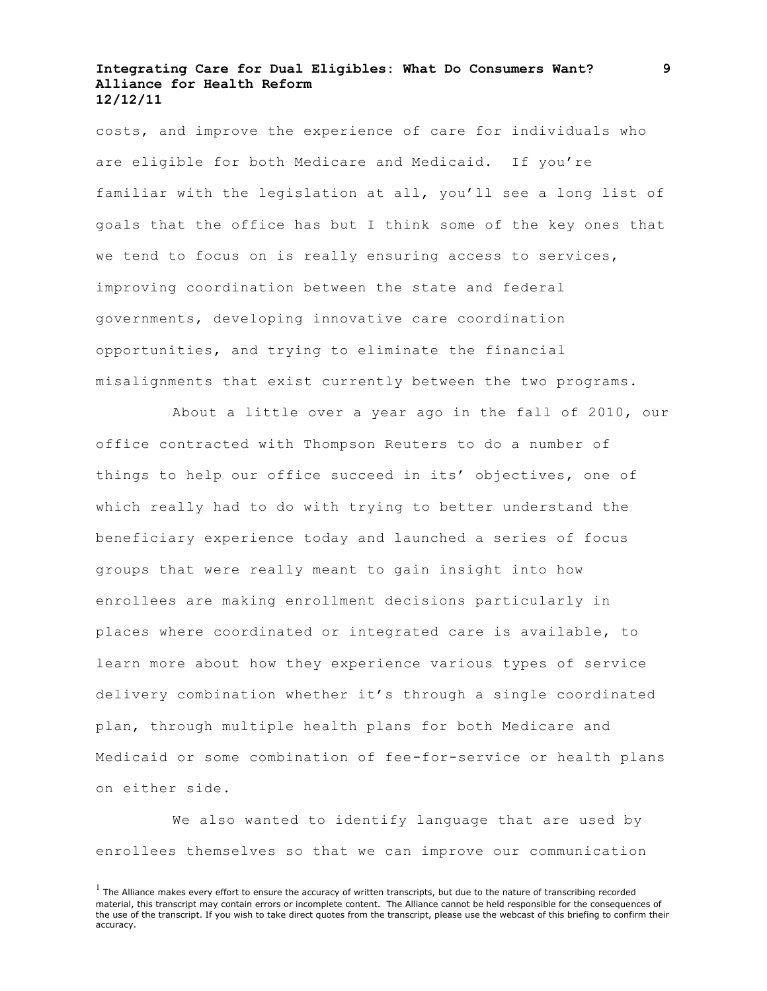costs, and improve the experience of care for individuals who are eligible for both Medicare and Medicaid. If you're familiar with the legislation at all, you'll see a long list of goals that the office has but I think some of the key ones that we tend to focus on is really ensuring access to services, improving coordination between the state and federal governments, developing innovative care coordination opportunities, and trying to eliminate the financial misalignments that exist currently between the two programs.

About a little over a year ago in the fall of 2010, our office contracted with Thompson Reuters to do a number of things to help our office succeed in its' objectives, one of which really had to do with trying to better understand the beneficiary experience today and launched a series of focus groups that were really meant to gain insight into how enrollees are making enrollment decisions particularly in places where coordinated or integrated care is available, to learn more about how they experience various types of service delivery combination whether it's through a single coordinated plan, through multiple health plans for both Medicare and Medicaid or some combination of fee-for-service or health plans on either side.

We also wanted to identify language that are used by enrollees themselves so that we can improve our communication

 $<sup>1</sup>$  The Alliance makes every effort to ensure the accuracy of written transcripts, but due to the nature of transcribing recorded</sup> material, this transcript may contain errors or incomplete content. The Alliance cannot be held responsible for the consequences of the use of the transcript. If you wish to take direct quotes from the transcript, please use the webcast of this briefing to confirm their accuracy.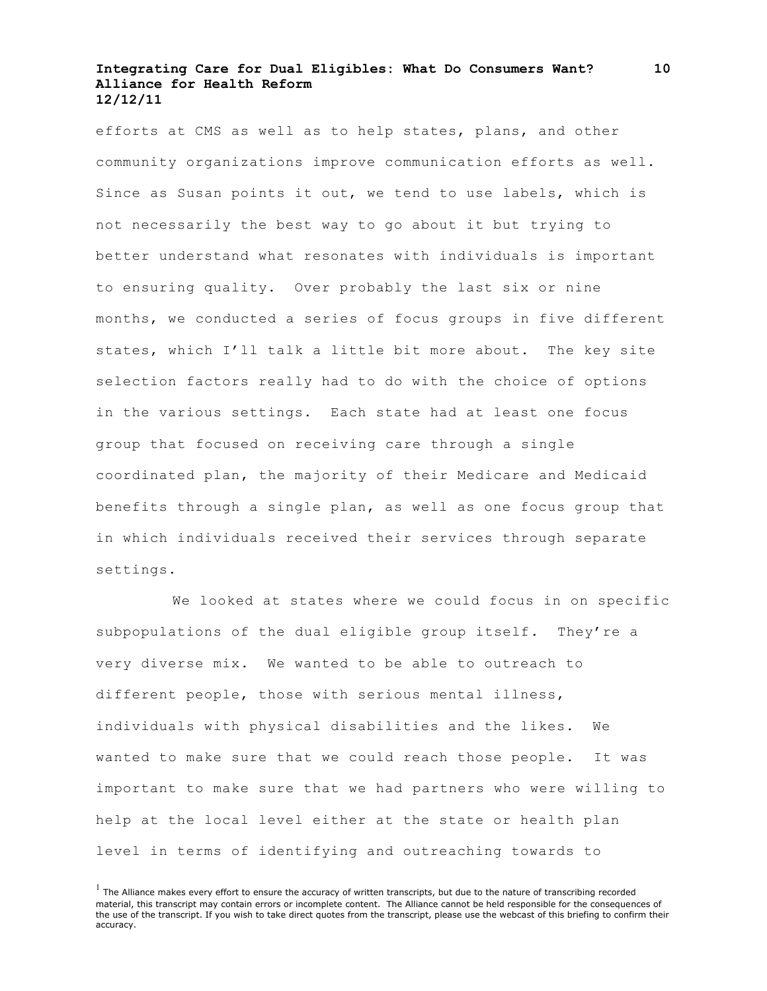efforts at CMS as well as to help states, plans, and other community organizations improve communication efforts as well. Since as Susan points it out, we tend to use labels, which is not necessarily the best way to go about it but trying to better understand what resonates with individuals is important to ensuring quality. Over probably the last six or nine months, we conducted a series of focus groups in five different states, which I'll talk a little bit more about. The key site selection factors really had to do with the choice of options in the various settings. Each state had at least one focus group that focused on receiving care through a single coordinated plan, the majority of their Medicare and Medicaid benefits through a single plan, as well as one focus group that in which individuals received their services through separate settings.

We looked at states where we could focus in on specific subpopulations of the dual eligible group itself. They're a very diverse mix. We wanted to be able to outreach to different people, those with serious mental illness, individuals with physical disabilities and the likes. We wanted to make sure that we could reach those people. It was important to make sure that we had partners who were willing to help at the local level either at the state or health plan level in terms of identifying and outreaching towards to

 $<sup>1</sup>$  The Alliance makes every effort to ensure the accuracy of written transcripts, but due to the nature of transcribing recorded</sup> material, this transcript may contain errors or incomplete content. The Alliance cannot be held responsible for the consequences of the use of the transcript. If you wish to take direct quotes from the transcript, please use the webcast of this briefing to confirm their accuracy.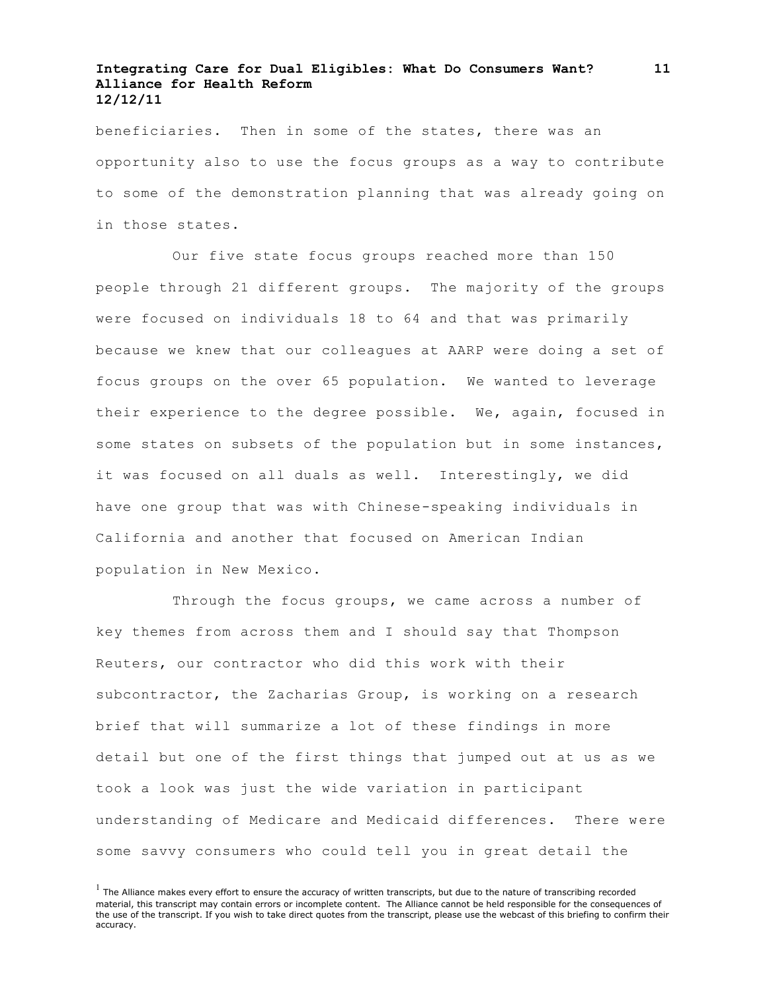beneficiaries. Then in some of the states, there was an opportunity also to use the focus groups as a way to contribute to some of the demonstration planning that was already going on in those states.

Our five state focus groups reached more than 150 people through 21 different groups. The majority of the groups were focused on individuals 18 to 64 and that was primarily because we knew that our colleagues at AARP were doing a set of focus groups on the over 65 population. We wanted to leverage their experience to the degree possible. We, again, focused in some states on subsets of the population but in some instances, it was focused on all duals as well. Interestingly, we did have one group that was with Chinese-speaking individuals in California and another that focused on American Indian population in New Mexico.

Through the focus groups, we came across a number of key themes from across them and I should say that Thompson Reuters, our contractor who did this work with their subcontractor, the Zacharias Group, is working on a research brief that will summarize a lot of these findings in more detail but one of the first things that jumped out at us as we took a look was just the wide variation in participant understanding of Medicare and Medicaid differences. There were some savvy consumers who could tell you in great detail the

 $<sup>1</sup>$  The Alliance makes every effort to ensure the accuracy of written transcripts, but due to the nature of transcribing recorded</sup> material, this transcript may contain errors or incomplete content. The Alliance cannot be held responsible for the consequences of the use of the transcript. If you wish to take direct quotes from the transcript, please use the webcast of this briefing to confirm their accuracy.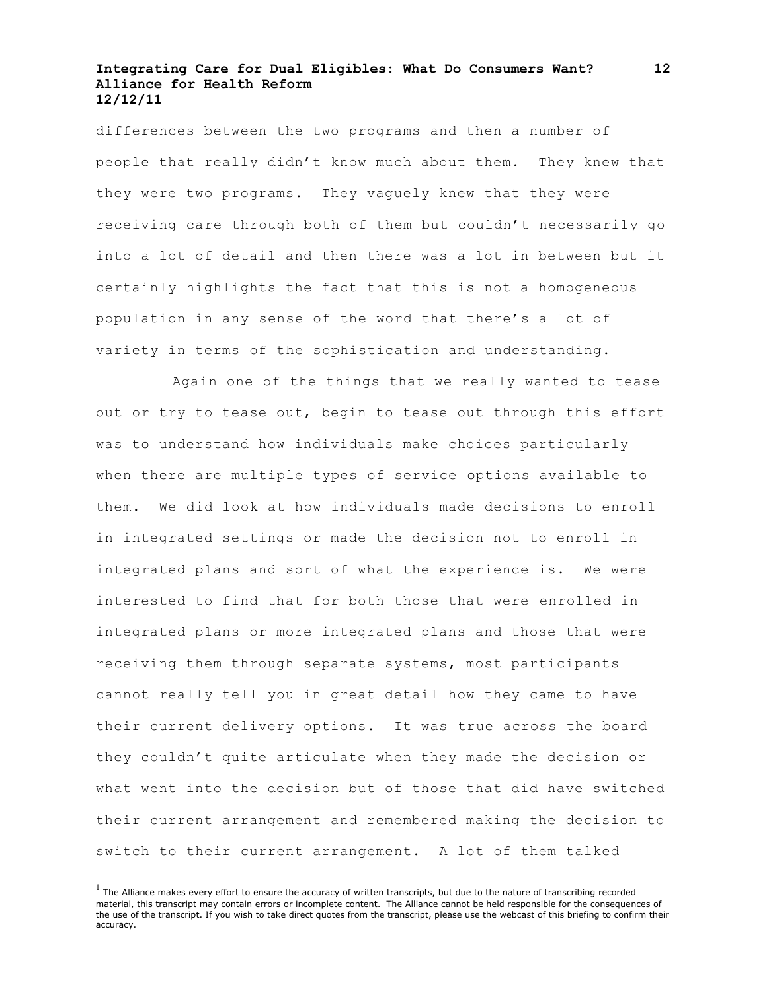differences between the two programs and then a number of people that really didn't know much about them. They knew that they were two programs. They vaguely knew that they were receiving care through both of them but couldn't necessarily go into a lot of detail and then there was a lot in between but it certainly highlights the fact that this is not a homogeneous population in any sense of the word that there's a lot of variety in terms of the sophistication and understanding.

Again one of the things that we really wanted to tease out or try to tease out, begin to tease out through this effort was to understand how individuals make choices particularly when there are multiple types of service options available to them. We did look at how individuals made decisions to enroll in integrated settings or made the decision not to enroll in integrated plans and sort of what the experience is. We were interested to find that for both those that were enrolled in integrated plans or more integrated plans and those that were receiving them through separate systems, most participants cannot really tell you in great detail how they came to have their current delivery options. It was true across the board they couldn't quite articulate when they made the decision or what went into the decision but of those that did have switched their current arrangement and remembered making the decision to switch to their current arrangement. A lot of them talked

 $<sup>1</sup>$  The Alliance makes every effort to ensure the accuracy of written transcripts, but due to the nature of transcribing recorded</sup> material, this transcript may contain errors or incomplete content. The Alliance cannot be held responsible for the consequences of the use of the transcript. If you wish to take direct quotes from the transcript, please use the webcast of this briefing to confirm their accuracy.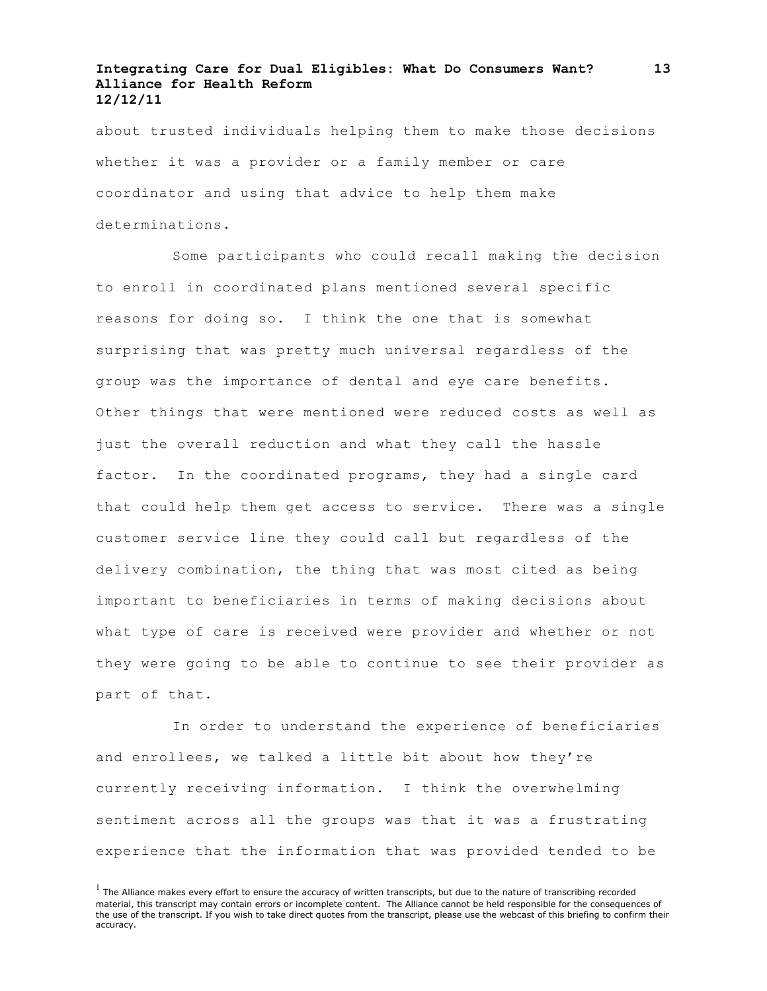about trusted individuals helping them to make those decisions whether it was a provider or a family member or care coordinator and using that advice to help them make determinations.

Some participants who could recall making the decision to enroll in coordinated plans mentioned several specific reasons for doing so. I think the one that is somewhat surprising that was pretty much universal regardless of the group was the importance of dental and eye care benefits. Other things that were mentioned were reduced costs as well as just the overall reduction and what they call the hassle factor. In the coordinated programs, they had a single card that could help them get access to service. There was a single customer service line they could call but regardless of the delivery combination, the thing that was most cited as being important to beneficiaries in terms of making decisions about what type of care is received were provider and whether or not they were going to be able to continue to see their provider as part of that.

In order to understand the experience of beneficiaries and enrollees, we talked a little bit about how they're currently receiving information. I think the overwhelming sentiment across all the groups was that it was a frustrating experience that the information that was provided tended to be

 $<sup>1</sup>$  The Alliance makes every effort to ensure the accuracy of written transcripts, but due to the nature of transcribing recorded</sup> material, this transcript may contain errors or incomplete content. The Alliance cannot be held responsible for the consequences of the use of the transcript. If you wish to take direct quotes from the transcript, please use the webcast of this briefing to confirm their accuracy.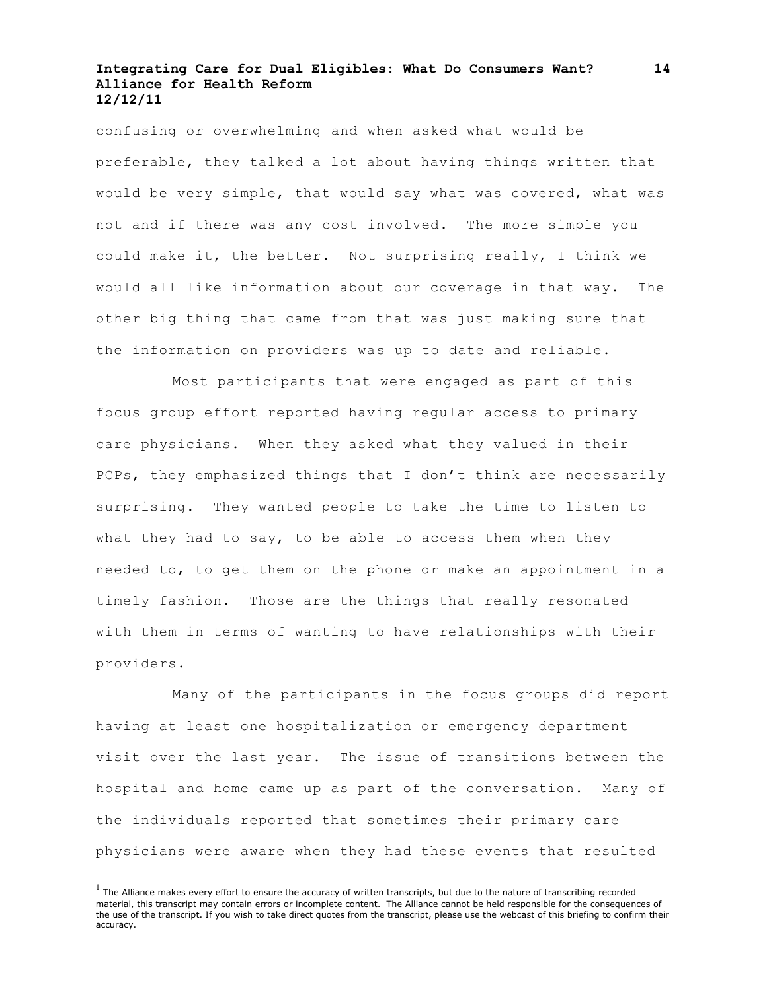confusing or overwhelming and when asked what would be preferable, they talked a lot about having things written that would be very simple, that would say what was covered, what was not and if there was any cost involved. The more simple you could make it, the better. Not surprising really, I think we would all like information about our coverage in that way. The other big thing that came from that was just making sure that the information on providers was up to date and reliable.

Most participants that were engaged as part of this focus group effort reported having regular access to primary care physicians. When they asked what they valued in their PCPs, they emphasized things that I don't think are necessarily surprising. They wanted people to take the time to listen to what they had to say, to be able to access them when they needed to, to get them on the phone or make an appointment in a timely fashion. Those are the things that really resonated with them in terms of wanting to have relationships with their providers.

Many of the participants in the focus groups did report having at least one hospitalization or emergency department visit over the last year. The issue of transitions between the hospital and home came up as part of the conversation. Many of the individuals reported that sometimes their primary care physicians were aware when they had these events that resulted

 $<sup>1</sup>$  The Alliance makes every effort to ensure the accuracy of written transcripts, but due to the nature of transcribing recorded</sup> material, this transcript may contain errors or incomplete content. The Alliance cannot be held responsible for the consequences of the use of the transcript. If you wish to take direct quotes from the transcript, please use the webcast of this briefing to confirm their accuracy.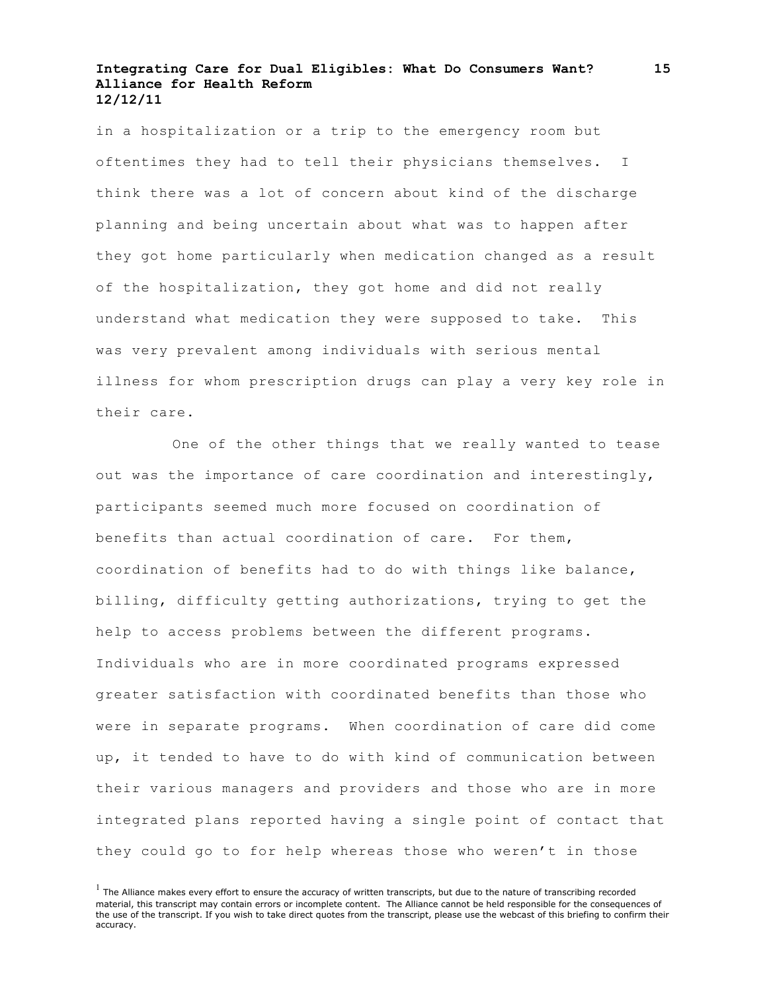in a hospitalization or a trip to the emergency room but oftentimes they had to tell their physicians themselves. I think there was a lot of concern about kind of the discharge planning and being uncertain about what was to happen after they got home particularly when medication changed as a result of the hospitalization, they got home and did not really understand what medication they were supposed to take. This was very prevalent among individuals with serious mental illness for whom prescription drugs can play a very key role in their care.

One of the other things that we really wanted to tease out was the importance of care coordination and interestingly, participants seemed much more focused on coordination of benefits than actual coordination of care. For them, coordination of benefits had to do with things like balance, billing, difficulty getting authorizations, trying to get the help to access problems between the different programs. Individuals who are in more coordinated programs expressed greater satisfaction with coordinated benefits than those who were in separate programs. When coordination of care did come up, it tended to have to do with kind of communication between their various managers and providers and those who are in more integrated plans reported having a single point of contact that they could go to for help whereas those who weren't in those

**15**

 $<sup>1</sup>$  The Alliance makes every effort to ensure the accuracy of written transcripts, but due to the nature of transcribing recorded</sup> material, this transcript may contain errors or incomplete content. The Alliance cannot be held responsible for the consequences of the use of the transcript. If you wish to take direct quotes from the transcript, please use the webcast of this briefing to confirm their accuracy.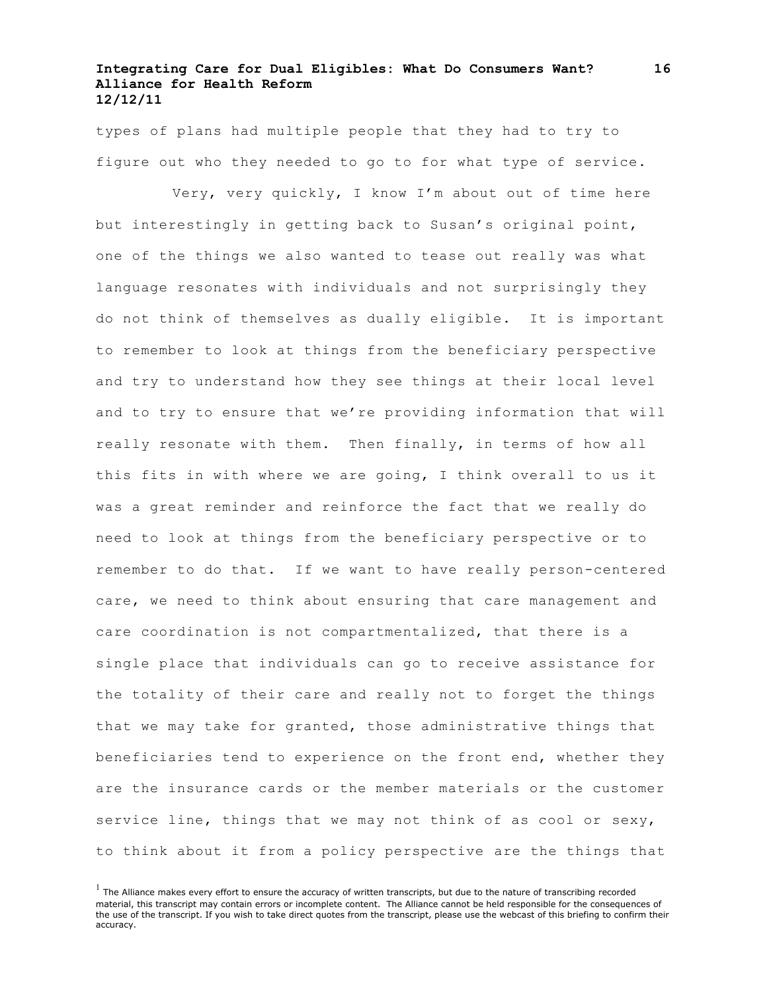types of plans had multiple people that they had to try to figure out who they needed to go to for what type of service.

Very, very quickly, I know I'm about out of time here but interestingly in getting back to Susan's original point, one of the things we also wanted to tease out really was what language resonates with individuals and not surprisingly they do not think of themselves as dually eligible. It is important to remember to look at things from the beneficiary perspective and try to understand how they see things at their local level and to try to ensure that we're providing information that will really resonate with them. Then finally, in terms of how all this fits in with where we are going, I think overall to us it was a great reminder and reinforce the fact that we really do need to look at things from the beneficiary perspective or to remember to do that. If we want to have really person-centered care, we need to think about ensuring that care management and care coordination is not compartmentalized, that there is a single place that individuals can go to receive assistance for the totality of their care and really not to forget the things that we may take for granted, those administrative things that beneficiaries tend to experience on the front end, whether they are the insurance cards or the member materials or the customer service line, things that we may not think of as cool or sexy, to think about it from a policy perspective are the things that

 $<sup>1</sup>$  The Alliance makes every effort to ensure the accuracy of written transcripts, but due to the nature of transcribing recorded</sup> material, this transcript may contain errors or incomplete content. The Alliance cannot be held responsible for the consequences of the use of the transcript. If you wish to take direct quotes from the transcript, please use the webcast of this briefing to confirm their accuracy.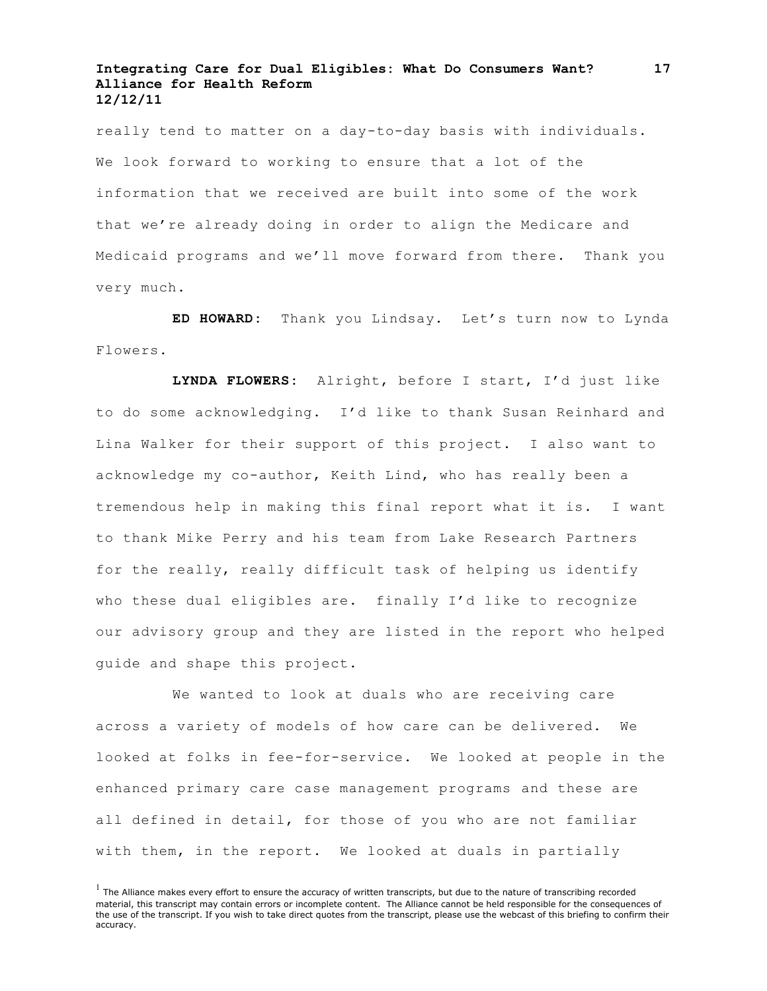really tend to matter on a day-to-day basis with individuals. We look forward to working to ensure that a lot of the information that we received are built into some of the work that we're already doing in order to align the Medicare and Medicaid programs and we'll move forward from there. Thank you very much.

**ED HOWARD:** Thank you Lindsay. Let's turn now to Lynda Flowers.

**LYNDA FLOWERS:** Alright, before I start, I'd just like to do some acknowledging. I'd like to thank Susan Reinhard and Lina Walker for their support of this project. I also want to acknowledge my co-author, Keith Lind, who has really been a tremendous help in making this final report what it is. I want to thank Mike Perry and his team from Lake Research Partners for the really, really difficult task of helping us identify who these dual eligibles are. finally I'd like to recognize our advisory group and they are listed in the report who helped guide and shape this project.

We wanted to look at duals who are receiving care across a variety of models of how care can be delivered. We looked at folks in fee-for-service. We looked at people in the enhanced primary care case management programs and these are all defined in detail, for those of you who are not familiar with them, in the report. We looked at duals in partially

 $<sup>1</sup>$  The Alliance makes every effort to ensure the accuracy of written transcripts, but due to the nature of transcribing recorded</sup> material, this transcript may contain errors or incomplete content. The Alliance cannot be held responsible for the consequences of the use of the transcript. If you wish to take direct quotes from the transcript, please use the webcast of this briefing to confirm their accuracy.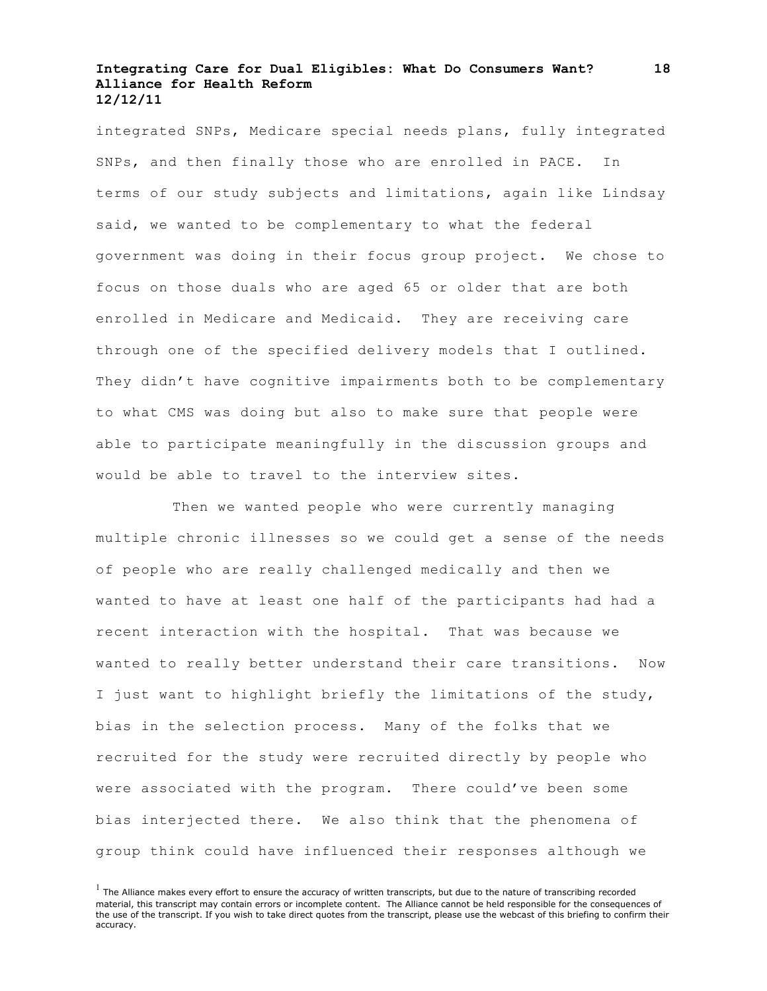integrated SNPs, Medicare special needs plans, fully integrated SNPs, and then finally those who are enrolled in PACE. In terms of our study subjects and limitations, again like Lindsay said, we wanted to be complementary to what the federal government was doing in their focus group project. We chose to focus on those duals who are aged 65 or older that are both enrolled in Medicare and Medicaid. They are receiving care through one of the specified delivery models that I outlined. They didn't have cognitive impairments both to be complementary to what CMS was doing but also to make sure that people were able to participate meaningfully in the discussion groups and would be able to travel to the interview sites.

Then we wanted people who were currently managing multiple chronic illnesses so we could get a sense of the needs of people who are really challenged medically and then we wanted to have at least one half of the participants had had a recent interaction with the hospital. That was because we wanted to really better understand their care transitions. Now I just want to highlight briefly the limitations of the study, bias in the selection process. Many of the folks that we recruited for the study were recruited directly by people who were associated with the program. There could've been some bias interjected there. We also think that the phenomena of group think could have influenced their responses although we

 $<sup>1</sup>$  The Alliance makes every effort to ensure the accuracy of written transcripts, but due to the nature of transcribing recorded</sup> material, this transcript may contain errors or incomplete content. The Alliance cannot be held responsible for the consequences of the use of the transcript. If you wish to take direct quotes from the transcript, please use the webcast of this briefing to confirm their accuracy.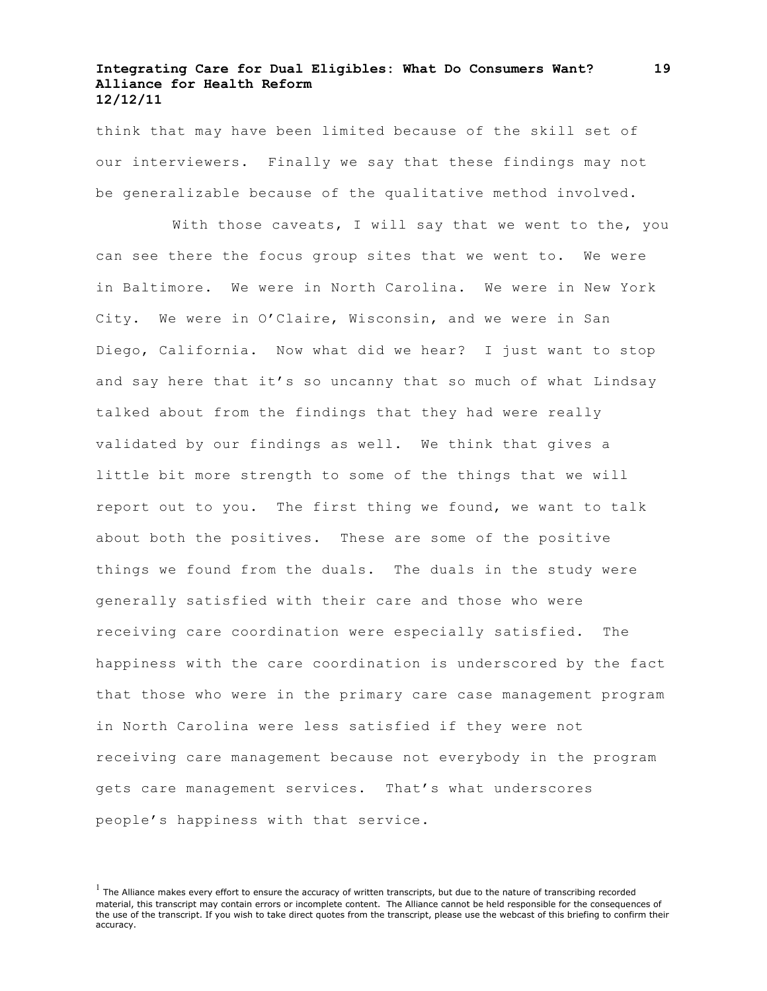think that may have been limited because of the skill set of our interviewers. Finally we say that these findings may not be generalizable because of the qualitative method involved.

With those caveats, I will say that we went to the, you can see there the focus group sites that we went to. We were in Baltimore. We were in North Carolina. We were in New York City. We were in O'Claire, Wisconsin, and we were in San Diego, California. Now what did we hear? I just want to stop and say here that it's so uncanny that so much of what Lindsay talked about from the findings that they had were really validated by our findings as well. We think that gives a little bit more strength to some of the things that we will report out to you. The first thing we found, we want to talk about both the positives. These are some of the positive things we found from the duals. The duals in the study were generally satisfied with their care and those who were receiving care coordination were especially satisfied. The happiness with the care coordination is underscored by the fact that those who were in the primary care case management program in North Carolina were less satisfied if they were not receiving care management because not everybody in the program gets care management services. That's what underscores people's happiness with that service.

 $<sup>1</sup>$  The Alliance makes every effort to ensure the accuracy of written transcripts, but due to the nature of transcribing recorded</sup> material, this transcript may contain errors or incomplete content. The Alliance cannot be held responsible for the consequences of the use of the transcript. If you wish to take direct quotes from the transcript, please use the webcast of this briefing to confirm their accuracy.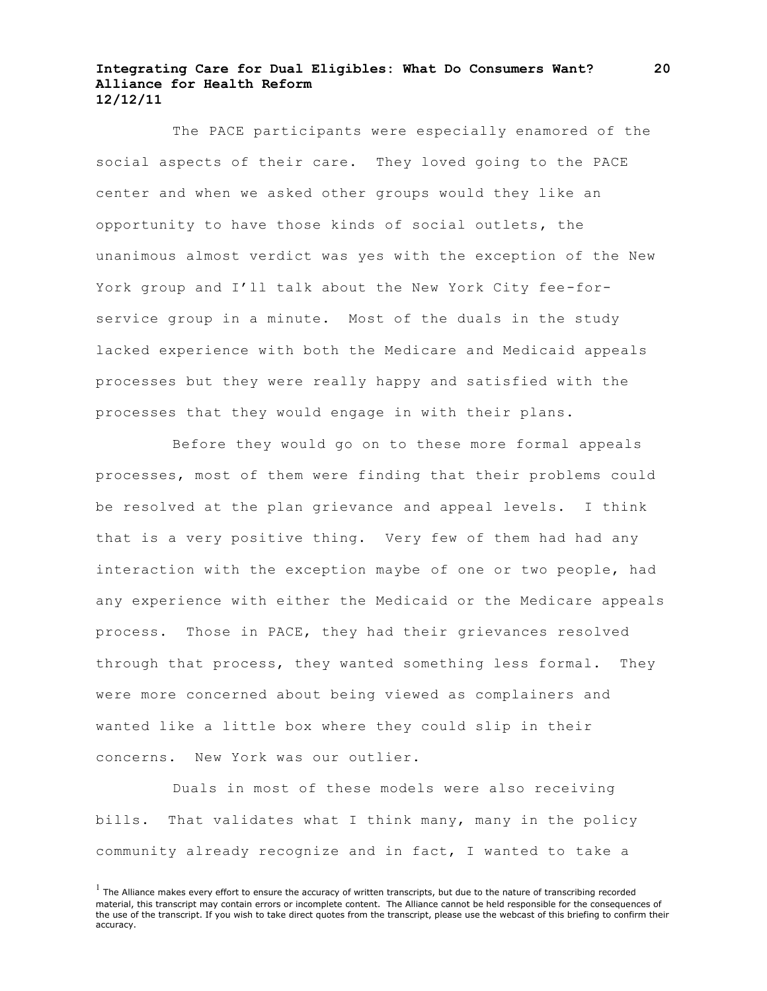The PACE participants were especially enamored of the social aspects of their care. They loved going to the PACE center and when we asked other groups would they like an opportunity to have those kinds of social outlets, the unanimous almost verdict was yes with the exception of the New York group and I'll talk about the New York City fee-forservice group in a minute. Most of the duals in the study lacked experience with both the Medicare and Medicaid appeals processes but they were really happy and satisfied with the processes that they would engage in with their plans.

Before they would go on to these more formal appeals processes, most of them were finding that their problems could be resolved at the plan grievance and appeal levels. I think that is a very positive thing. Very few of them had had any interaction with the exception maybe of one or two people, had any experience with either the Medicaid or the Medicare appeals process. Those in PACE, they had their grievances resolved through that process, they wanted something less formal. They were more concerned about being viewed as complainers and wanted like a little box where they could slip in their concerns. New York was our outlier.

Duals in most of these models were also receiving bills. That validates what I think many, many in the policy community already recognize and in fact, I wanted to take a

 $<sup>1</sup>$  The Alliance makes every effort to ensure the accuracy of written transcripts, but due to the nature of transcribing recorded</sup> material, this transcript may contain errors or incomplete content. The Alliance cannot be held responsible for the consequences of the use of the transcript. If you wish to take direct quotes from the transcript, please use the webcast of this briefing to confirm their accuracy.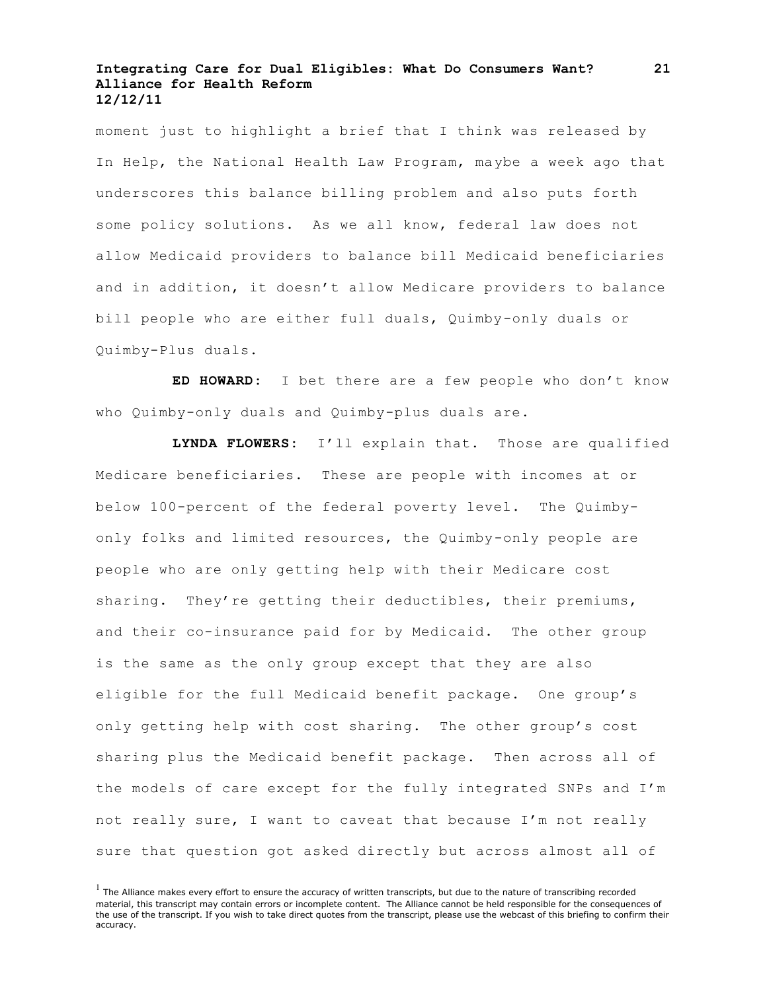moment just to highlight a brief that I think was released by In Help, the National Health Law Program, maybe a week ago that underscores this balance billing problem and also puts forth some policy solutions. As we all know, federal law does not allow Medicaid providers to balance bill Medicaid beneficiaries and in addition, it doesn't allow Medicare providers to balance bill people who are either full duals, Quimby-only duals or Quimby-Plus duals.

**ED HOWARD:** I bet there are a few people who don't know who Quimby-only duals and Quimby-plus duals are.

**LYNDA FLOWERS:** I'll explain that. Those are qualified Medicare beneficiaries. These are people with incomes at or below 100-percent of the federal poverty level. The Quimbyonly folks and limited resources, the Quimby-only people are people who are only getting help with their Medicare cost sharing. They're getting their deductibles, their premiums, and their co-insurance paid for by Medicaid. The other group is the same as the only group except that they are also eligible for the full Medicaid benefit package. One group's only getting help with cost sharing. The other group's cost sharing plus the Medicaid benefit package. Then across all of the models of care except for the fully integrated SNPs and I'm not really sure, I want to caveat that because I'm not really sure that question got asked directly but across almost all of

**21**

 $<sup>1</sup>$  The Alliance makes every effort to ensure the accuracy of written transcripts, but due to the nature of transcribing recorded</sup> material, this transcript may contain errors or incomplete content. The Alliance cannot be held responsible for the consequences of the use of the transcript. If you wish to take direct quotes from the transcript, please use the webcast of this briefing to confirm their accuracy.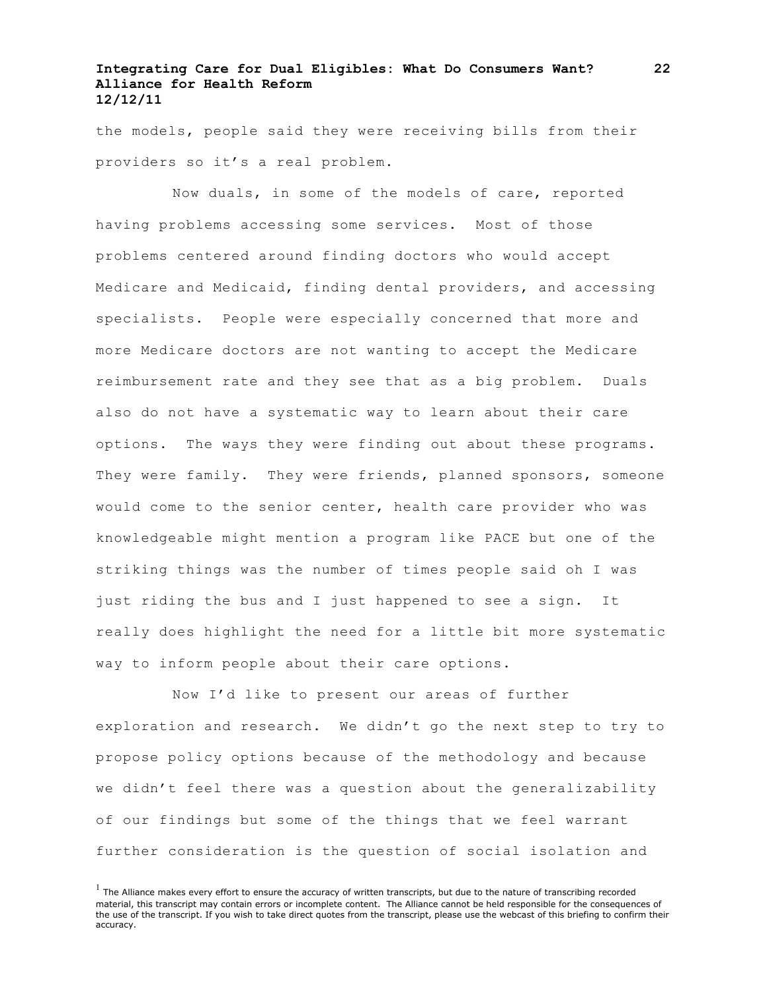the models, people said they were receiving bills from their providers so it's a real problem.

Now duals, in some of the models of care, reported having problems accessing some services. Most of those problems centered around finding doctors who would accept Medicare and Medicaid, finding dental providers, and accessing specialists. People were especially concerned that more and more Medicare doctors are not wanting to accept the Medicare reimbursement rate and they see that as a big problem. Duals also do not have a systematic way to learn about their care options. The ways they were finding out about these programs. They were family. They were friends, planned sponsors, someone would come to the senior center, health care provider who was knowledgeable might mention a program like PACE but one of the striking things was the number of times people said oh I was just riding the bus and I just happened to see a sign. It really does highlight the need for a little bit more systematic way to inform people about their care options.

Now I'd like to present our areas of further exploration and research. We didn't go the next step to try to propose policy options because of the methodology and because we didn't feel there was a question about the generalizability of our findings but some of the things that we feel warrant further consideration is the question of social isolation and

 $<sup>1</sup>$  The Alliance makes every effort to ensure the accuracy of written transcripts, but due to the nature of transcribing recorded</sup> material, this transcript may contain errors or incomplete content. The Alliance cannot be held responsible for the consequences of the use of the transcript. If you wish to take direct quotes from the transcript, please use the webcast of this briefing to confirm their accuracy.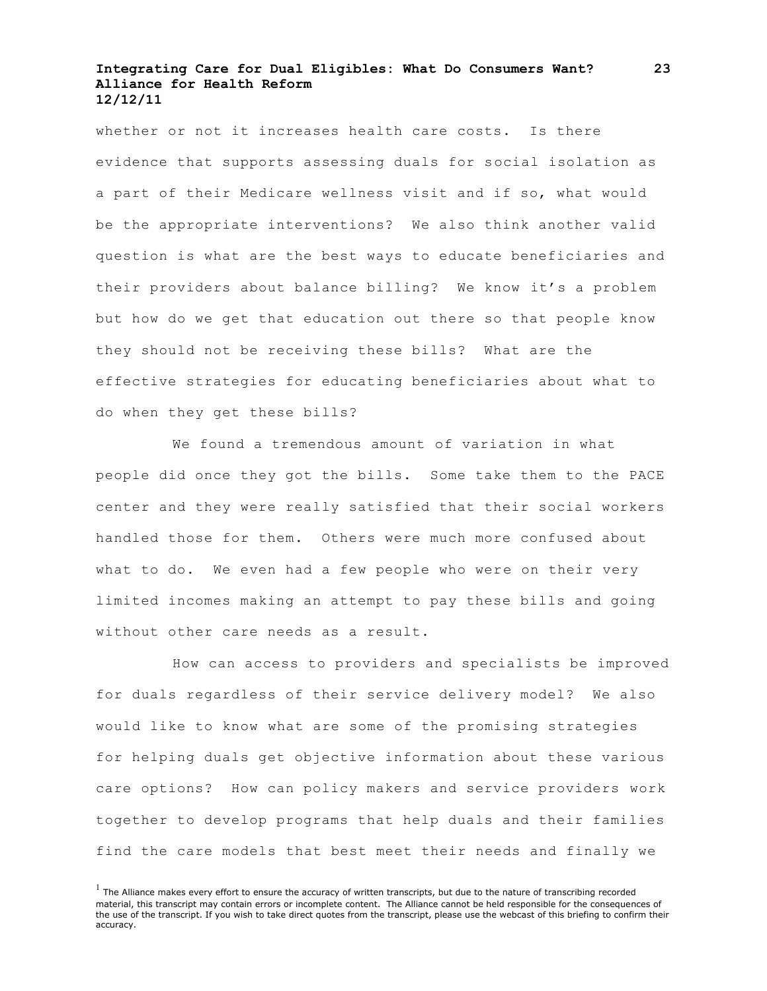whether or not it increases health care costs. Is there evidence that supports assessing duals for social isolation as a part of their Medicare wellness visit and if so, what would be the appropriate interventions? We also think another valid question is what are the best ways to educate beneficiaries and their providers about balance billing? We know it's a problem but how do we get that education out there so that people know they should not be receiving these bills? What are the effective strategies for educating beneficiaries about what to do when they get these bills?

We found a tremendous amount of variation in what people did once they got the bills. Some take them to the PACE center and they were really satisfied that their social workers handled those for them. Others were much more confused about what to do. We even had a few people who were on their very limited incomes making an attempt to pay these bills and going without other care needs as a result.

How can access to providers and specialists be improved for duals regardless of their service delivery model? We also would like to know what are some of the promising strategies for helping duals get objective information about these various care options? How can policy makers and service providers work together to develop programs that help duals and their families find the care models that best meet their needs and finally we

 $<sup>1</sup>$  The Alliance makes every effort to ensure the accuracy of written transcripts, but due to the nature of transcribing recorded</sup> material, this transcript may contain errors or incomplete content. The Alliance cannot be held responsible for the consequences of the use of the transcript. If you wish to take direct quotes from the transcript, please use the webcast of this briefing to confirm their accuracy.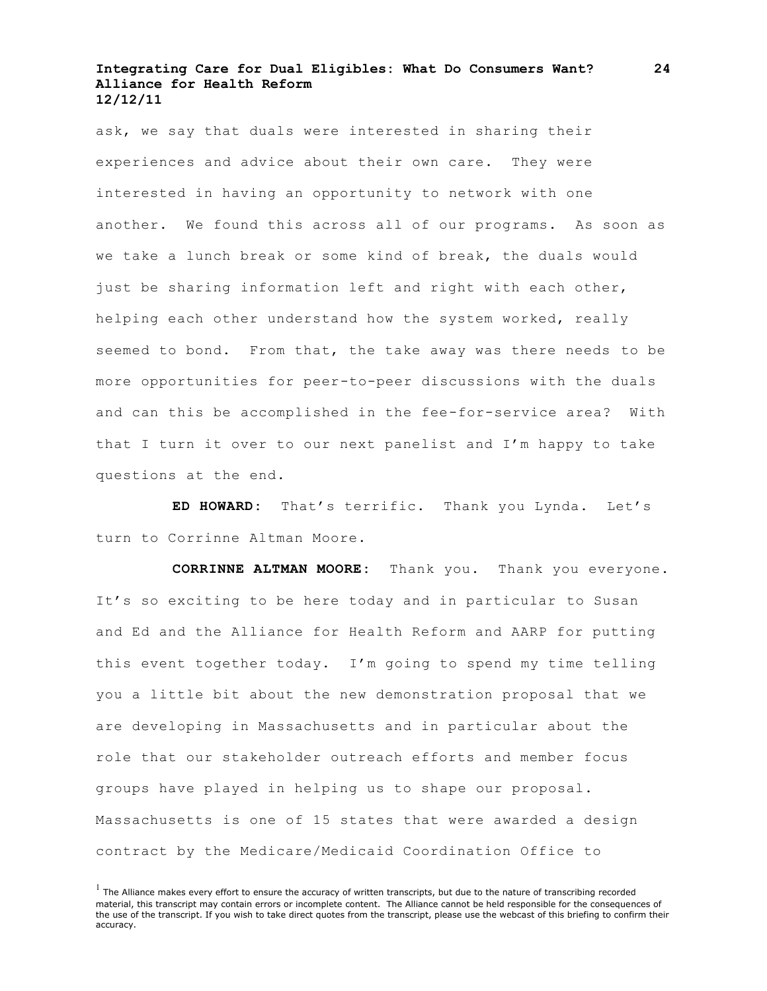ask, we say that duals were interested in sharing their experiences and advice about their own care. They were interested in having an opportunity to network with one another. We found this across all of our programs. As soon as we take a lunch break or some kind of break, the duals would just be sharing information left and right with each other, helping each other understand how the system worked, really seemed to bond. From that, the take away was there needs to be more opportunities for peer-to-peer discussions with the duals and can this be accomplished in the fee-for-service area? With that I turn it over to our next panelist and I'm happy to take questions at the end.

**ED HOWARD:** That's terrific. Thank you Lynda. Let's turn to Corrinne Altman Moore.

**CORRINNE ALTMAN MOORE:** Thank you. Thank you everyone. It's so exciting to be here today and in particular to Susan and Ed and the Alliance for Health Reform and AARP for putting this event together today. I'm going to spend my time telling you a little bit about the new demonstration proposal that we are developing in Massachusetts and in particular about the role that our stakeholder outreach efforts and member focus groups have played in helping us to shape our proposal. Massachusetts is one of 15 states that were awarded a design contract by the Medicare/Medicaid Coordination Office to

**24**

 $<sup>1</sup>$  The Alliance makes every effort to ensure the accuracy of written transcripts, but due to the nature of transcribing recorded</sup> material, this transcript may contain errors or incomplete content. The Alliance cannot be held responsible for the consequences of the use of the transcript. If you wish to take direct quotes from the transcript, please use the webcast of this briefing to confirm their accuracy.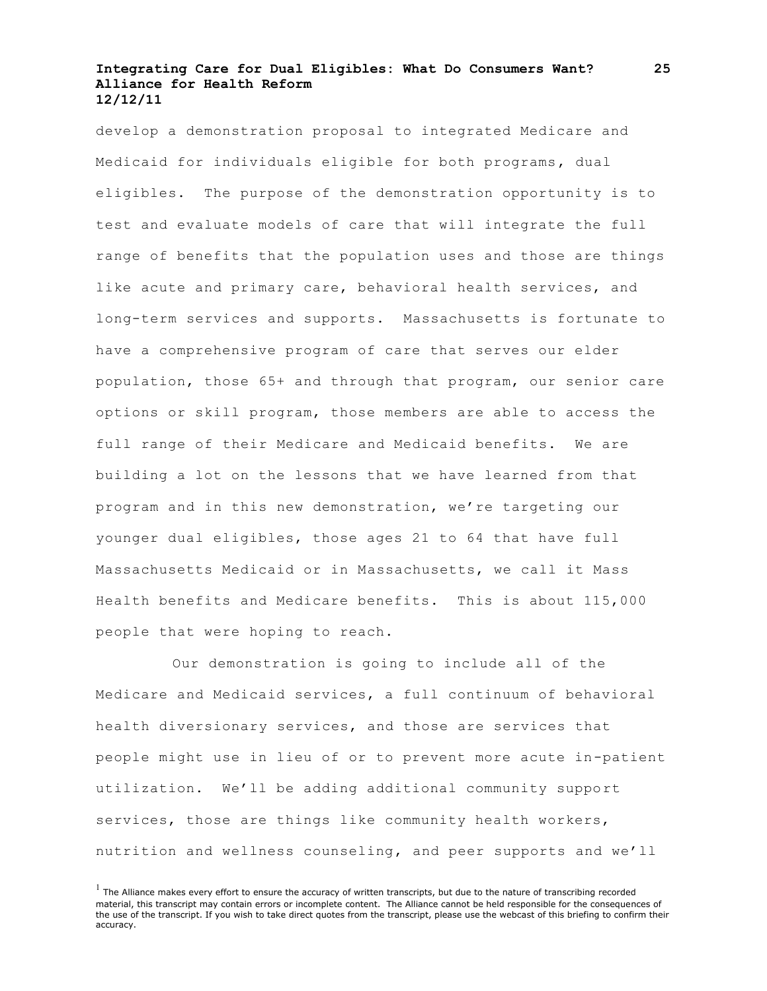develop a demonstration proposal to integrated Medicare and Medicaid for individuals eligible for both programs, dual eligibles. The purpose of the demonstration opportunity is to test and evaluate models of care that will integrate the full range of benefits that the population uses and those are things like acute and primary care, behavioral health services, and long-term services and supports. Massachusetts is fortunate to have a comprehensive program of care that serves our elder population, those 65+ and through that program, our senior care options or skill program, those members are able to access the full range of their Medicare and Medicaid benefits. We are building a lot on the lessons that we have learned from that program and in this new demonstration, we're targeting our younger dual eligibles, those ages 21 to 64 that have full Massachusetts Medicaid or in Massachusetts, we call it Mass Health benefits and Medicare benefits. This is about 115,000 people that were hoping to reach.

Our demonstration is going to include all of the Medicare and Medicaid services, a full continuum of behavioral health diversionary services, and those are services that people might use in lieu of or to prevent more acute in-patient utilization. We'll be adding additional community support services, those are things like community health workers, nutrition and wellness counseling, and peer supports and we'll

 $<sup>1</sup>$  The Alliance makes every effort to ensure the accuracy of written transcripts, but due to the nature of transcribing recorded</sup> material, this transcript may contain errors or incomplete content. The Alliance cannot be held responsible for the consequences of the use of the transcript. If you wish to take direct quotes from the transcript, please use the webcast of this briefing to confirm their accuracy.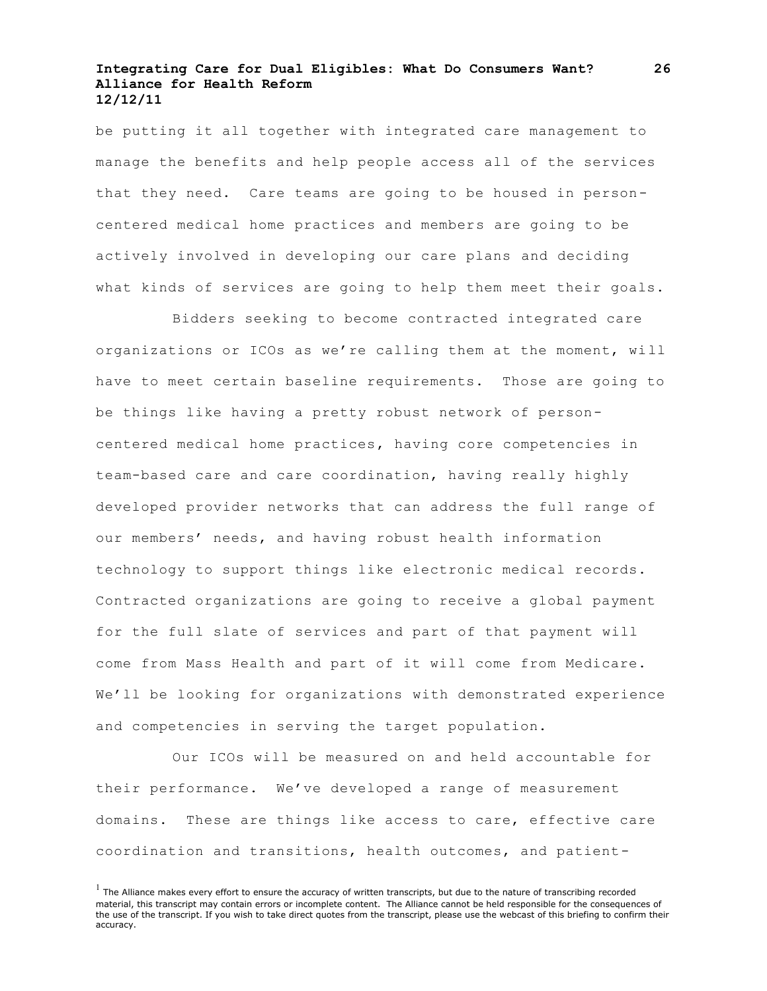be putting it all together with integrated care management to manage the benefits and help people access all of the services that they need. Care teams are going to be housed in personcentered medical home practices and members are going to be actively involved in developing our care plans and deciding what kinds of services are going to help them meet their goals.

Bidders seeking to become contracted integrated care organizations or ICOs as we're calling them at the moment, will have to meet certain baseline requirements. Those are going to be things like having a pretty robust network of personcentered medical home practices, having core competencies in team-based care and care coordination, having really highly developed provider networks that can address the full range of our members' needs, and having robust health information technology to support things like electronic medical records. Contracted organizations are going to receive a global payment for the full slate of services and part of that payment will come from Mass Health and part of it will come from Medicare. We'll be looking for organizations with demonstrated experience and competencies in serving the target population.

Our ICOs will be measured on and held accountable for their performance. We've developed a range of measurement domains. These are things like access to care, effective care coordination and transitions, health outcomes, and patient-

 $<sup>1</sup>$  The Alliance makes every effort to ensure the accuracy of written transcripts, but due to the nature of transcribing recorded</sup> material, this transcript may contain errors or incomplete content. The Alliance cannot be held responsible for the consequences of the use of the transcript. If you wish to take direct quotes from the transcript, please use the webcast of this briefing to confirm their accuracy.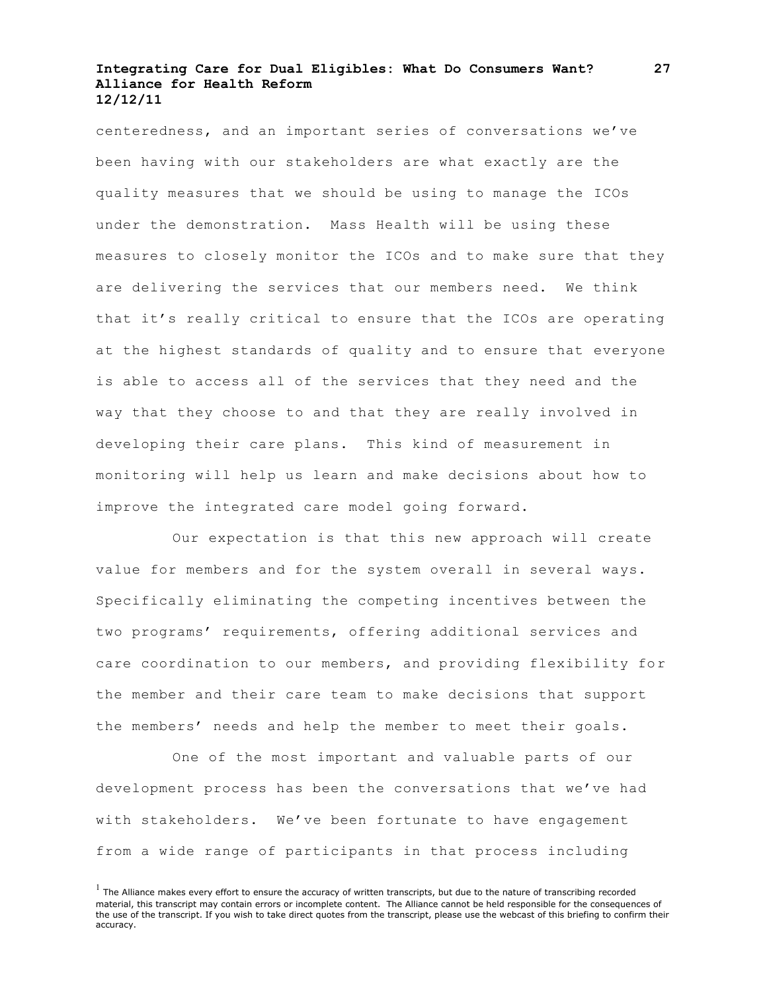centeredness, and an important series of conversations we've been having with our stakeholders are what exactly are the quality measures that we should be using to manage the ICOs under the demonstration. Mass Health will be using these measures to closely monitor the ICOs and to make sure that they are delivering the services that our members need. We think that it's really critical to ensure that the ICOs are operating at the highest standards of quality and to ensure that everyone is able to access all of the services that they need and the way that they choose to and that they are really involved in developing their care plans. This kind of measurement in monitoring will help us learn and make decisions about how to improve the integrated care model going forward.

Our expectation is that this new approach will create value for members and for the system overall in several ways. Specifically eliminating the competing incentives between the two programs' requirements, offering additional services and care coordination to our members, and providing flexibility for the member and their care team to make decisions that support the members' needs and help the member to meet their goals.

One of the most important and valuable parts of our development process has been the conversations that we've had with stakeholders. We've been fortunate to have engagement from a wide range of participants in that process including

 $<sup>1</sup>$  The Alliance makes every effort to ensure the accuracy of written transcripts, but due to the nature of transcribing recorded</sup> material, this transcript may contain errors or incomplete content. The Alliance cannot be held responsible for the consequences of the use of the transcript. If you wish to take direct quotes from the transcript, please use the webcast of this briefing to confirm their accuracy.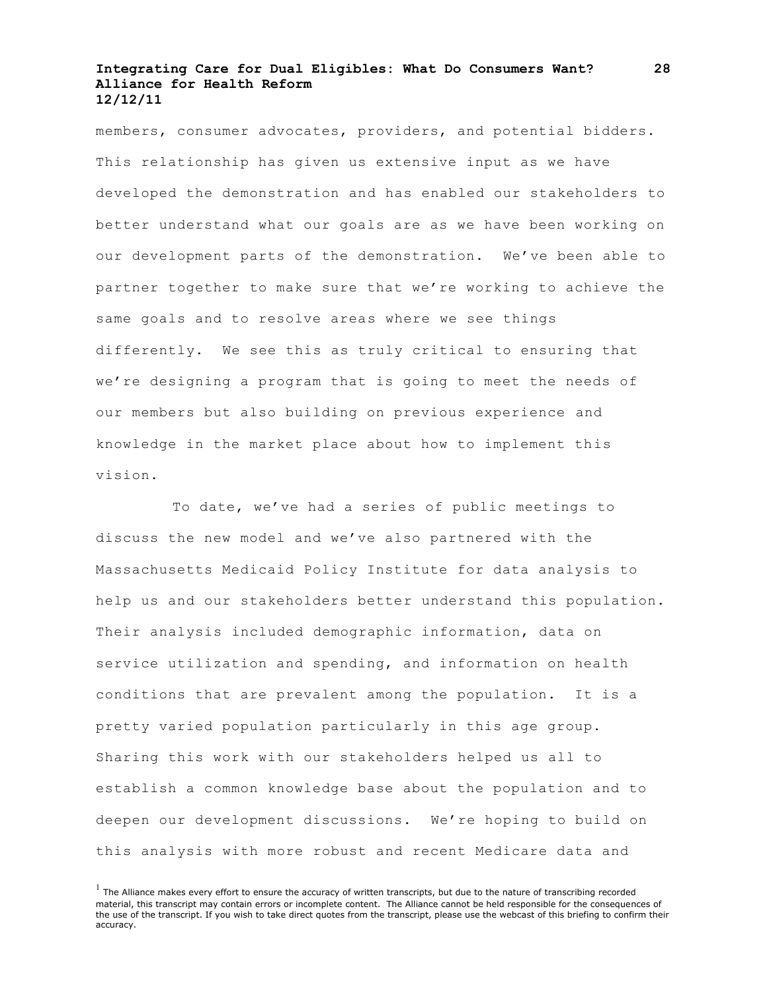members, consumer advocates, providers, and potential bidders. This relationship has given us extensive input as we have developed the demonstration and has enabled our stakeholders to better understand what our goals are as we have been working on our development parts of the demonstration. We've been able to partner together to make sure that we're working to achieve the same goals and to resolve areas where we see things differently. We see this as truly critical to ensuring that we're designing a program that is going to meet the needs of our members but also building on previous experience and knowledge in the market place about how to implement this vision.

To date, we've had a series of public meetings to discuss the new model and we've also partnered with the Massachusetts Medicaid Policy Institute for data analysis to help us and our stakeholders better understand this population. Their analysis included demographic information, data on service utilization and spending, and information on health conditions that are prevalent among the population. It is a pretty varied population particularly in this age group. Sharing this work with our stakeholders helped us all to establish a common knowledge base about the population and to deepen our development discussions. We're hoping to build on this analysis with more robust and recent Medicare data and

 $<sup>1</sup>$  The Alliance makes every effort to ensure the accuracy of written transcripts, but due to the nature of transcribing recorded</sup> material, this transcript may contain errors or incomplete content. The Alliance cannot be held responsible for the consequences of the use of the transcript. If you wish to take direct quotes from the transcript, please use the webcast of this briefing to confirm their accuracy.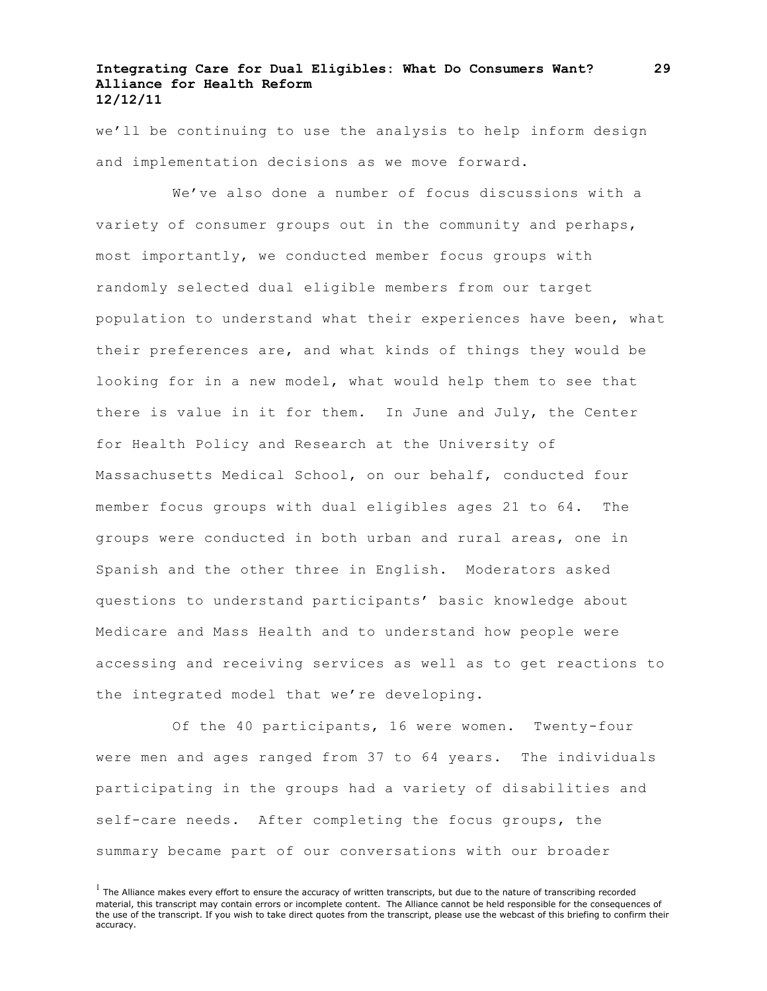we'll be continuing to use the analysis to help inform design and implementation decisions as we move forward.

We've also done a number of focus discussions with a variety of consumer groups out in the community and perhaps, most importantly, we conducted member focus groups with randomly selected dual eligible members from our target population to understand what their experiences have been, what their preferences are, and what kinds of things they would be looking for in a new model, what would help them to see that there is value in it for them. In June and July, the Center for Health Policy and Research at the University of Massachusetts Medical School, on our behalf, conducted four member focus groups with dual eligibles ages 21 to 64. The groups were conducted in both urban and rural areas, one in Spanish and the other three in English. Moderators asked questions to understand participants' basic knowledge about Medicare and Mass Health and to understand how people were accessing and receiving services as well as to get reactions to the integrated model that we're developing.

Of the 40 participants, 16 were women. Twenty-four were men and ages ranged from 37 to 64 years. The individuals participating in the groups had a variety of disabilities and self-care needs. After completing the focus groups, the summary became part of our conversations with our broader

 $<sup>1</sup>$  The Alliance makes every effort to ensure the accuracy of written transcripts, but due to the nature of transcribing recorded</sup> material, this transcript may contain errors or incomplete content. The Alliance cannot be held responsible for the consequences of the use of the transcript. If you wish to take direct quotes from the transcript, please use the webcast of this briefing to confirm their accuracy.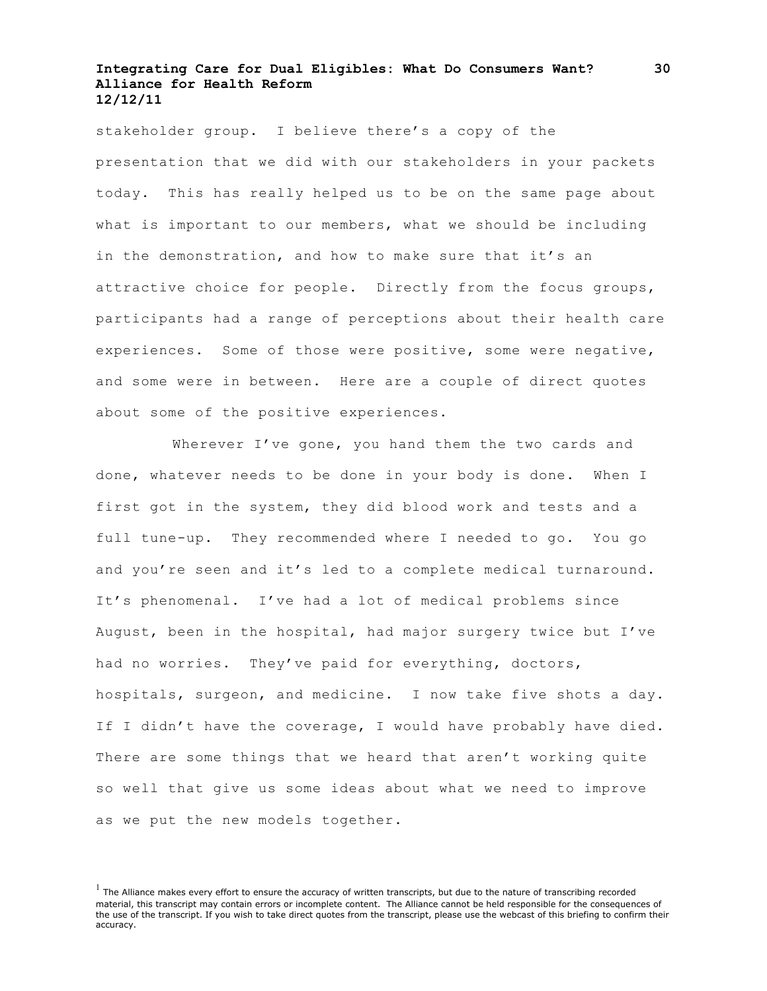stakeholder group. I believe there's a copy of the presentation that we did with our stakeholders in your packets today. This has really helped us to be on the same page about what is important to our members, what we should be including in the demonstration, and how to make sure that it's an attractive choice for people. Directly from the focus groups, participants had a range of perceptions about their health care experiences. Some of those were positive, some were negative, and some were in between. Here are a couple of direct quotes about some of the positive experiences.

Wherever I've gone, you hand them the two cards and done, whatever needs to be done in your body is done. When I first got in the system, they did blood work and tests and a full tune-up. They recommended where I needed to go. You go and you're seen and it's led to a complete medical turnaround. It's phenomenal. I've had a lot of medical problems since August, been in the hospital, had major surgery twice but I've had no worries. They've paid for everything, doctors, hospitals, surgeon, and medicine. I now take five shots a day. If I didn't have the coverage, I would have probably have died. There are some things that we heard that aren't working quite so well that give us some ideas about what we need to improve as we put the new models together.

**30**

 $<sup>1</sup>$  The Alliance makes every effort to ensure the accuracy of written transcripts, but due to the nature of transcribing recorded</sup> material, this transcript may contain errors or incomplete content. The Alliance cannot be held responsible for the consequences of the use of the transcript. If you wish to take direct quotes from the transcript, please use the webcast of this briefing to confirm their accuracy.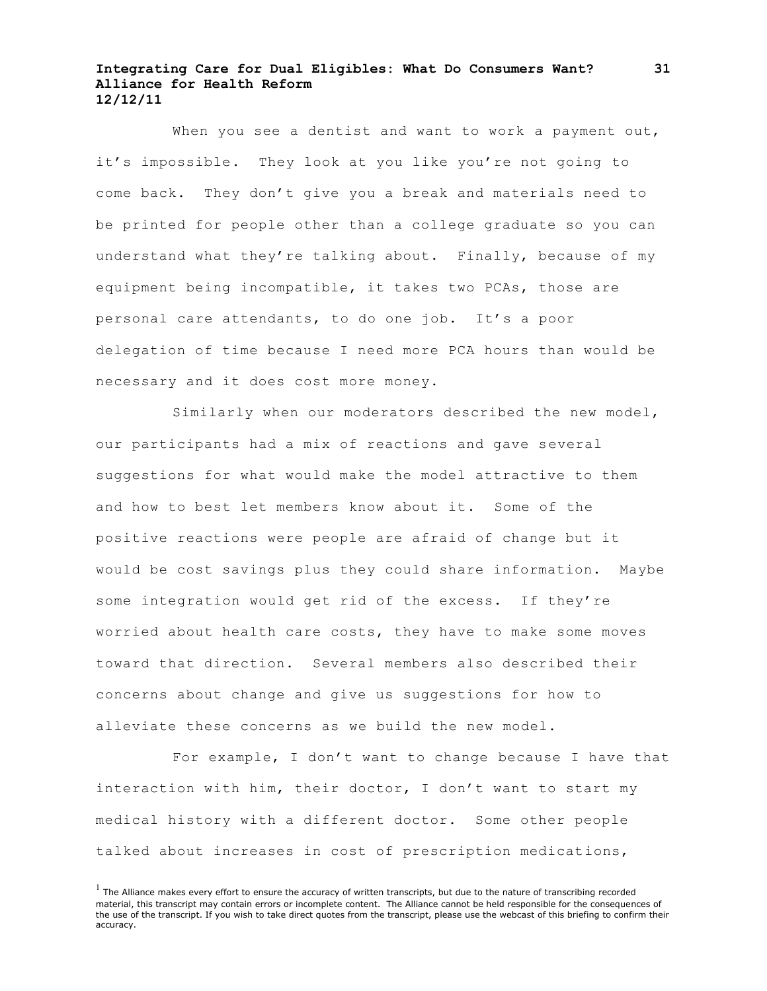When you see a dentist and want to work a payment out, it's impossible. They look at you like you're not going to come back. They don't give you a break and materials need to be printed for people other than a college graduate so you can understand what they're talking about. Finally, because of my equipment being incompatible, it takes two PCAs, those are personal care attendants, to do one job. It's a poor delegation of time because I need more PCA hours than would be necessary and it does cost more money.

Similarly when our moderators described the new model, our participants had a mix of reactions and gave several suggestions for what would make the model attractive to them and how to best let members know about it. Some of the positive reactions were people are afraid of change but it would be cost savings plus they could share information. Maybe some integration would get rid of the excess. If they're worried about health care costs, they have to make some moves toward that direction. Several members also described their concerns about change and give us suggestions for how to alleviate these concerns as we build the new model.

For example, I don't want to change because I have that interaction with him, their doctor, I don't want to start my medical history with a different doctor. Some other people talked about increases in cost of prescription medications,

 $<sup>1</sup>$  The Alliance makes every effort to ensure the accuracy of written transcripts, but due to the nature of transcribing recorded</sup> material, this transcript may contain errors or incomplete content. The Alliance cannot be held responsible for the consequences of the use of the transcript. If you wish to take direct quotes from the transcript, please use the webcast of this briefing to confirm their accuracy.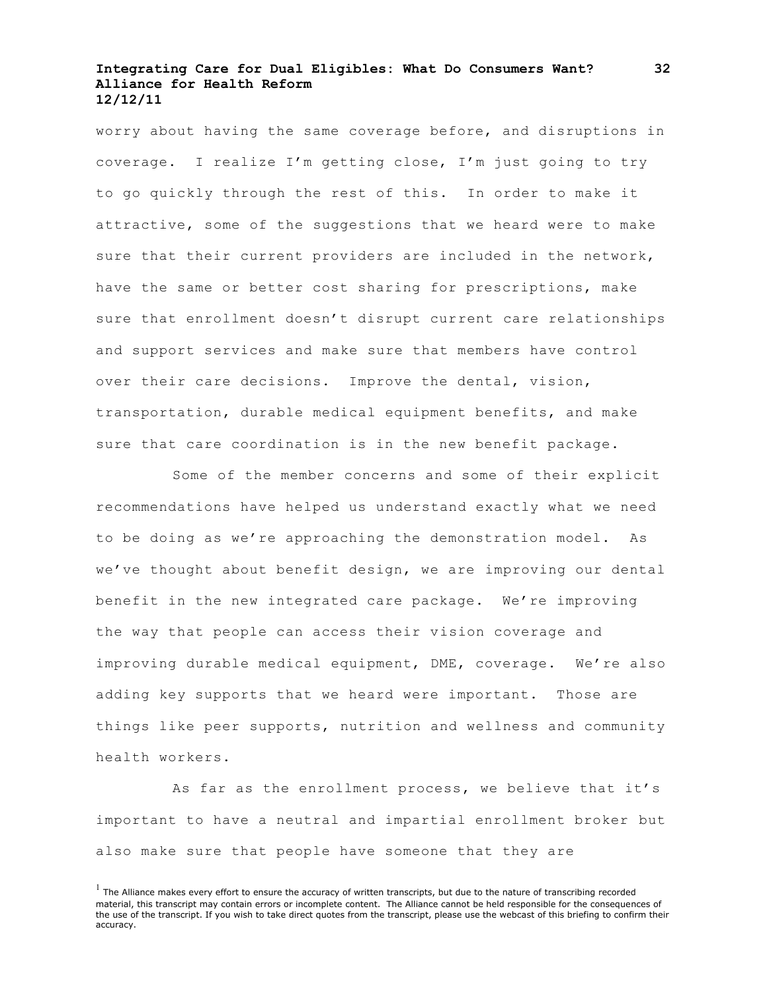worry about having the same coverage before, and disruptions in coverage. I realize I'm getting close, I'm just going to try to go quickly through the rest of this. In order to make it attractive, some of the suggestions that we heard were to make sure that their current providers are included in the network, have the same or better cost sharing for prescriptions, make sure that enrollment doesn't disrupt current care relationships and support services and make sure that members have control over their care decisions. Improve the dental, vision, transportation, durable medical equipment benefits, and make sure that care coordination is in the new benefit package.

Some of the member concerns and some of their explicit recommendations have helped us understand exactly what we need to be doing as we're approaching the demonstration model. As we've thought about benefit design, we are improving our dental benefit in the new integrated care package. We're improving the way that people can access their vision coverage and improving durable medical equipment, DME, coverage. We're also adding key supports that we heard were important. Those are things like peer supports, nutrition and wellness and community health workers.

As far as the enrollment process, we believe that it's important to have a neutral and impartial enrollment broker but also make sure that people have someone that they are

 $<sup>1</sup>$  The Alliance makes every effort to ensure the accuracy of written transcripts, but due to the nature of transcribing recorded</sup> material, this transcript may contain errors or incomplete content. The Alliance cannot be held responsible for the consequences of the use of the transcript. If you wish to take direct quotes from the transcript, please use the webcast of this briefing to confirm their accuracy.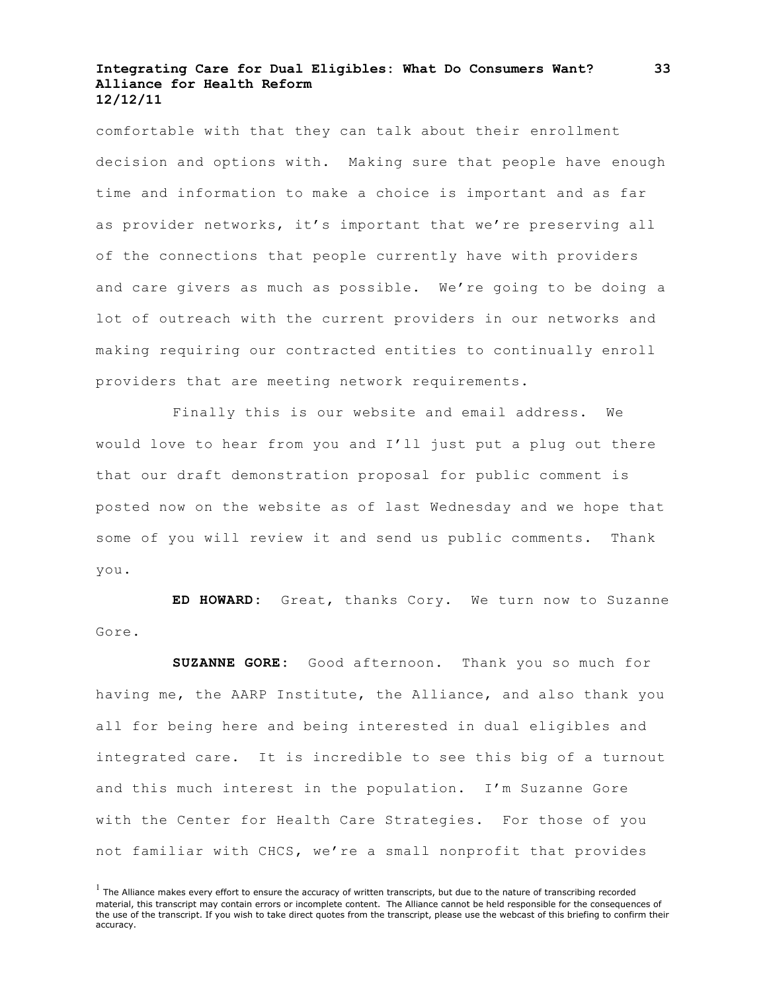comfortable with that they can talk about their enrollment decision and options with. Making sure that people have enough time and information to make a choice is important and as far as provider networks, it's important that we're preserving all of the connections that people currently have with providers and care givers as much as possible. We're going to be doing a lot of outreach with the current providers in our networks and making requiring our contracted entities to continually enroll providers that are meeting network requirements.

Finally this is our website and email address. We would love to hear from you and I'll just put a plug out there that our draft demonstration proposal for public comment is posted now on the website as of last Wednesday and we hope that some of you will review it and send us public comments. Thank you.

**ED HOWARD:** Great, thanks Cory. We turn now to Suzanne Gore.

**SUZANNE GORE:** Good afternoon. Thank you so much for having me, the AARP Institute, the Alliance, and also thank you all for being here and being interested in dual eligibles and integrated care. It is incredible to see this big of a turnout and this much interest in the population. I'm Suzanne Gore with the Center for Health Care Strategies. For those of you not familiar with CHCS, we're a small nonprofit that provides

 $<sup>1</sup>$  The Alliance makes every effort to ensure the accuracy of written transcripts, but due to the nature of transcribing recorded</sup> material, this transcript may contain errors or incomplete content. The Alliance cannot be held responsible for the consequences of the use of the transcript. If you wish to take direct quotes from the transcript, please use the webcast of this briefing to confirm their accuracy.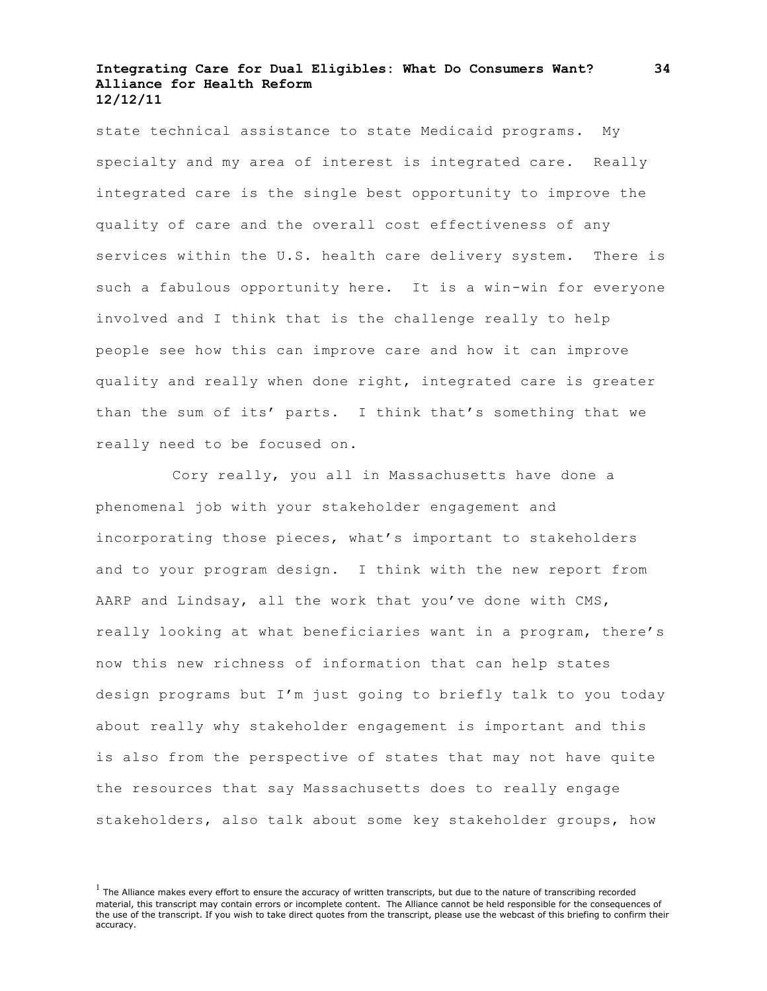state technical assistance to state Medicaid programs. My specialty and my area of interest is integrated care. Really integrated care is the single best opportunity to improve the quality of care and the overall cost effectiveness of any services within the U.S. health care delivery system. There is such a fabulous opportunity here. It is a win-win for everyone involved and I think that is the challenge really to help people see how this can improve care and how it can improve quality and really when done right, integrated care is greater than the sum of its' parts. I think that's something that we really need to be focused on.

Cory really, you all in Massachusetts have done a phenomenal job with your stakeholder engagement and incorporating those pieces, what's important to stakeholders and to your program design. I think with the new report from AARP and Lindsay, all the work that you've done with CMS, really looking at what beneficiaries want in a program, there's now this new richness of information that can help states design programs but I'm just going to briefly talk to you today about really why stakeholder engagement is important and this is also from the perspective of states that may not have quite the resources that say Massachusetts does to really engage stakeholders, also talk about some key stakeholder groups, how

 $<sup>1</sup>$  The Alliance makes every effort to ensure the accuracy of written transcripts, but due to the nature of transcribing recorded</sup> material, this transcript may contain errors or incomplete content. The Alliance cannot be held responsible for the consequences of the use of the transcript. If you wish to take direct quotes from the transcript, please use the webcast of this briefing to confirm their accuracy.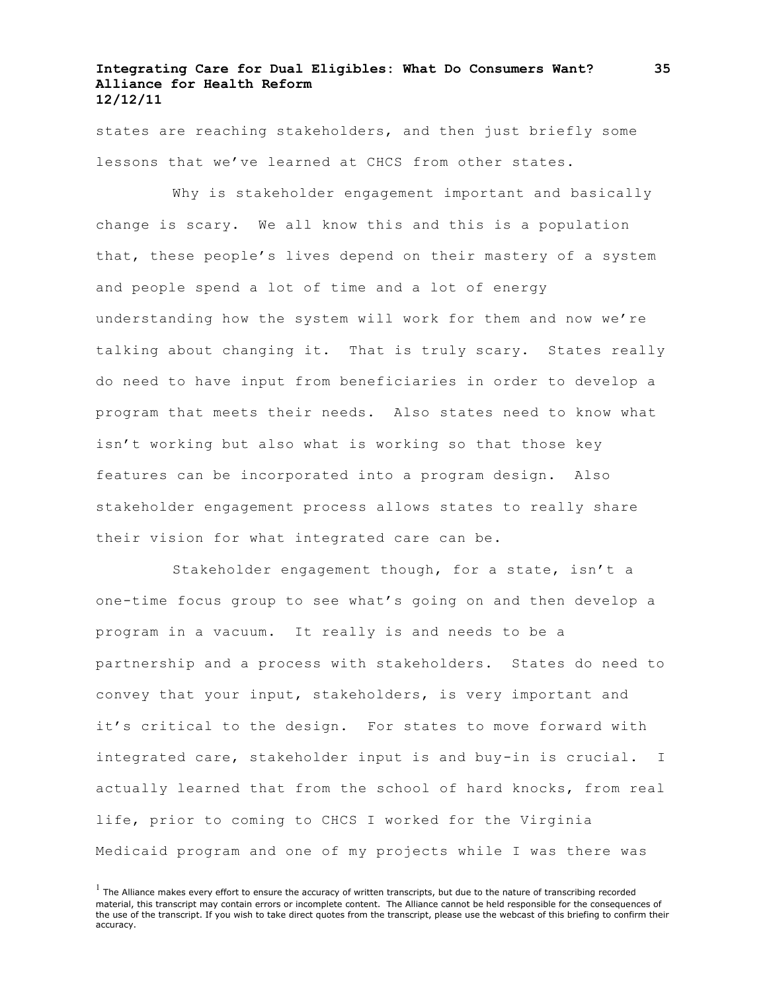states are reaching stakeholders, and then just briefly some lessons that we've learned at CHCS from other states.

Why is stakeholder engagement important and basically change is scary. We all know this and this is a population that, these people's lives depend on their mastery of a system and people spend a lot of time and a lot of energy understanding how the system will work for them and now we're talking about changing it. That is truly scary. States really do need to have input from beneficiaries in order to develop a program that meets their needs. Also states need to know what isn't working but also what is working so that those key features can be incorporated into a program design. Also stakeholder engagement process allows states to really share their vision for what integrated care can be.

Stakeholder engagement though, for a state, isn't a one-time focus group to see what's going on and then develop a program in a vacuum. It really is and needs to be a partnership and a process with stakeholders. States do need to convey that your input, stakeholders, is very important and it's critical to the design. For states to move forward with integrated care, stakeholder input is and buy-in is crucial. I actually learned that from the school of hard knocks, from real life, prior to coming to CHCS I worked for the Virginia Medicaid program and one of my projects while I was there was

 $<sup>1</sup>$  The Alliance makes every effort to ensure the accuracy of written transcripts, but due to the nature of transcribing recorded</sup> material, this transcript may contain errors or incomplete content. The Alliance cannot be held responsible for the consequences of the use of the transcript. If you wish to take direct quotes from the transcript, please use the webcast of this briefing to confirm their accuracy.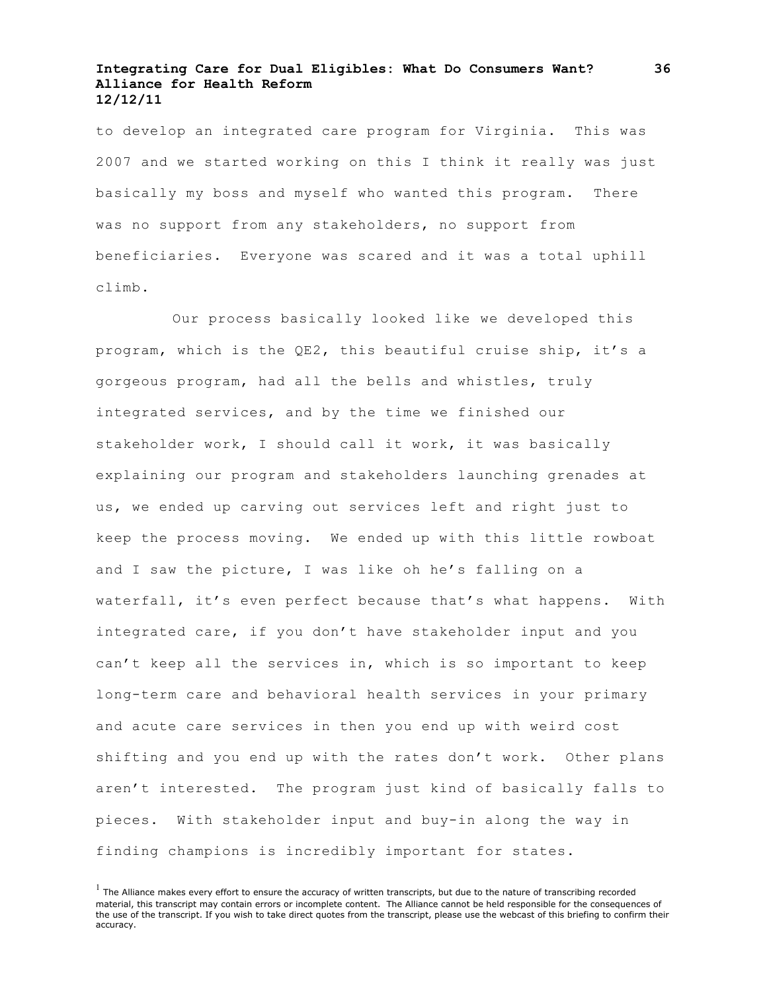to develop an integrated care program for Virginia. This was 2007 and we started working on this I think it really was just basically my boss and myself who wanted this program. There was no support from any stakeholders, no support from beneficiaries. Everyone was scared and it was a total uphill climb.

Our process basically looked like we developed this program, which is the QE2, this beautiful cruise ship, it's a gorgeous program, had all the bells and whistles, truly integrated services, and by the time we finished our stakeholder work, I should call it work, it was basically explaining our program and stakeholders launching grenades at us, we ended up carving out services left and right just to keep the process moving. We ended up with this little rowboat and I saw the picture, I was like oh he's falling on a waterfall, it's even perfect because that's what happens. With integrated care, if you don't have stakeholder input and you can't keep all the services in, which is so important to keep long-term care and behavioral health services in your primary and acute care services in then you end up with weird cost shifting and you end up with the rates don't work. Other plans aren't interested. The program just kind of basically falls to pieces. With stakeholder input and buy-in along the way in finding champions is incredibly important for states.

 $<sup>1</sup>$  The Alliance makes every effort to ensure the accuracy of written transcripts, but due to the nature of transcribing recorded</sup> material, this transcript may contain errors or incomplete content. The Alliance cannot be held responsible for the consequences of the use of the transcript. If you wish to take direct quotes from the transcript, please use the webcast of this briefing to confirm their accuracy.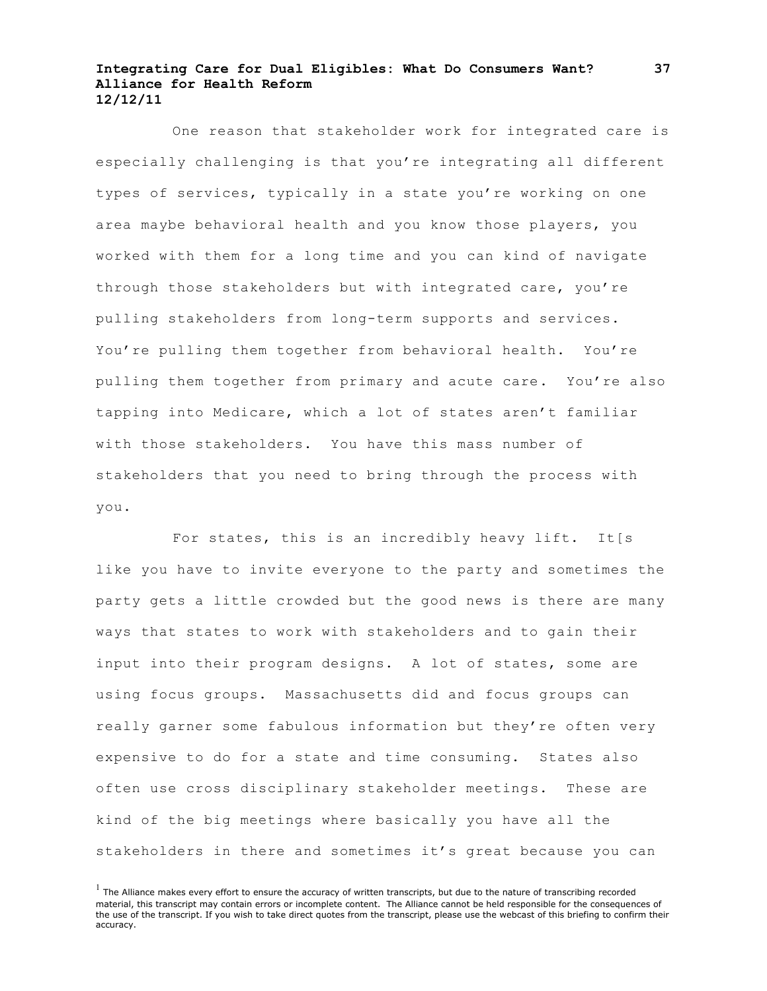One reason that stakeholder work for integrated care is especially challenging is that you're integrating all different types of services, typically in a state you're working on one area maybe behavioral health and you know those players, you worked with them for a long time and you can kind of navigate through those stakeholders but with integrated care, you're pulling stakeholders from long-term supports and services. You're pulling them together from behavioral health. You're pulling them together from primary and acute care. You're also tapping into Medicare, which a lot of states aren't familiar with those stakeholders. You have this mass number of stakeholders that you need to bring through the process with you.

For states, this is an incredibly heavy lift. It[s like you have to invite everyone to the party and sometimes the party gets a little crowded but the good news is there are many ways that states to work with stakeholders and to gain their input into their program designs. A lot of states, some are using focus groups. Massachusetts did and focus groups can really garner some fabulous information but they're often very expensive to do for a state and time consuming. States also often use cross disciplinary stakeholder meetings. These are kind of the big meetings where basically you have all the stakeholders in there and sometimes it's great because you can

 $<sup>1</sup>$  The Alliance makes every effort to ensure the accuracy of written transcripts, but due to the nature of transcribing recorded</sup> material, this transcript may contain errors or incomplete content. The Alliance cannot be held responsible for the consequences of the use of the transcript. If you wish to take direct quotes from the transcript, please use the webcast of this briefing to confirm their accuracy.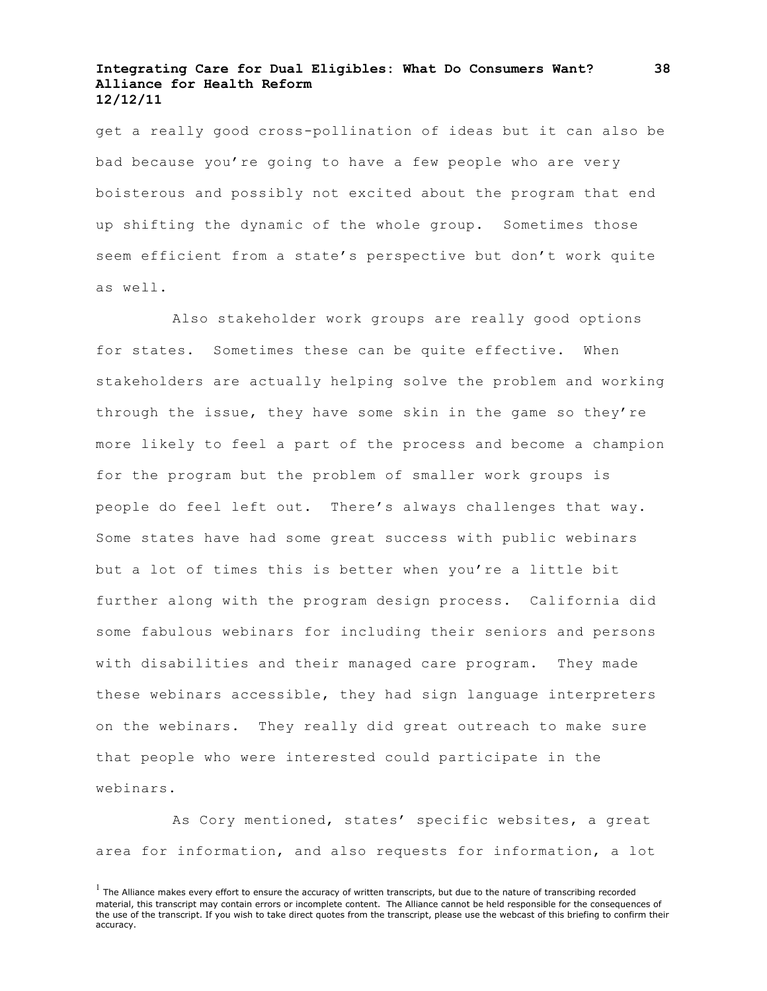get a really good cross-pollination of ideas but it can also be bad because you're going to have a few people who are very boisterous and possibly not excited about the program that end up shifting the dynamic of the whole group. Sometimes those seem efficient from a state's perspective but don't work quite as well.

Also stakeholder work groups are really good options for states. Sometimes these can be quite effective. When stakeholders are actually helping solve the problem and working through the issue, they have some skin in the game so they're more likely to feel a part of the process and become a champion for the program but the problem of smaller work groups is people do feel left out. There's always challenges that way. Some states have had some great success with public webinars but a lot of times this is better when you're a little bit further along with the program design process. California did some fabulous webinars for including their seniors and persons with disabilities and their managed care program. They made these webinars accessible, they had sign language interpreters on the webinars. They really did great outreach to make sure that people who were interested could participate in the webinars.

As Cory mentioned, states' specific websites, a great area for information, and also requests for information, a lot

 $<sup>1</sup>$  The Alliance makes every effort to ensure the accuracy of written transcripts, but due to the nature of transcribing recorded</sup> material, this transcript may contain errors or incomplete content. The Alliance cannot be held responsible for the consequences of the use of the transcript. If you wish to take direct quotes from the transcript, please use the webcast of this briefing to confirm their accuracy.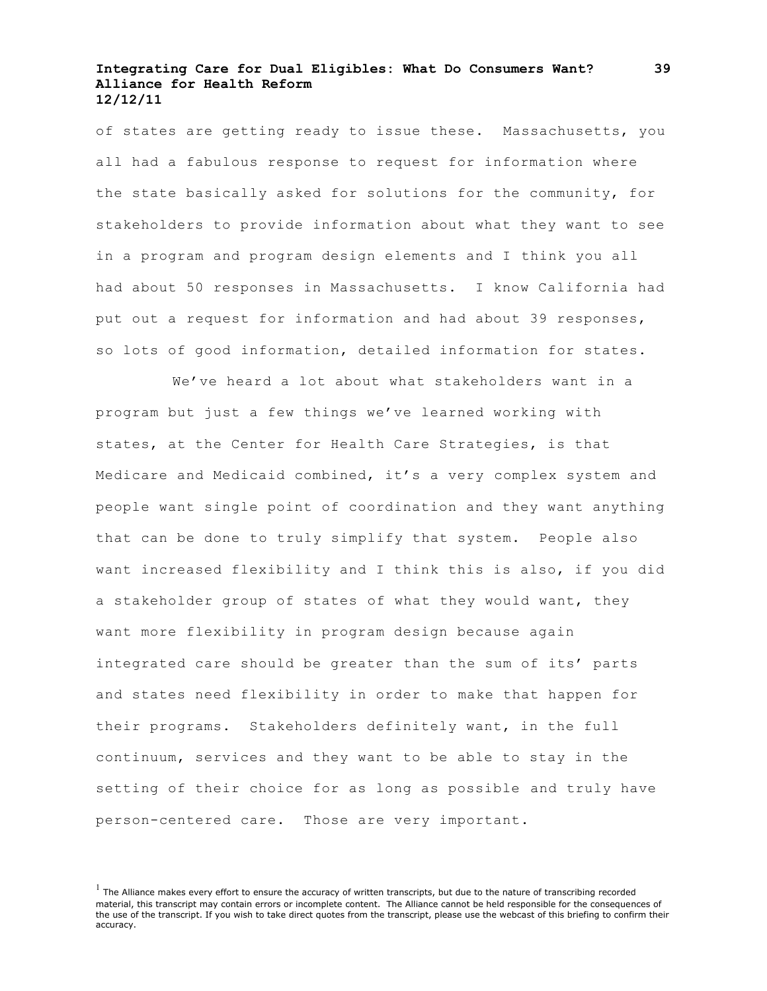of states are getting ready to issue these. Massachusetts, you all had a fabulous response to request for information where the state basically asked for solutions for the community, for stakeholders to provide information about what they want to see in a program and program design elements and I think you all had about 50 responses in Massachusetts. I know California had put out a request for information and had about 39 responses, so lots of good information, detailed information for states.

We've heard a lot about what stakeholders want in a program but just a few things we've learned working with states, at the Center for Health Care Strategies, is that Medicare and Medicaid combined, it's a very complex system and people want single point of coordination and they want anything that can be done to truly simplify that system. People also want increased flexibility and I think this is also, if you did a stakeholder group of states of what they would want, they want more flexibility in program design because again integrated care should be greater than the sum of its' parts and states need flexibility in order to make that happen for their programs. Stakeholders definitely want, in the full continuum, services and they want to be able to stay in the setting of their choice for as long as possible and truly have person-centered care. Those are very important.

 $<sup>1</sup>$  The Alliance makes every effort to ensure the accuracy of written transcripts, but due to the nature of transcribing recorded</sup> material, this transcript may contain errors or incomplete content. The Alliance cannot be held responsible for the consequences of the use of the transcript. If you wish to take direct quotes from the transcript, please use the webcast of this briefing to confirm their accuracy.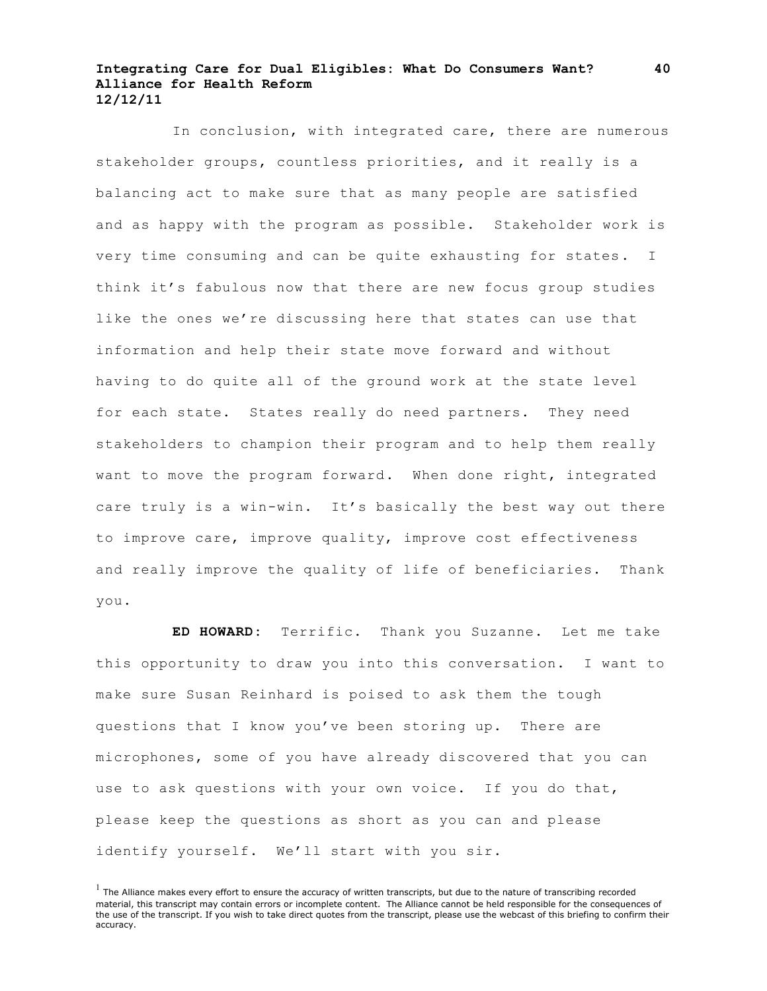In conclusion, with integrated care, there are numerous stakeholder groups, countless priorities, and it really is a balancing act to make sure that as many people are satisfied and as happy with the program as possible. Stakeholder work is very time consuming and can be quite exhausting for states. I think it's fabulous now that there are new focus group studies like the ones we're discussing here that states can use that information and help their state move forward and without having to do quite all of the ground work at the state level for each state. States really do need partners. They need stakeholders to champion their program and to help them really want to move the program forward. When done right, integrated care truly is a win-win. It's basically the best way out there to improve care, improve quality, improve cost effectiveness and really improve the quality of life of beneficiaries. Thank you.

**ED HOWARD:** Terrific. Thank you Suzanne. Let me take this opportunity to draw you into this conversation. I want to make sure Susan Reinhard is poised to ask them the tough questions that I know you've been storing up. There are microphones, some of you have already discovered that you can use to ask questions with your own voice. If you do that, please keep the questions as short as you can and please identify yourself. We'll start with you sir.

 $<sup>1</sup>$  The Alliance makes every effort to ensure the accuracy of written transcripts, but due to the nature of transcribing recorded</sup> material, this transcript may contain errors or incomplete content. The Alliance cannot be held responsible for the consequences of the use of the transcript. If you wish to take direct quotes from the transcript, please use the webcast of this briefing to confirm their accuracy.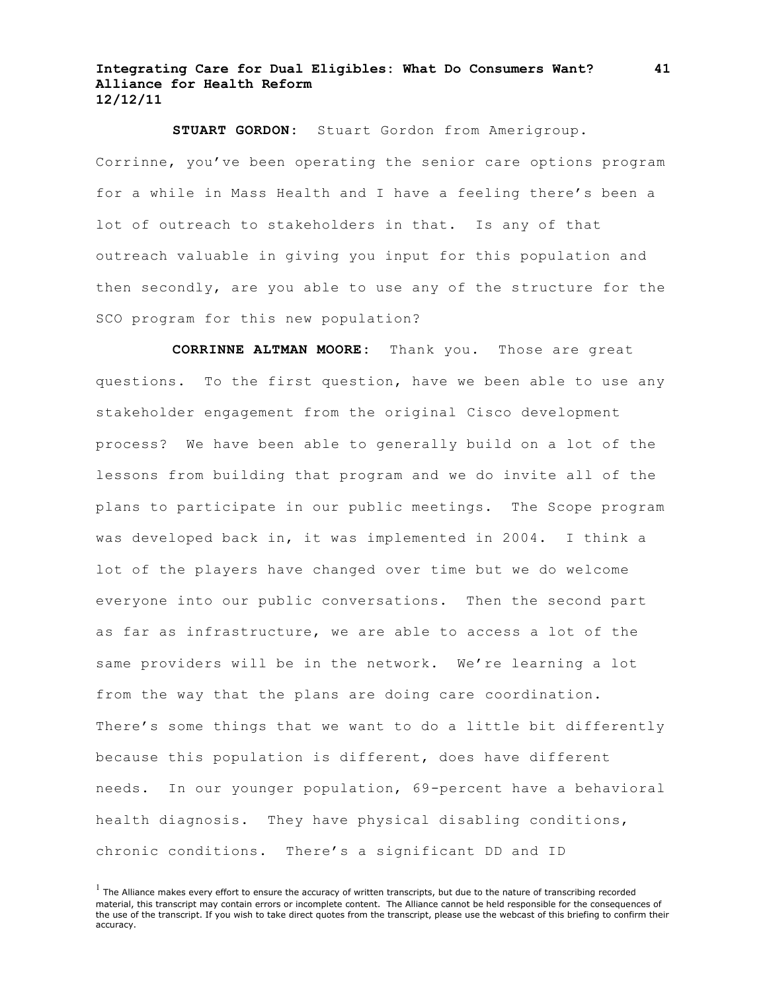**STUART GORDON:** Stuart Gordon from Amerigroup. Corrinne, you've been operating the senior care options program for a while in Mass Health and I have a feeling there's been a lot of outreach to stakeholders in that. Is any of that outreach valuable in giving you input for this population and then secondly, are you able to use any of the structure for the SCO program for this new population?

**CORRINNE ALTMAN MOORE:** Thank you. Those are great questions. To the first question, have we been able to use any stakeholder engagement from the original Cisco development process? We have been able to generally build on a lot of the lessons from building that program and we do invite all of the plans to participate in our public meetings. The Scope program was developed back in, it was implemented in 2004. I think a lot of the players have changed over time but we do welcome everyone into our public conversations. Then the second part as far as infrastructure, we are able to access a lot of the same providers will be in the network. We're learning a lot from the way that the plans are doing care coordination. There's some things that we want to do a little bit differently because this population is different, does have different needs. In our younger population, 69-percent have a behavioral health diagnosis. They have physical disabling conditions, chronic conditions. There's a significant DD and ID

 $<sup>1</sup>$  The Alliance makes every effort to ensure the accuracy of written transcripts, but due to the nature of transcribing recorded</sup> material, this transcript may contain errors or incomplete content. The Alliance cannot be held responsible for the consequences of the use of the transcript. If you wish to take direct quotes from the transcript, please use the webcast of this briefing to confirm their accuracy.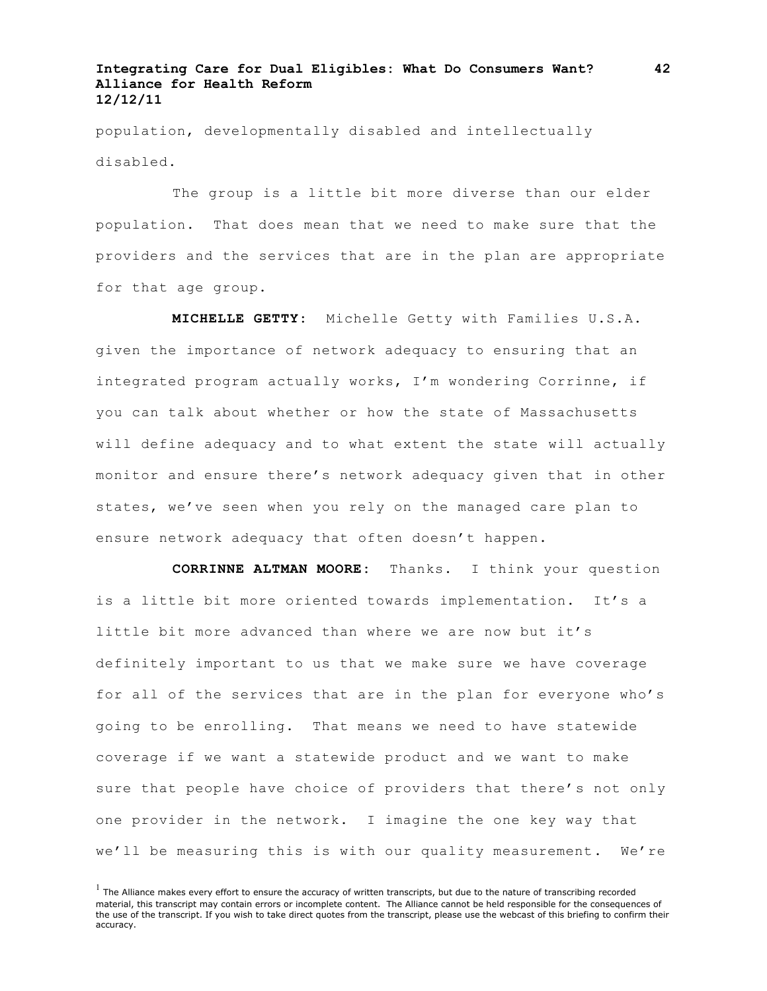population, developmentally disabled and intellectually disabled.

The group is a little bit more diverse than our elder population. That does mean that we need to make sure that the providers and the services that are in the plan are appropriate for that age group.

**MICHELLE GETTY:** Michelle Getty with Families U.S.A. given the importance of network adequacy to ensuring that an integrated program actually works, I'm wondering Corrinne, if you can talk about whether or how the state of Massachusetts will define adequacy and to what extent the state will actually monitor and ensure there's network adequacy given that in other states, we've seen when you rely on the managed care plan to ensure network adequacy that often doesn't happen.

**CORRINNE ALTMAN MOORE:** Thanks. I think your question is a little bit more oriented towards implementation. It's a little bit more advanced than where we are now but it's definitely important to us that we make sure we have coverage for all of the services that are in the plan for everyone who's going to be enrolling. That means we need to have statewide coverage if we want a statewide product and we want to make sure that people have choice of providers that there's not only one provider in the network. I imagine the one key way that we'll be measuring this is with our quality measurement. We're

 $<sup>1</sup>$  The Alliance makes every effort to ensure the accuracy of written transcripts, but due to the nature of transcribing recorded</sup> material, this transcript may contain errors or incomplete content. The Alliance cannot be held responsible for the consequences of the use of the transcript. If you wish to take direct quotes from the transcript, please use the webcast of this briefing to confirm their accuracy.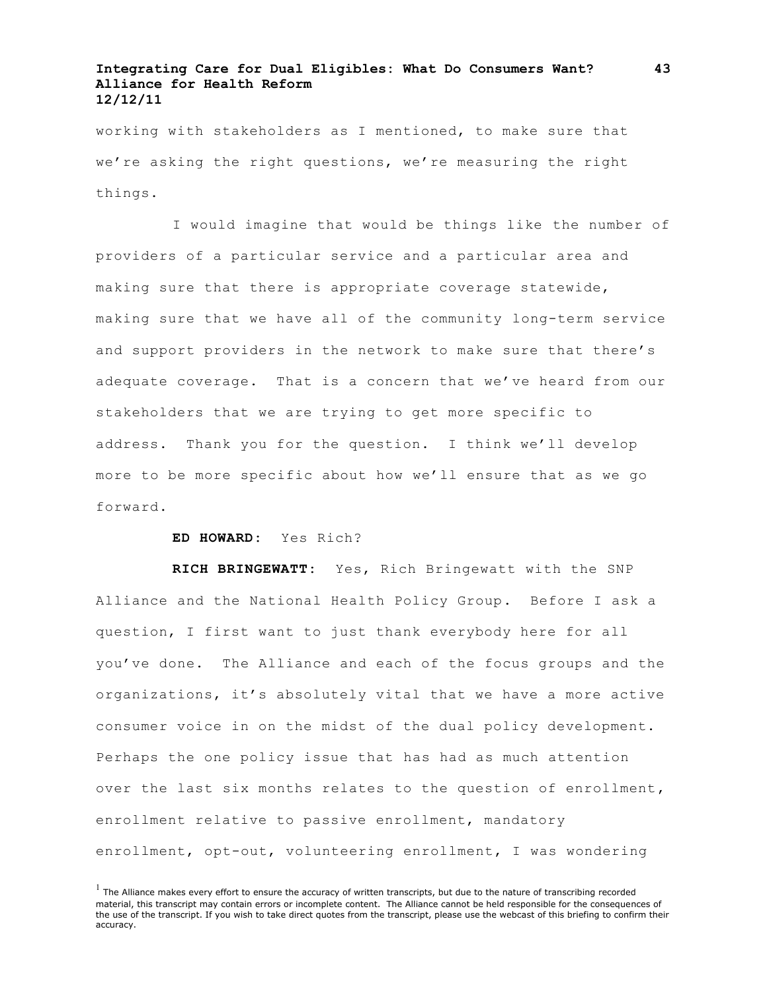working with stakeholders as I mentioned, to make sure that we're asking the right questions, we're measuring the right things.

I would imagine that would be things like the number of providers of a particular service and a particular area and making sure that there is appropriate coverage statewide, making sure that we have all of the community long-term service and support providers in the network to make sure that there's adequate coverage. That is a concern that we've heard from our stakeholders that we are trying to get more specific to address. Thank you for the question. I think we'll develop more to be more specific about how we'll ensure that as we go forward.

#### **ED HOWARD:** Yes Rich?

**RICH BRINGEWATT:** Yes, Rich Bringewatt with the SNP Alliance and the National Health Policy Group. Before I ask a question, I first want to just thank everybody here for all you've done. The Alliance and each of the focus groups and the organizations, it's absolutely vital that we have a more active consumer voice in on the midst of the dual policy development. Perhaps the one policy issue that has had as much attention over the last six months relates to the question of enrollment, enrollment relative to passive enrollment, mandatory enrollment, opt-out, volunteering enrollment, I was wondering

**43**

 $<sup>1</sup>$  The Alliance makes every effort to ensure the accuracy of written transcripts, but due to the nature of transcribing recorded</sup> material, this transcript may contain errors or incomplete content. The Alliance cannot be held responsible for the consequences of the use of the transcript. If you wish to take direct quotes from the transcript, please use the webcast of this briefing to confirm their accuracy.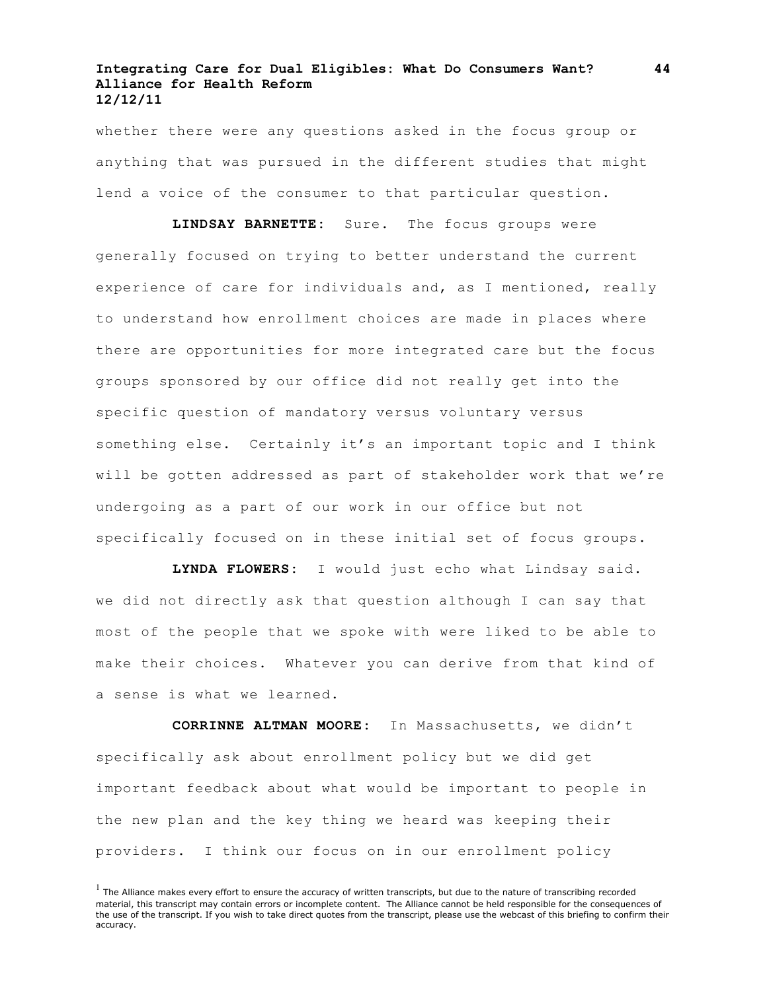whether there were any questions asked in the focus group or anything that was pursued in the different studies that might lend a voice of the consumer to that particular question.

**LINDSAY BARNETTE:** Sure. The focus groups were generally focused on trying to better understand the current experience of care for individuals and, as I mentioned, really to understand how enrollment choices are made in places where there are opportunities for more integrated care but the focus groups sponsored by our office did not really get into the specific question of mandatory versus voluntary versus something else. Certainly it's an important topic and I think will be gotten addressed as part of stakeholder work that we're undergoing as a part of our work in our office but not specifically focused on in these initial set of focus groups.

**LYNDA FLOWERS:** I would just echo what Lindsay said. we did not directly ask that question although I can say that most of the people that we spoke with were liked to be able to make their choices. Whatever you can derive from that kind of a sense is what we learned.

**CORRINNE ALTMAN MOORE:** In Massachusetts, we didn't specifically ask about enrollment policy but we did get important feedback about what would be important to people in the new plan and the key thing we heard was keeping their providers. I think our focus on in our enrollment policy

 $<sup>1</sup>$  The Alliance makes every effort to ensure the accuracy of written transcripts, but due to the nature of transcribing recorded</sup> material, this transcript may contain errors or incomplete content. The Alliance cannot be held responsible for the consequences of the use of the transcript. If you wish to take direct quotes from the transcript, please use the webcast of this briefing to confirm their accuracy.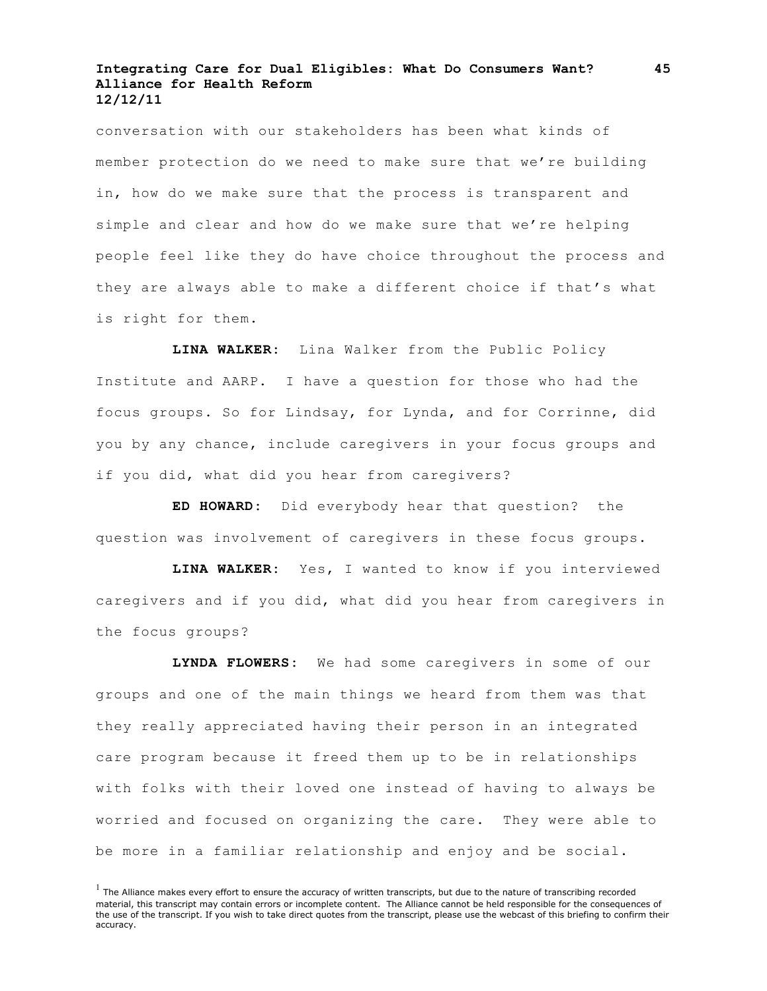conversation with our stakeholders has been what kinds of member protection do we need to make sure that we're building in, how do we make sure that the process is transparent and simple and clear and how do we make sure that we're helping people feel like they do have choice throughout the process and they are always able to make a different choice if that's what is right for them.

**LINA WALKER:** Lina Walker from the Public Policy Institute and AARP. I have a question for those who had the focus groups. So for Lindsay, for Lynda, and for Corrinne, did you by any chance, include caregivers in your focus groups and if you did, what did you hear from caregivers?

**ED HOWARD:** Did everybody hear that question? the question was involvement of caregivers in these focus groups.

**LINA WALKER:** Yes, I wanted to know if you interviewed caregivers and if you did, what did you hear from caregivers in the focus groups?

**LYNDA FLOWERS:** We had some caregivers in some of our groups and one of the main things we heard from them was that they really appreciated having their person in an integrated care program because it freed them up to be in relationships with folks with their loved one instead of having to always be worried and focused on organizing the care. They were able to be more in a familiar relationship and enjoy and be social.

 $<sup>1</sup>$  The Alliance makes every effort to ensure the accuracy of written transcripts, but due to the nature of transcribing recorded</sup> material, this transcript may contain errors or incomplete content. The Alliance cannot be held responsible for the consequences of the use of the transcript. If you wish to take direct quotes from the transcript, please use the webcast of this briefing to confirm their accuracy.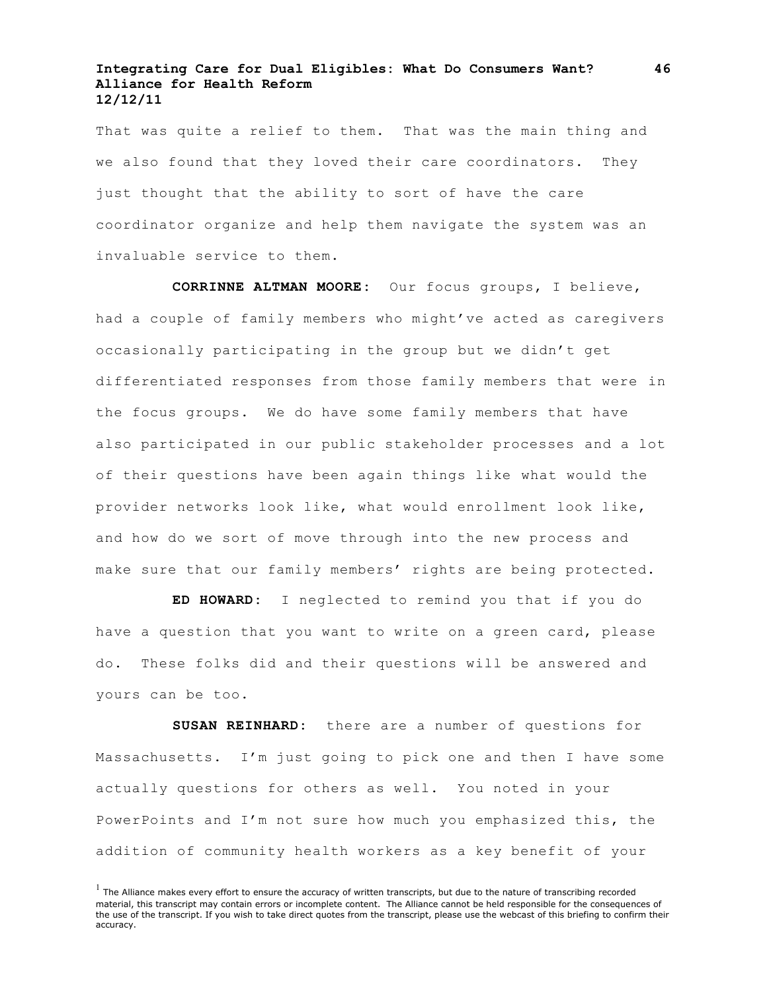That was quite a relief to them. That was the main thing and we also found that they loved their care coordinators. They just thought that the ability to sort of have the care coordinator organize and help them navigate the system was an invaluable service to them.

**CORRINNE ALTMAN MOORE:** Our focus groups, I believe, had a couple of family members who might've acted as caregivers occasionally participating in the group but we didn't get differentiated responses from those family members that were in the focus groups. We do have some family members that have also participated in our public stakeholder processes and a lot of their questions have been again things like what would the provider networks look like, what would enrollment look like, and how do we sort of move through into the new process and make sure that our family members' rights are being protected.

**ED HOWARD:** I neglected to remind you that if you do have a question that you want to write on a green card, please do. These folks did and their questions will be answered and yours can be too.

**SUSAN REINHARD:** there are a number of questions for Massachusetts. I'm just going to pick one and then I have some actually questions for others as well. You noted in your PowerPoints and I'm not sure how much you emphasized this, the addition of community health workers as a key benefit of your

 $<sup>1</sup>$  The Alliance makes every effort to ensure the accuracy of written transcripts, but due to the nature of transcribing recorded</sup> material, this transcript may contain errors or incomplete content. The Alliance cannot be held responsible for the consequences of the use of the transcript. If you wish to take direct quotes from the transcript, please use the webcast of this briefing to confirm their accuracy.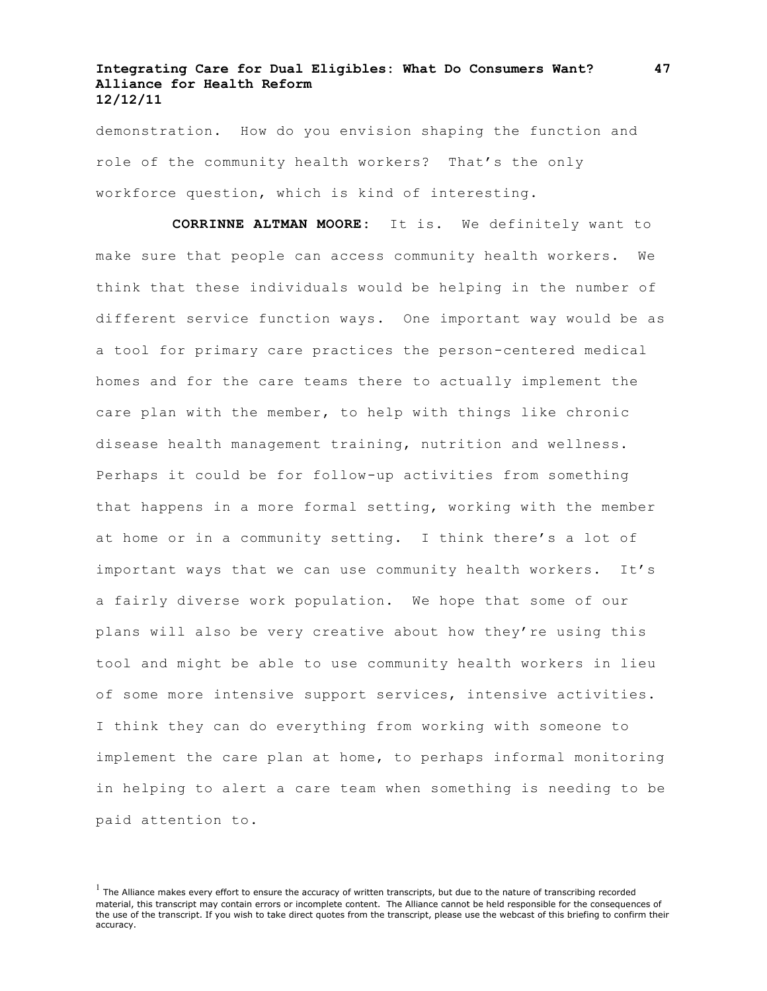demonstration. How do you envision shaping the function and role of the community health workers? That's the only workforce question, which is kind of interesting.

**CORRINNE ALTMAN MOORE:** It is. We definitely want to make sure that people can access community health workers. We think that these individuals would be helping in the number of different service function ways. One important way would be as a tool for primary care practices the person-centered medical homes and for the care teams there to actually implement the care plan with the member, to help with things like chronic disease health management training, nutrition and wellness. Perhaps it could be for follow-up activities from something that happens in a more formal setting, working with the member at home or in a community setting. I think there's a lot of important ways that we can use community health workers. It's a fairly diverse work population. We hope that some of our plans will also be very creative about how they're using this tool and might be able to use community health workers in lieu of some more intensive support services, intensive activities. I think they can do everything from working with someone to implement the care plan at home, to perhaps informal monitoring in helping to alert a care team when something is needing to be paid attention to.

 $<sup>1</sup>$  The Alliance makes every effort to ensure the accuracy of written transcripts, but due to the nature of transcribing recorded</sup> material, this transcript may contain errors or incomplete content. The Alliance cannot be held responsible for the consequences of the use of the transcript. If you wish to take direct quotes from the transcript, please use the webcast of this briefing to confirm their accuracy.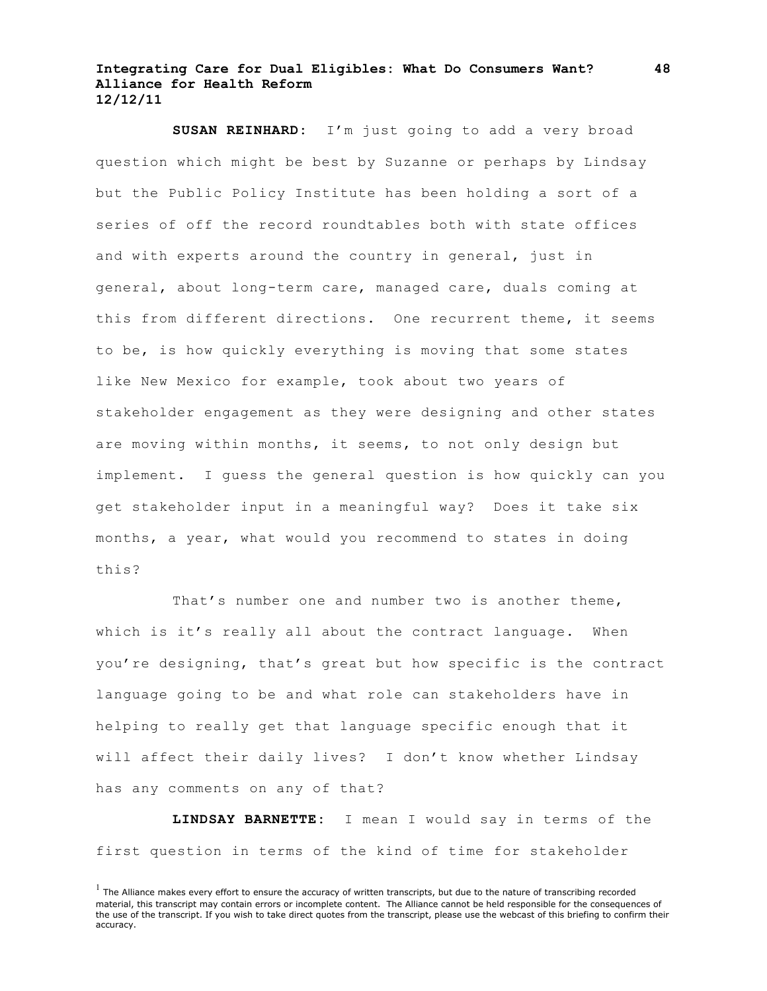**SUSAN REINHARD:** I'm just going to add a very broad question which might be best by Suzanne or perhaps by Lindsay but the Public Policy Institute has been holding a sort of a series of off the record roundtables both with state offices and with experts around the country in general, just in general, about long-term care, managed care, duals coming at this from different directions. One recurrent theme, it seems to be, is how quickly everything is moving that some states like New Mexico for example, took about two years of stakeholder engagement as they were designing and other states are moving within months, it seems, to not only design but implement. I guess the general question is how quickly can you get stakeholder input in a meaningful way? Does it take six months, a year, what would you recommend to states in doing this?

That's number one and number two is another theme, which is it's really all about the contract language. When you're designing, that's great but how specific is the contract language going to be and what role can stakeholders have in helping to really get that language specific enough that it will affect their daily lives? I don't know whether Lindsay has any comments on any of that?

**LINDSAY BARNETTE:** I mean I would say in terms of the first question in terms of the kind of time for stakeholder

 $<sup>1</sup>$  The Alliance makes every effort to ensure the accuracy of written transcripts, but due to the nature of transcribing recorded</sup> material, this transcript may contain errors or incomplete content. The Alliance cannot be held responsible for the consequences of the use of the transcript. If you wish to take direct quotes from the transcript, please use the webcast of this briefing to confirm their accuracy.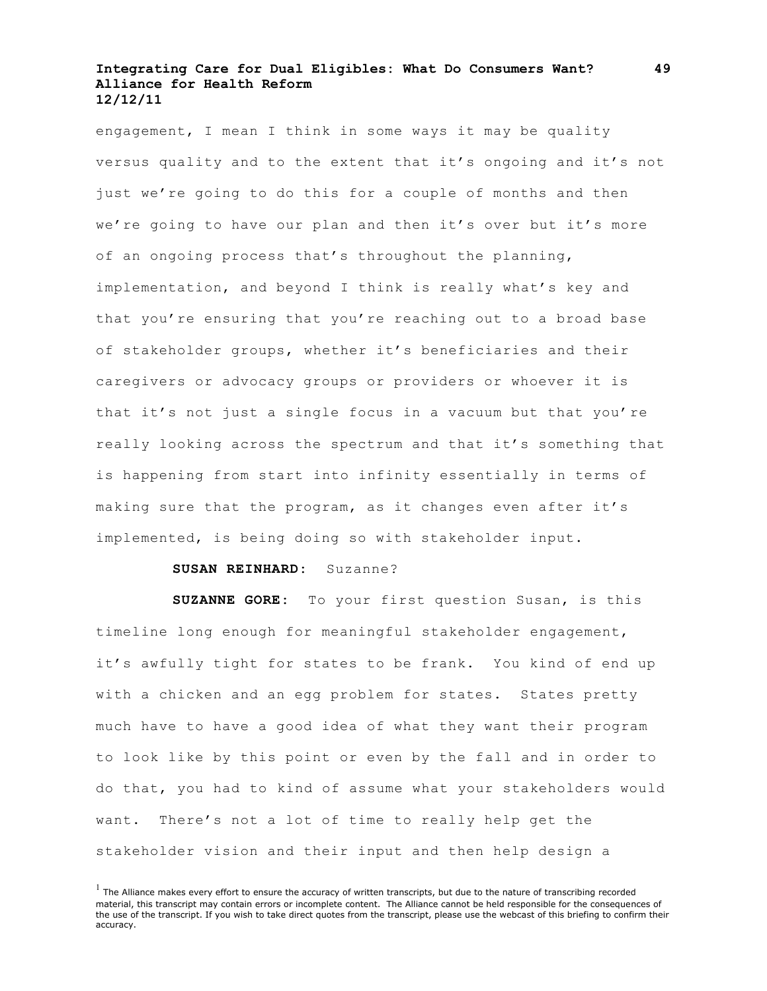engagement, I mean I think in some ways it may be quality versus quality and to the extent that it's ongoing and it's not just we're going to do this for a couple of months and then we're going to have our plan and then it's over but it's more of an ongoing process that's throughout the planning, implementation, and beyond I think is really what's key and that you're ensuring that you're reaching out to a broad base of stakeholder groups, whether it's beneficiaries and their caregivers or advocacy groups or providers or whoever it is that it's not just a single focus in a vacuum but that you're really looking across the spectrum and that it's something that is happening from start into infinity essentially in terms of making sure that the program, as it changes even after it's implemented, is being doing so with stakeholder input.

#### **SUSAN REINHARD:** Suzanne?

**SUZANNE GORE:** To your first question Susan, is this timeline long enough for meaningful stakeholder engagement, it's awfully tight for states to be frank. You kind of end up with a chicken and an egg problem for states. States pretty much have to have a good idea of what they want their program to look like by this point or even by the fall and in order to do that, you had to kind of assume what your stakeholders would want. There's not a lot of time to really help get the stakeholder vision and their input and then help design a

 $<sup>1</sup>$  The Alliance makes every effort to ensure the accuracy of written transcripts, but due to the nature of transcribing recorded</sup> material, this transcript may contain errors or incomplete content. The Alliance cannot be held responsible for the consequences of the use of the transcript. If you wish to take direct quotes from the transcript, please use the webcast of this briefing to confirm their accuracy.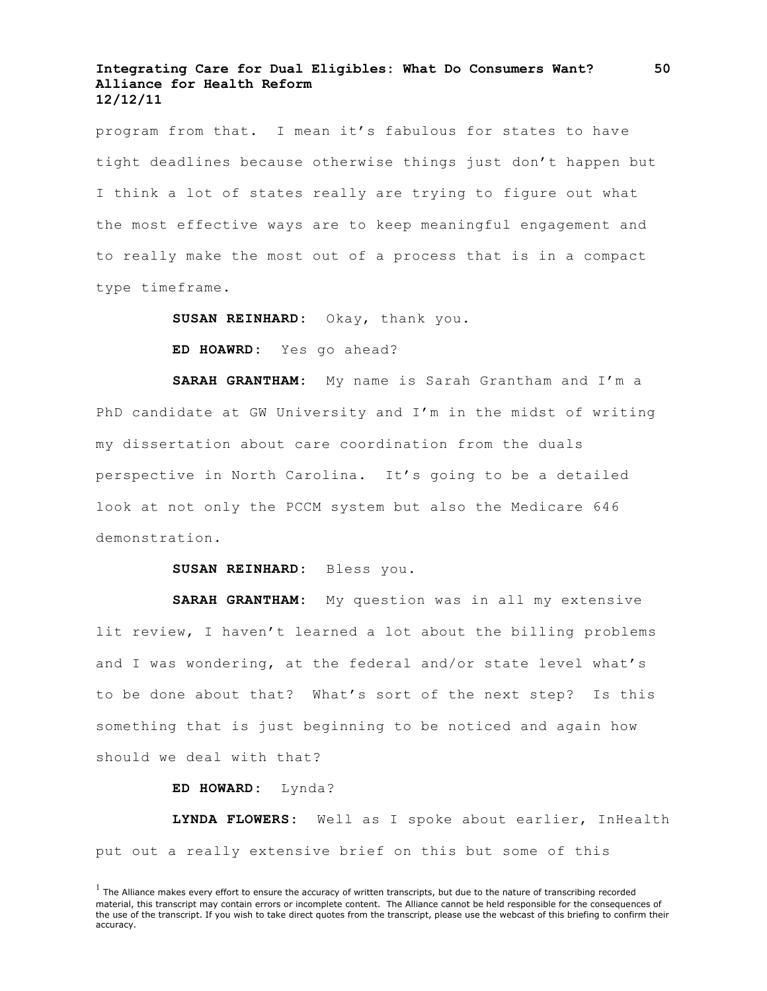program from that. I mean it's fabulous for states to have tight deadlines because otherwise things just don't happen but I think a lot of states really are trying to figure out what the most effective ways are to keep meaningful engagement and to really make the most out of a process that is in a compact type timeframe.

**SUSAN REINHARD:** Okay, thank you.

**ED HOAWRD:** Yes go ahead?

**SARAH GRANTHAM:** My name is Sarah Grantham and I'm a PhD candidate at GW University and I'm in the midst of writing my dissertation about care coordination from the duals perspective in North Carolina. It's going to be a detailed look at not only the PCCM system but also the Medicare 646 demonstration.

**SUSAN REINHARD:** Bless you.

**SARAH GRANTHAM:** My question was in all my extensive lit review, I haven't learned a lot about the billing problems and I was wondering, at the federal and/or state level what's to be done about that? What's sort of the next step? Is this something that is just beginning to be noticed and again how should we deal with that?

**ED HOWARD:** Lynda?

**LYNDA FLOWERS:** Well as I spoke about earlier, InHealth put out a really extensive brief on this but some of this

 $<sup>1</sup>$  The Alliance makes every effort to ensure the accuracy of written transcripts, but due to the nature of transcribing recorded</sup> material, this transcript may contain errors or incomplete content. The Alliance cannot be held responsible for the consequences of the use of the transcript. If you wish to take direct quotes from the transcript, please use the webcast of this briefing to confirm their accuracy.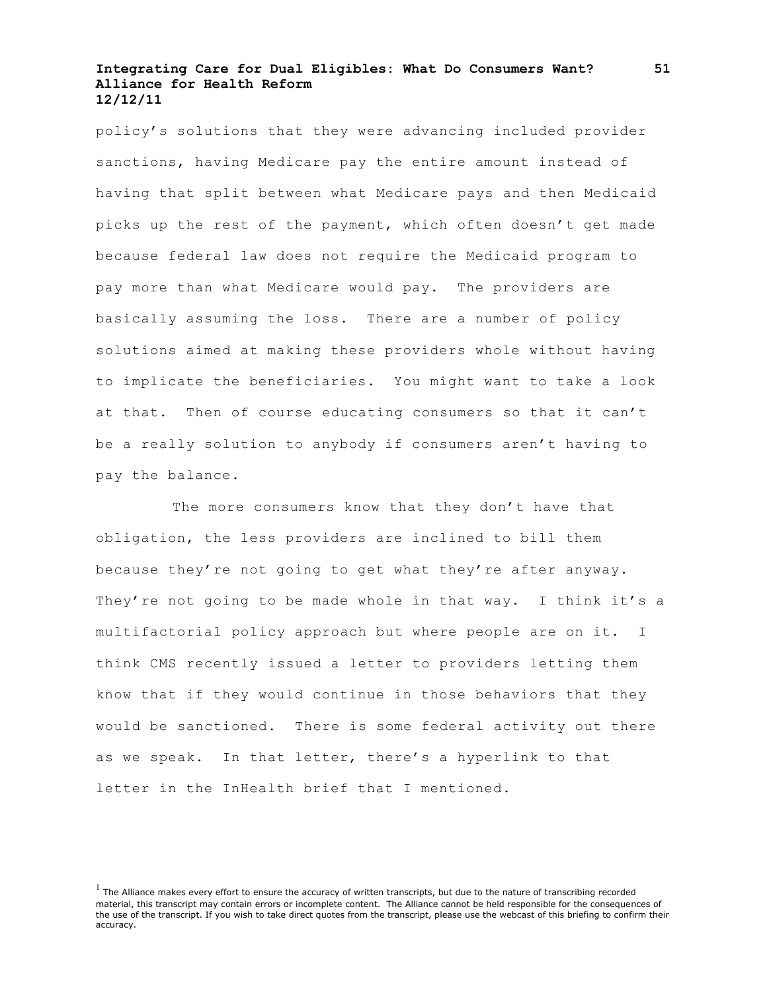policy's solutions that they were advancing included provider sanctions, having Medicare pay the entire amount instead of having that split between what Medicare pays and then Medicaid picks up the rest of the payment, which often doesn't get made because federal law does not require the Medicaid program to pay more than what Medicare would pay. The providers are basically assuming the loss. There are a number of policy solutions aimed at making these providers whole without having to implicate the beneficiaries. You might want to take a look at that. Then of course educating consumers so that it can't be a really solution to anybody if consumers aren't having to pay the balance.

The more consumers know that they don't have that obligation, the less providers are inclined to bill them because they're not going to get what they're after anyway. They're not going to be made whole in that way. I think it's a multifactorial policy approach but where people are on it. I think CMS recently issued a letter to providers letting them know that if they would continue in those behaviors that they would be sanctioned. There is some federal activity out there as we speak. In that letter, there's a hyperlink to that letter in the InHealth brief that I mentioned.

 $<sup>1</sup>$  The Alliance makes every effort to ensure the accuracy of written transcripts, but due to the nature of transcribing recorded</sup> material, this transcript may contain errors or incomplete content. The Alliance cannot be held responsible for the consequences of the use of the transcript. If you wish to take direct quotes from the transcript, please use the webcast of this briefing to confirm their accuracy.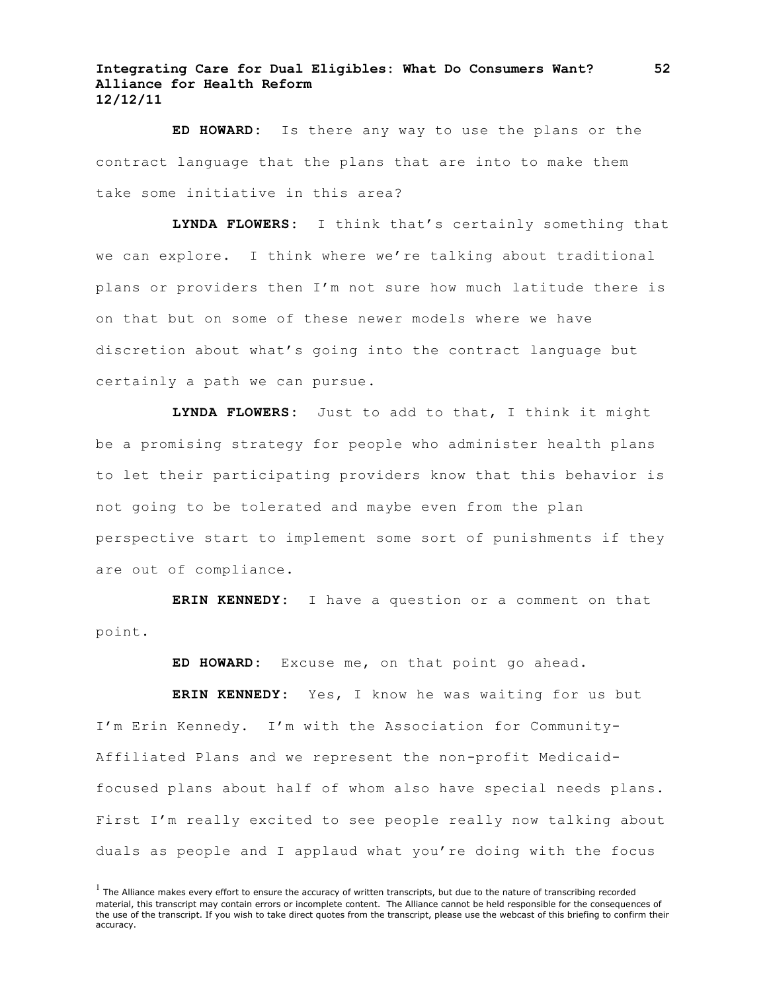**ED HOWARD:** Is there any way to use the plans or the contract language that the plans that are into to make them take some initiative in this area?

**LYNDA FLOWERS:** I think that's certainly something that we can explore. I think where we're talking about traditional plans or providers then I'm not sure how much latitude there is on that but on some of these newer models where we have discretion about what's going into the contract language but certainly a path we can pursue.

**LYNDA FLOWERS:** Just to add to that, I think it might be a promising strategy for people who administer health plans to let their participating providers know that this behavior is not going to be tolerated and maybe even from the plan perspective start to implement some sort of punishments if they are out of compliance.

**ERIN KENNEDY:** I have a question or a comment on that point.

**ED HOWARD:** Excuse me, on that point go ahead.

**ERIN KENNEDY:** Yes, I know he was waiting for us but I'm Erin Kennedy. I'm with the Association for Community-Affiliated Plans and we represent the non-profit Medicaidfocused plans about half of whom also have special needs plans. First I'm really excited to see people really now talking about duals as people and I applaud what you're doing with the focus

 $<sup>1</sup>$  The Alliance makes every effort to ensure the accuracy of written transcripts, but due to the nature of transcribing recorded</sup> material, this transcript may contain errors or incomplete content. The Alliance cannot be held responsible for the consequences of the use of the transcript. If you wish to take direct quotes from the transcript, please use the webcast of this briefing to confirm their accuracy.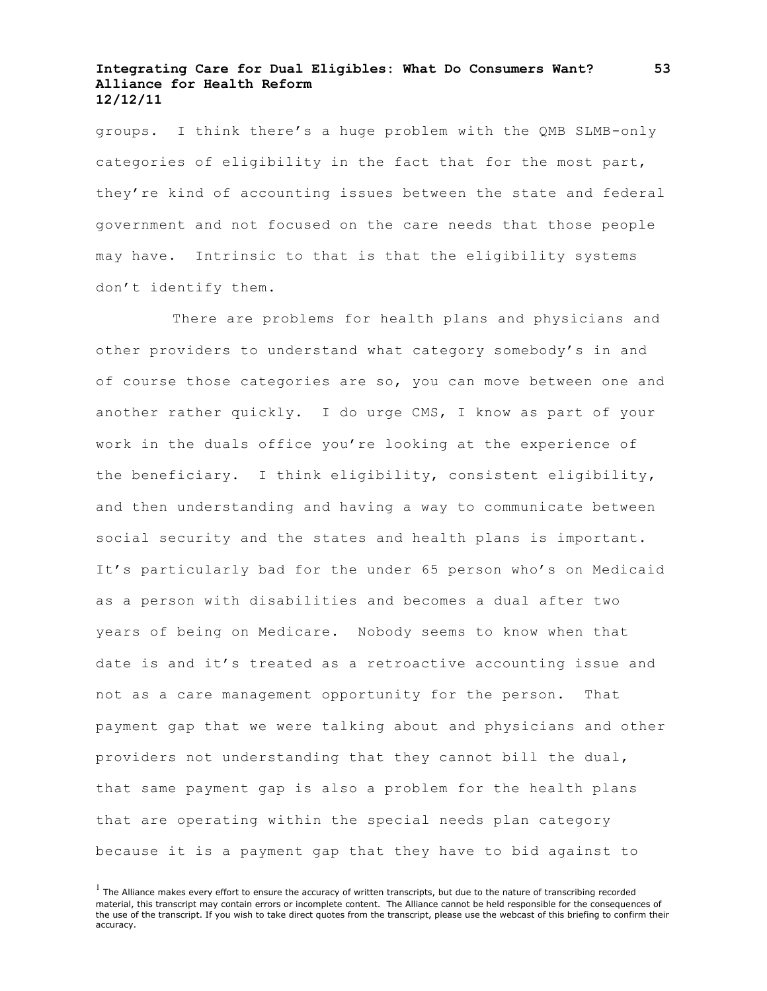groups. I think there's a huge problem with the QMB SLMB-only categories of eligibility in the fact that for the most part, they're kind of accounting issues between the state and federal government and not focused on the care needs that those people may have. Intrinsic to that is that the eligibility systems don't identify them.

There are problems for health plans and physicians and other providers to understand what category somebody's in and of course those categories are so, you can move between one and another rather quickly. I do urge CMS, I know as part of your work in the duals office you're looking at the experience of the beneficiary. I think eligibility, consistent eligibility, and then understanding and having a way to communicate between social security and the states and health plans is important. It's particularly bad for the under 65 person who's on Medicaid as a person with disabilities and becomes a dual after two years of being on Medicare. Nobody seems to know when that date is and it's treated as a retroactive accounting issue and not as a care management opportunity for the person. That payment gap that we were talking about and physicians and other providers not understanding that they cannot bill the dual, that same payment gap is also a problem for the health plans that are operating within the special needs plan category because it is a payment gap that they have to bid against to

 $<sup>1</sup>$  The Alliance makes every effort to ensure the accuracy of written transcripts, but due to the nature of transcribing recorded</sup> material, this transcript may contain errors or incomplete content. The Alliance cannot be held responsible for the consequences of the use of the transcript. If you wish to take direct quotes from the transcript, please use the webcast of this briefing to confirm their accuracy.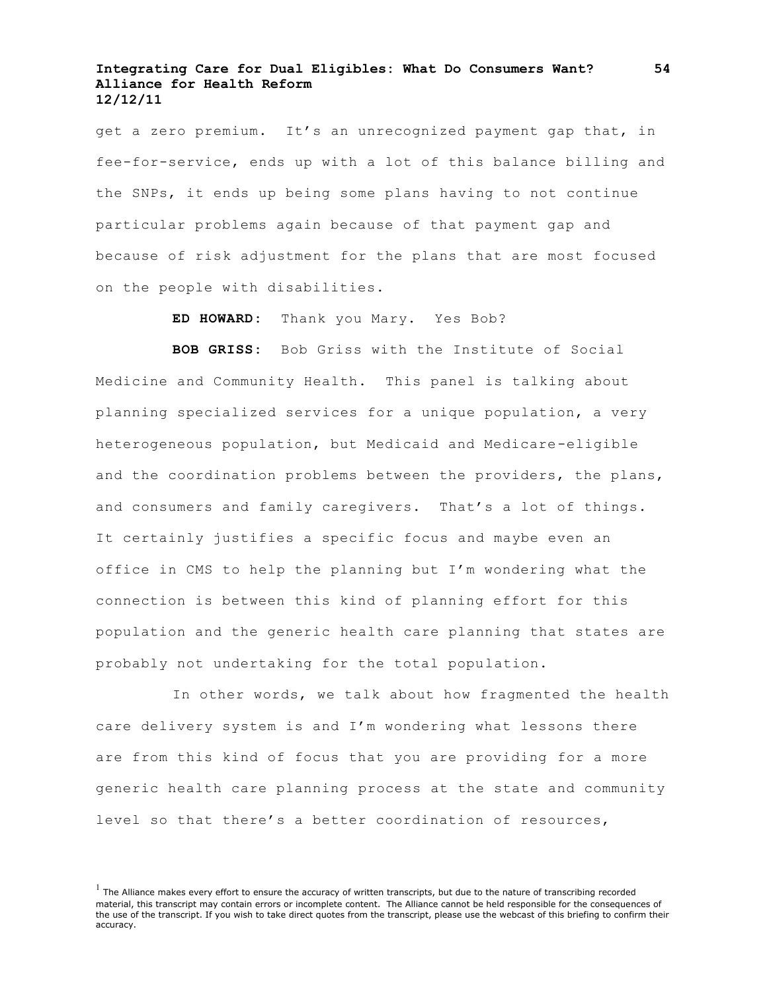get a zero premium. It's an unrecognized payment gap that, in fee-for-service, ends up with a lot of this balance billing and the SNPs, it ends up being some plans having to not continue particular problems again because of that payment gap and because of risk adjustment for the plans that are most focused on the people with disabilities.

**ED HOWARD:** Thank you Mary. Yes Bob?

**BOB GRISS:** Bob Griss with the Institute of Social Medicine and Community Health. This panel is talking about planning specialized services for a unique population, a very heterogeneous population, but Medicaid and Medicare-eligible and the coordination problems between the providers, the plans, and consumers and family caregivers. That's a lot of things. It certainly justifies a specific focus and maybe even an office in CMS to help the planning but I'm wondering what the connection is between this kind of planning effort for this population and the generic health care planning that states are probably not undertaking for the total population.

In other words, we talk about how fragmented the health care delivery system is and I'm wondering what lessons there are from this kind of focus that you are providing for a more generic health care planning process at the state and community level so that there's a better coordination of resources,

 $<sup>1</sup>$  The Alliance makes every effort to ensure the accuracy of written transcripts, but due to the nature of transcribing recorded</sup> material, this transcript may contain errors or incomplete content. The Alliance cannot be held responsible for the consequences of the use of the transcript. If you wish to take direct quotes from the transcript, please use the webcast of this briefing to confirm their accuracy.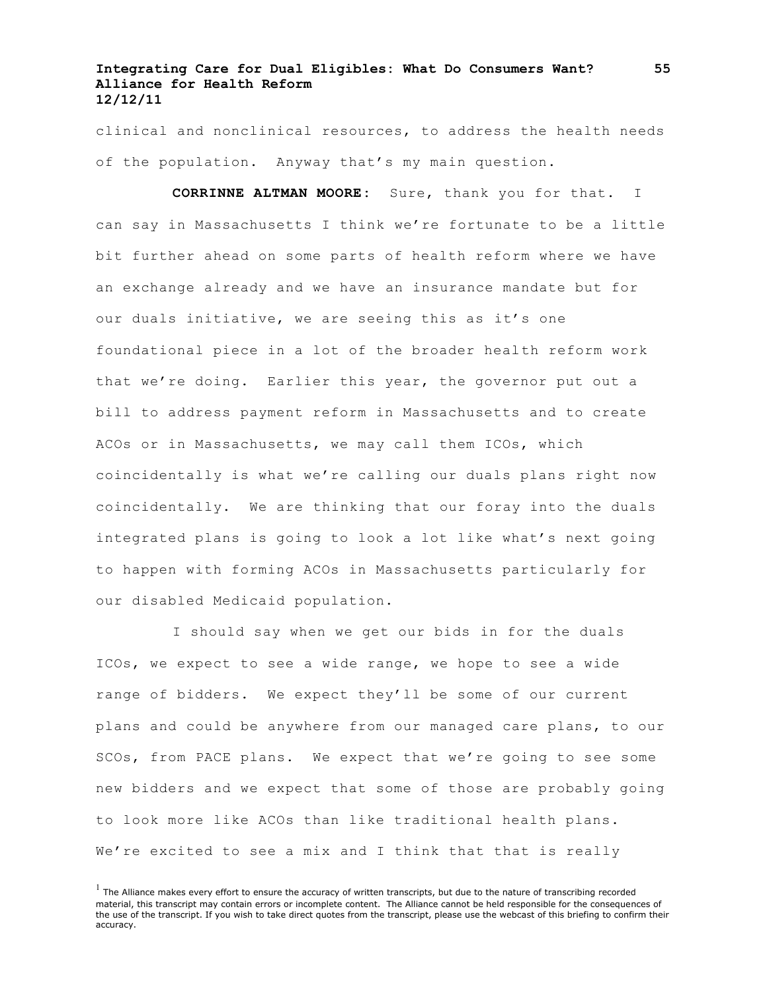clinical and nonclinical resources, to address the health needs of the population. Anyway that's my main question.

**CORRINNE ALTMAN MOORE:** Sure, thank you for that. I can say in Massachusetts I think we're fortunate to be a little bit further ahead on some parts of health reform where we have an exchange already and we have an insurance mandate but for our duals initiative, we are seeing this as it's one foundational piece in a lot of the broader health reform work that we're doing. Earlier this year, the governor put out a bill to address payment reform in Massachusetts and to create ACOs or in Massachusetts, we may call them ICOs, which coincidentally is what we're calling our duals plans right now coincidentally. We are thinking that our foray into the duals integrated plans is going to look a lot like what's next going to happen with forming ACOs in Massachusetts particularly for our disabled Medicaid population.

I should say when we get our bids in for the duals ICOs, we expect to see a wide range, we hope to see a wide range of bidders. We expect they'll be some of our current plans and could be anywhere from our managed care plans, to our SCOs, from PACE plans. We expect that we're going to see some new bidders and we expect that some of those are probably going to look more like ACOs than like traditional health plans. We're excited to see a mix and I think that that is really

 $<sup>1</sup>$  The Alliance makes every effort to ensure the accuracy of written transcripts, but due to the nature of transcribing recorded</sup> material, this transcript may contain errors or incomplete content. The Alliance cannot be held responsible for the consequences of the use of the transcript. If you wish to take direct quotes from the transcript, please use the webcast of this briefing to confirm their accuracy.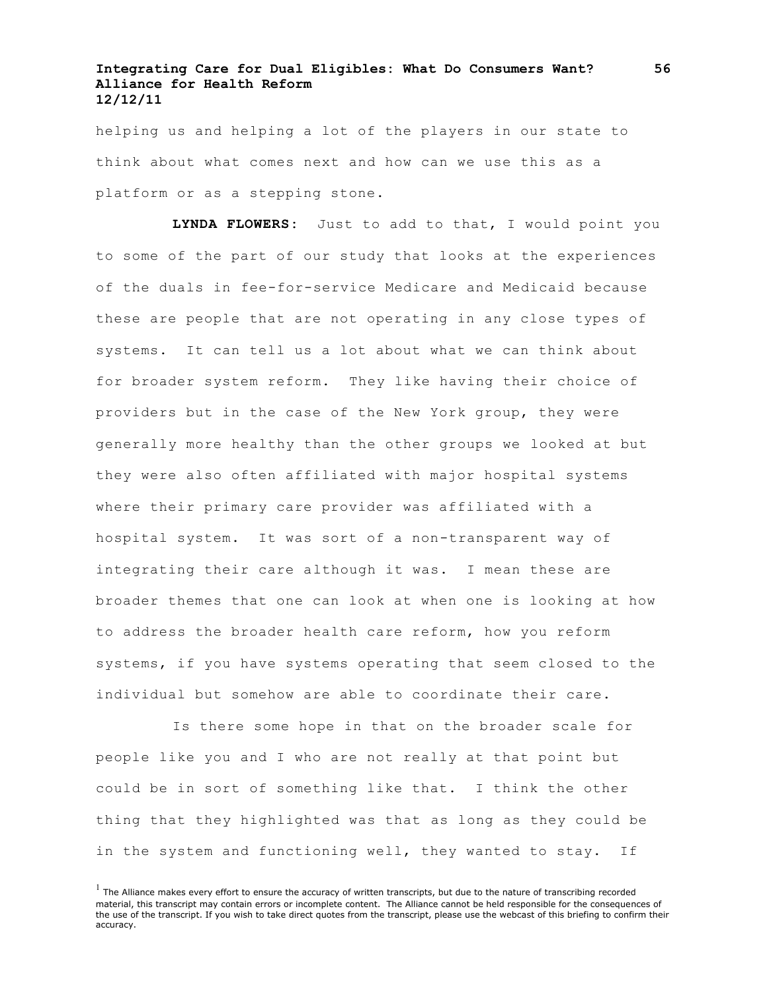helping us and helping a lot of the players in our state to think about what comes next and how can we use this as a platform or as a stepping stone.

**LYNDA FLOWERS:** Just to add to that, I would point you to some of the part of our study that looks at the experiences of the duals in fee-for-service Medicare and Medicaid because these are people that are not operating in any close types of systems. It can tell us a lot about what we can think about for broader system reform. They like having their choice of providers but in the case of the New York group, they were generally more healthy than the other groups we looked at but they were also often affiliated with major hospital systems where their primary care provider was affiliated with a hospital system. It was sort of a non-transparent way of integrating their care although it was. I mean these are broader themes that one can look at when one is looking at how to address the broader health care reform, how you reform systems, if you have systems operating that seem closed to the individual but somehow are able to coordinate their care.

Is there some hope in that on the broader scale for people like you and I who are not really at that point but could be in sort of something like that. I think the other thing that they highlighted was that as long as they could be in the system and functioning well, they wanted to stay. If

 $<sup>1</sup>$  The Alliance makes every effort to ensure the accuracy of written transcripts, but due to the nature of transcribing recorded</sup> material, this transcript may contain errors or incomplete content. The Alliance cannot be held responsible for the consequences of the use of the transcript. If you wish to take direct quotes from the transcript, please use the webcast of this briefing to confirm their accuracy.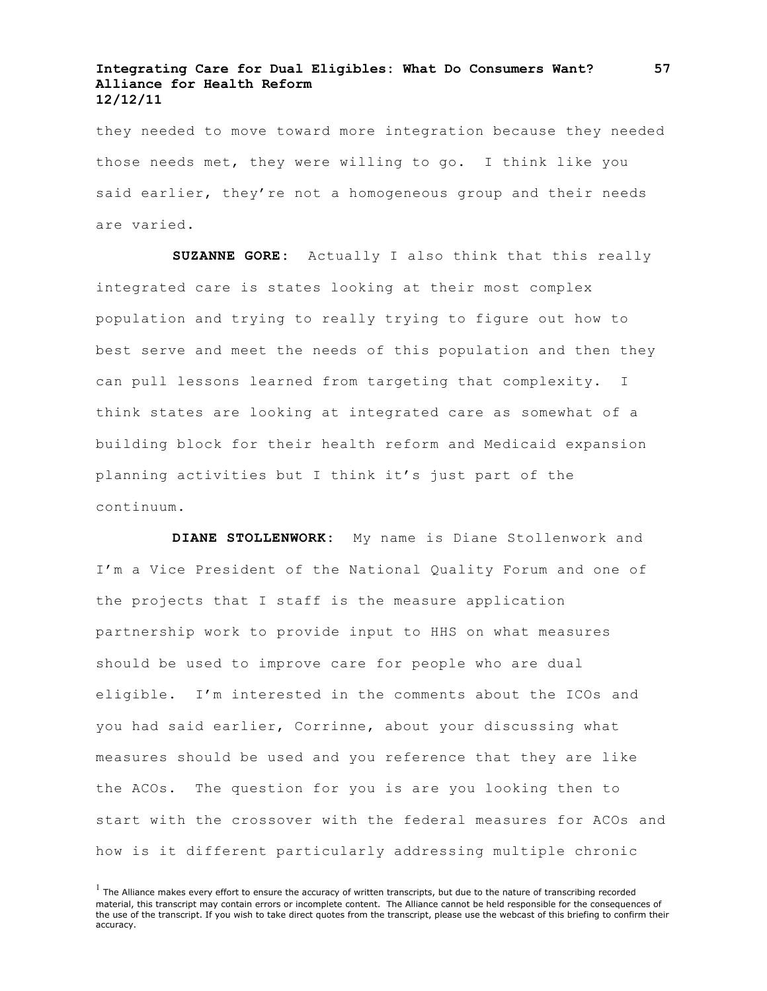they needed to move toward more integration because they needed those needs met, they were willing to go. I think like you said earlier, they're not a homogeneous group and their needs are varied.

**SUZANNE GORE:** Actually I also think that this really integrated care is states looking at their most complex population and trying to really trying to figure out how to best serve and meet the needs of this population and then they can pull lessons learned from targeting that complexity. I think states are looking at integrated care as somewhat of a building block for their health reform and Medicaid expansion planning activities but I think it's just part of the continuum.

**DIANE STOLLENWORK:** My name is Diane Stollenwork and I'm a Vice President of the National Quality Forum and one of the projects that I staff is the measure application partnership work to provide input to HHS on what measures should be used to improve care for people who are dual eligible. I'm interested in the comments about the ICOs and you had said earlier, Corrinne, about your discussing what measures should be used and you reference that they are like the ACOs. The question for you is are you looking then to start with the crossover with the federal measures for ACOs and how is it different particularly addressing multiple chronic

 $<sup>1</sup>$  The Alliance makes every effort to ensure the accuracy of written transcripts, but due to the nature of transcribing recorded</sup> material, this transcript may contain errors or incomplete content. The Alliance cannot be held responsible for the consequences of the use of the transcript. If you wish to take direct quotes from the transcript, please use the webcast of this briefing to confirm their accuracy.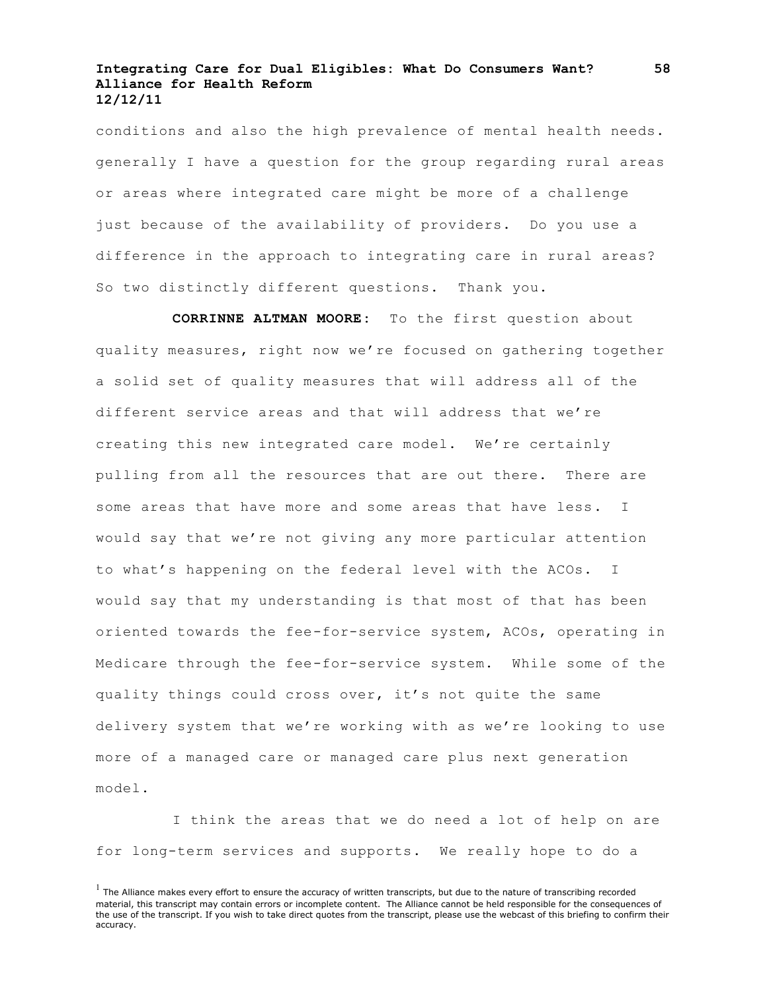conditions and also the high prevalence of mental health needs. generally I have a question for the group regarding rural areas or areas where integrated care might be more of a challenge just because of the availability of providers. Do you use a difference in the approach to integrating care in rural areas? So two distinctly different questions. Thank you.

**CORRINNE ALTMAN MOORE:** To the first question about quality measures, right now we're focused on gathering together a solid set of quality measures that will address all of the different service areas and that will address that we're creating this new integrated care model. We're certainly pulling from all the resources that are out there. There are some areas that have more and some areas that have less. I would say that we're not giving any more particular attention to what's happening on the federal level with the ACOs. I would say that my understanding is that most of that has been oriented towards the fee-for-service system, ACOs, operating in Medicare through the fee-for-service system. While some of the quality things could cross over, it's not quite the same delivery system that we're working with as we're looking to use more of a managed care or managed care plus next generation model.

I think the areas that we do need a lot of help on are for long-term services and supports. We really hope to do a

 $<sup>1</sup>$  The Alliance makes every effort to ensure the accuracy of written transcripts, but due to the nature of transcribing recorded</sup> material, this transcript may contain errors or incomplete content. The Alliance cannot be held responsible for the consequences of the use of the transcript. If you wish to take direct quotes from the transcript, please use the webcast of this briefing to confirm their accuracy.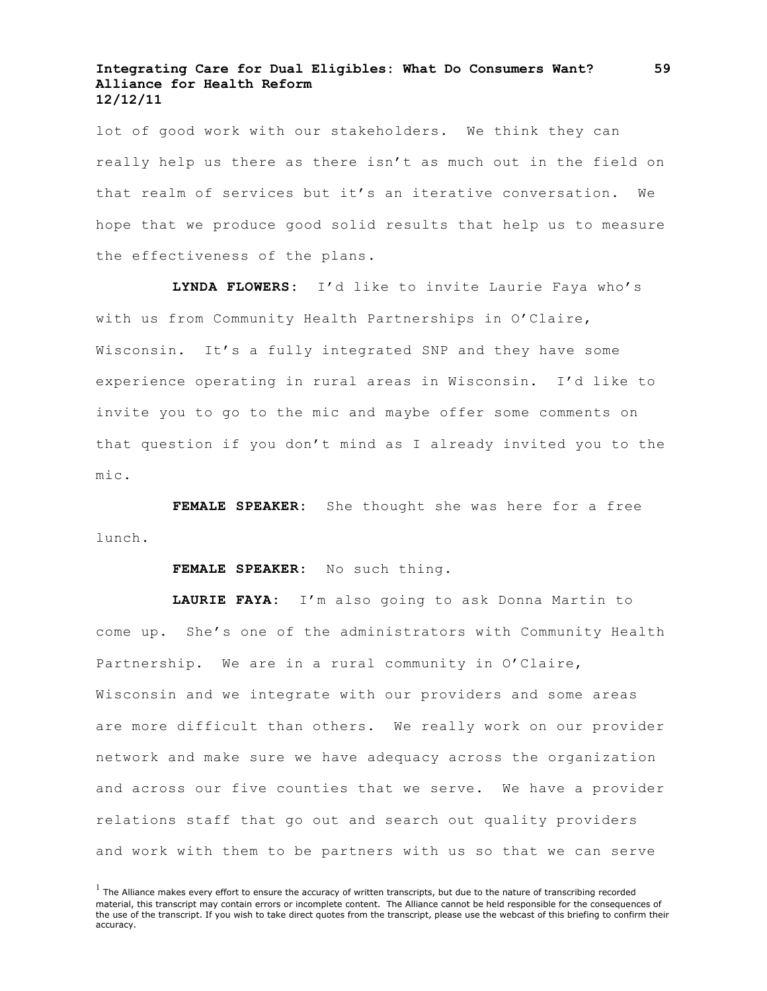lot of good work with our stakeholders. We think they can really help us there as there isn't as much out in the field on that realm of services but it's an iterative conversation. We hope that we produce good solid results that help us to measure the effectiveness of the plans.

**LYNDA FLOWERS:** I'd like to invite Laurie Faya who's with us from Community Health Partnerships in O'Claire, Wisconsin. It's a fully integrated SNP and they have some experience operating in rural areas in Wisconsin. I'd like to invite you to go to the mic and maybe offer some comments on that question if you don't mind as I already invited you to the mic.

**FEMALE SPEAKER:** She thought she was here for a free lunch.

**FEMALE SPEAKER:** No such thing.

**LAURIE FAYA:** I'm also going to ask Donna Martin to come up. She's one of the administrators with Community Health Partnership. We are in a rural community in O'Claire, Wisconsin and we integrate with our providers and some areas are more difficult than others. We really work on our provider network and make sure we have adequacy across the organization and across our five counties that we serve. We have a provider relations staff that go out and search out quality providers and work with them to be partners with us so that we can serve

 $<sup>1</sup>$  The Alliance makes every effort to ensure the accuracy of written transcripts, but due to the nature of transcribing recorded</sup> material, this transcript may contain errors or incomplete content. The Alliance cannot be held responsible for the consequences of the use of the transcript. If you wish to take direct quotes from the transcript, please use the webcast of this briefing to confirm their accuracy.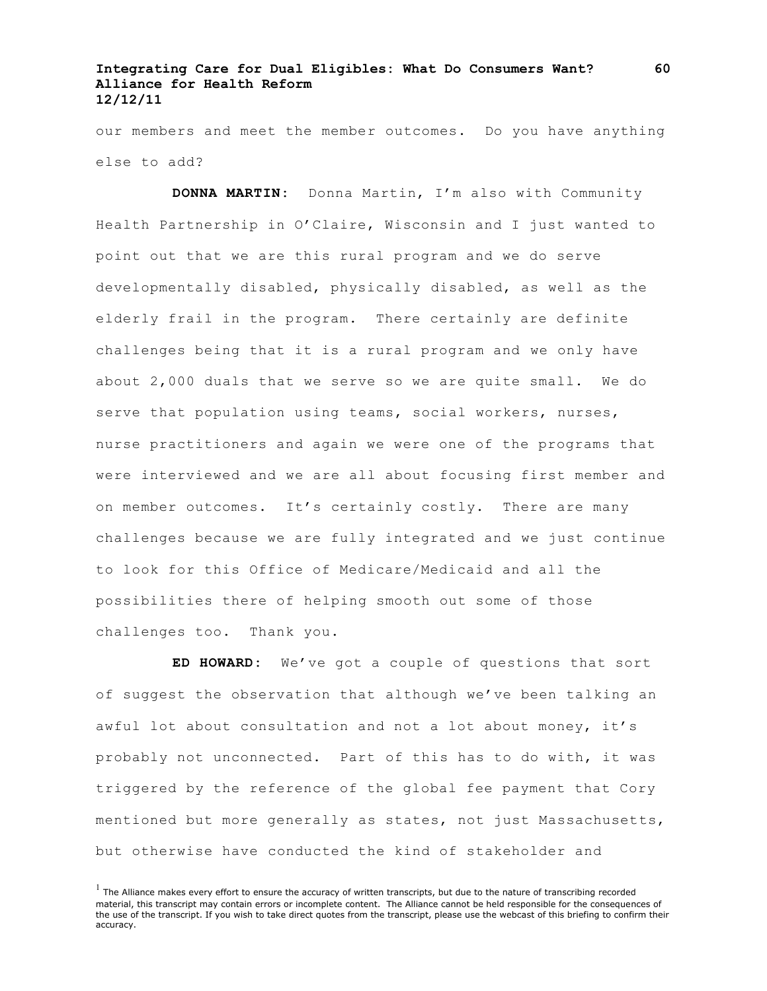our members and meet the member outcomes. Do you have anything else to add?

**DONNA MARTIN:** Donna Martin, I'm also with Community Health Partnership in O'Claire, Wisconsin and I just wanted to point out that we are this rural program and we do serve developmentally disabled, physically disabled, as well as the elderly frail in the program. There certainly are definite challenges being that it is a rural program and we only have about 2,000 duals that we serve so we are quite small. We do serve that population using teams, social workers, nurses, nurse practitioners and again we were one of the programs that were interviewed and we are all about focusing first member and on member outcomes. It's certainly costly. There are many challenges because we are fully integrated and we just continue to look for this Office of Medicare/Medicaid and all the possibilities there of helping smooth out some of those challenges too. Thank you.

**ED HOWARD:** We've got a couple of questions that sort of suggest the observation that although we've been talking an awful lot about consultation and not a lot about money, it's probably not unconnected. Part of this has to do with, it was triggered by the reference of the global fee payment that Cory mentioned but more generally as states, not just Massachusetts, but otherwise have conducted the kind of stakeholder and

 $<sup>1</sup>$  The Alliance makes every effort to ensure the accuracy of written transcripts, but due to the nature of transcribing recorded</sup> material, this transcript may contain errors or incomplete content. The Alliance cannot be held responsible for the consequences of the use of the transcript. If you wish to take direct quotes from the transcript, please use the webcast of this briefing to confirm their accuracy.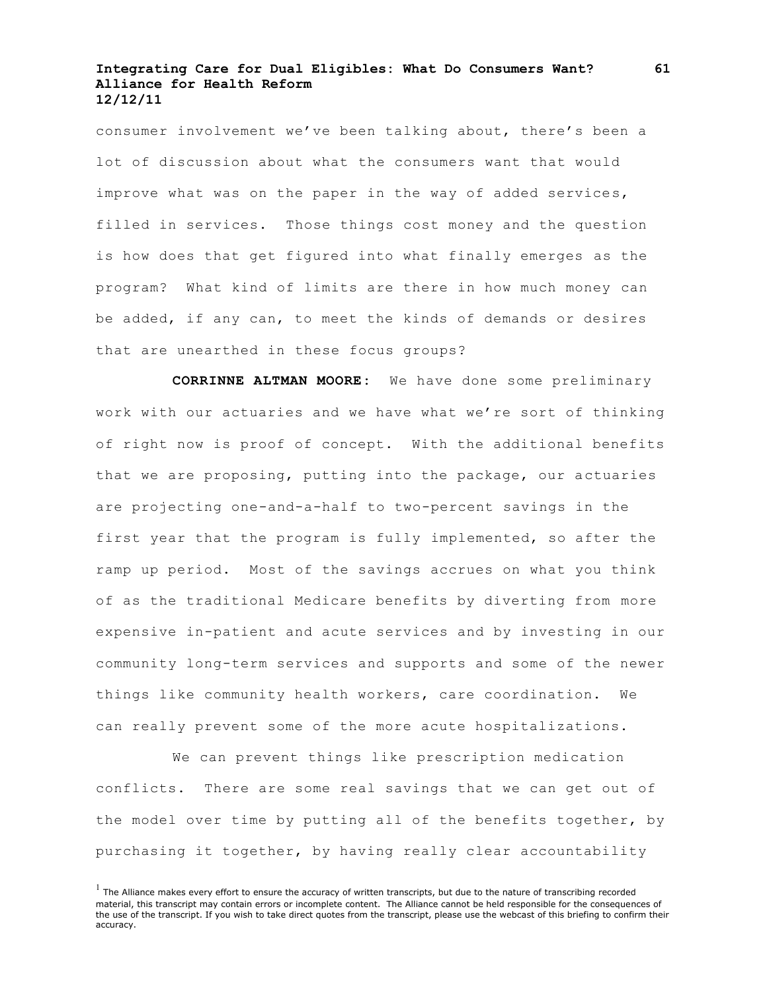consumer involvement we've been talking about, there's been a lot of discussion about what the consumers want that would improve what was on the paper in the way of added services, filled in services. Those things cost money and the question is how does that get figured into what finally emerges as the program? What kind of limits are there in how much money can be added, if any can, to meet the kinds of demands or desires that are unearthed in these focus groups?

**CORRINNE ALTMAN MOORE:** We have done some preliminary work with our actuaries and we have what we're sort of thinking of right now is proof of concept. With the additional benefits that we are proposing, putting into the package, our actuaries are projecting one-and-a-half to two-percent savings in the first year that the program is fully implemented, so after the ramp up period. Most of the savings accrues on what you think of as the traditional Medicare benefits by diverting from more expensive in-patient and acute services and by investing in our community long-term services and supports and some of the newer things like community health workers, care coordination. We can really prevent some of the more acute hospitalizations.

We can prevent things like prescription medication conflicts. There are some real savings that we can get out of the model over time by putting all of the benefits together, by purchasing it together, by having really clear accountability

 $<sup>1</sup>$  The Alliance makes every effort to ensure the accuracy of written transcripts, but due to the nature of transcribing recorded</sup> material, this transcript may contain errors or incomplete content. The Alliance cannot be held responsible for the consequences of the use of the transcript. If you wish to take direct quotes from the transcript, please use the webcast of this briefing to confirm their accuracy.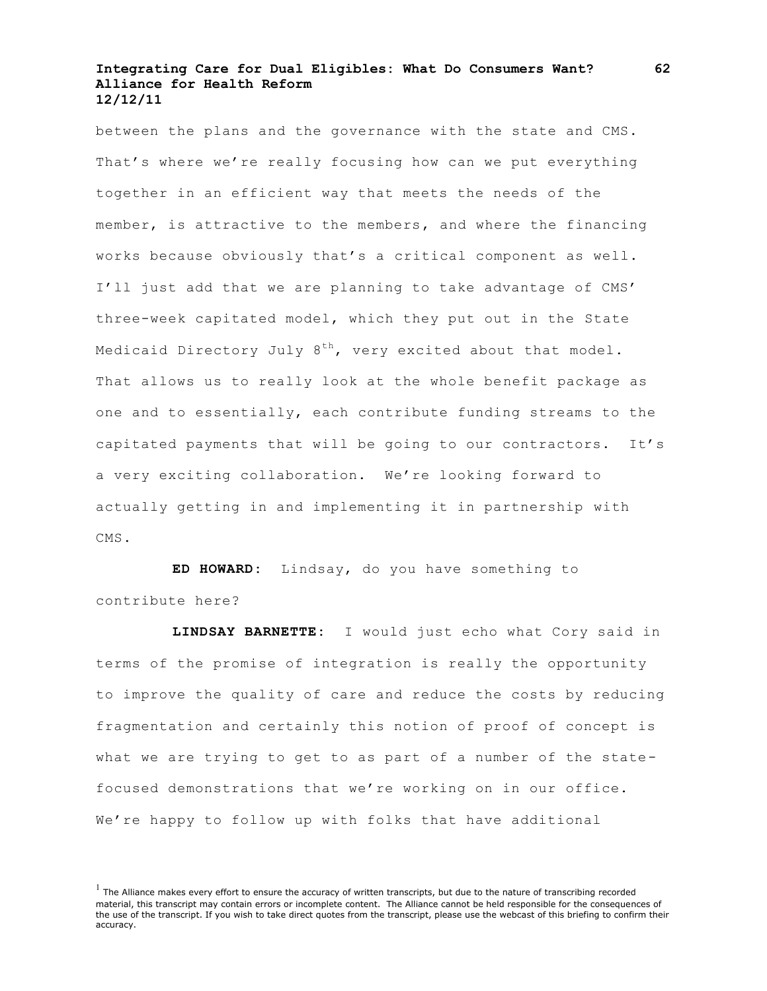between the plans and the governance with the state and CMS. That's where we're really focusing how can we put everything together in an efficient way that meets the needs of the member, is attractive to the members, and where the financing works because obviously that's a critical component as well. I'll just add that we are planning to take advantage of CMS' three-week capitated model, which they put out in the State Medicaid Directory July  $8^{th}$ , very excited about that model. That allows us to really look at the whole benefit package as one and to essentially, each contribute funding streams to the capitated payments that will be going to our contractors. It's a very exciting collaboration. We're looking forward to actually getting in and implementing it in partnership with CMS.

**ED HOWARD:** Lindsay, do you have something to contribute here?

**LINDSAY BARNETTE:** I would just echo what Cory said in terms of the promise of integration is really the opportunity to improve the quality of care and reduce the costs by reducing fragmentation and certainly this notion of proof of concept is what we are trying to get to as part of a number of the statefocused demonstrations that we're working on in our office. We're happy to follow up with folks that have additional

 $<sup>1</sup>$  The Alliance makes every effort to ensure the accuracy of written transcripts, but due to the nature of transcribing recorded</sup> material, this transcript may contain errors or incomplete content. The Alliance cannot be held responsible for the consequences of the use of the transcript. If you wish to take direct quotes from the transcript, please use the webcast of this briefing to confirm their accuracy.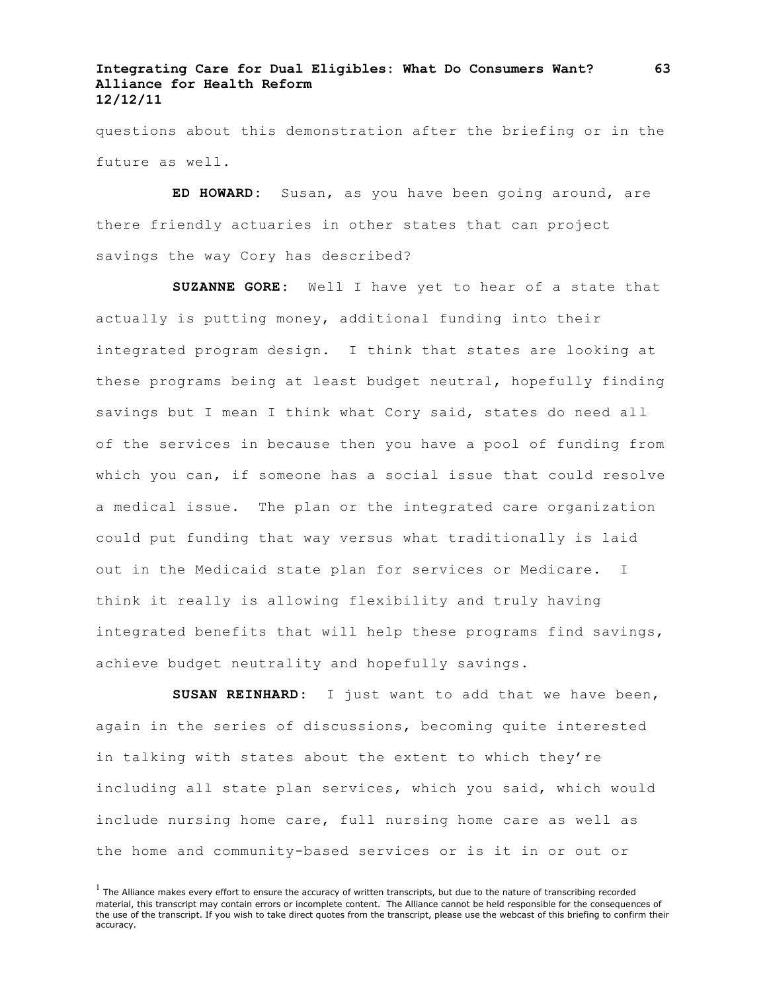questions about this demonstration after the briefing or in the future as well.

**ED HOWARD:** Susan, as you have been going around, are there friendly actuaries in other states that can project savings the way Cory has described?

**SUZANNE GORE:** Well I have yet to hear of a state that actually is putting money, additional funding into their integrated program design. I think that states are looking at these programs being at least budget neutral, hopefully finding savings but I mean I think what Cory said, states do need all of the services in because then you have a pool of funding from which you can, if someone has a social issue that could resolve a medical issue. The plan or the integrated care organization could put funding that way versus what traditionally is laid out in the Medicaid state plan for services or Medicare. I think it really is allowing flexibility and truly having integrated benefits that will help these programs find savings, achieve budget neutrality and hopefully savings.

**SUSAN REINHARD:** I just want to add that we have been, again in the series of discussions, becoming quite interested in talking with states about the extent to which they're including all state plan services, which you said, which would include nursing home care, full nursing home care as well as the home and community-based services or is it in or out or

**63**

 $<sup>1</sup>$  The Alliance makes every effort to ensure the accuracy of written transcripts, but due to the nature of transcribing recorded</sup> material, this transcript may contain errors or incomplete content. The Alliance cannot be held responsible for the consequences of the use of the transcript. If you wish to take direct quotes from the transcript, please use the webcast of this briefing to confirm their accuracy.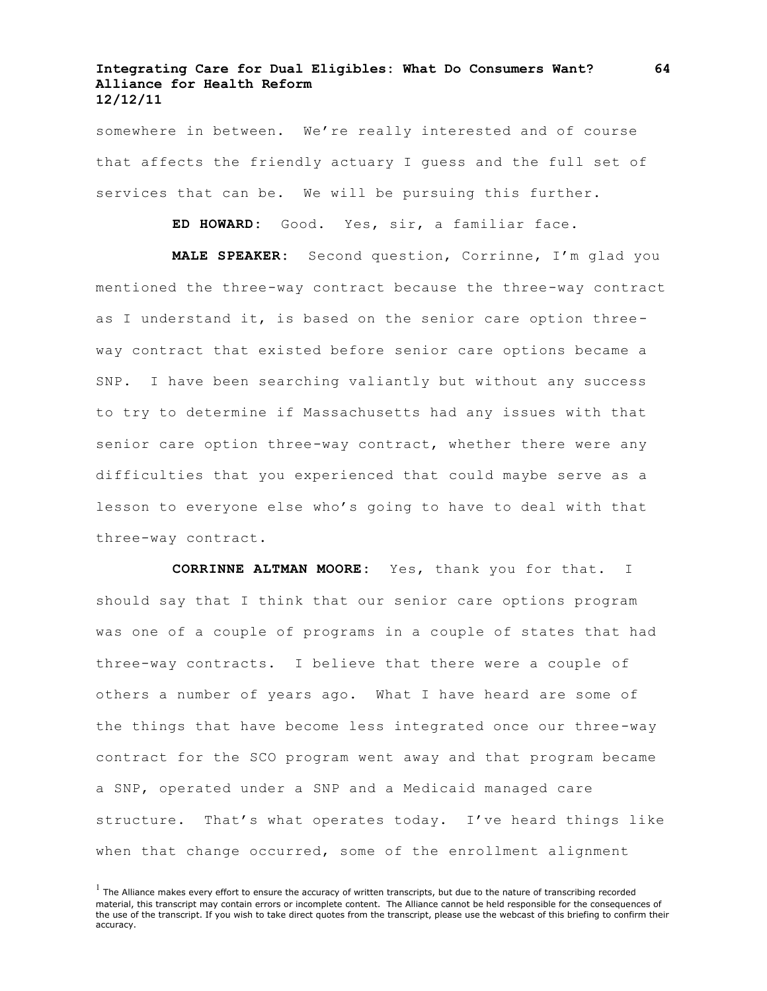somewhere in between. We're really interested and of course that affects the friendly actuary I guess and the full set of services that can be. We will be pursuing this further.

**ED HOWARD:** Good. Yes, sir, a familiar face.

**MALE SPEAKER:** Second question, Corrinne, I'm glad you mentioned the three-way contract because the three-way contract as I understand it, is based on the senior care option threeway contract that existed before senior care options became a SNP. I have been searching valiantly but without any success to try to determine if Massachusetts had any issues with that senior care option three-way contract, whether there were any difficulties that you experienced that could maybe serve as a lesson to everyone else who's going to have to deal with that three-way contract.

**CORRINNE ALTMAN MOORE:** Yes, thank you for that. I should say that I think that our senior care options program was one of a couple of programs in a couple of states that had three-way contracts. I believe that there were a couple of others a number of years ago. What I have heard are some of the things that have become less integrated once our three-way contract for the SCO program went away and that program became a SNP, operated under a SNP and a Medicaid managed care structure. That's what operates today. I've heard things like when that change occurred, some of the enrollment alignment

 $<sup>1</sup>$  The Alliance makes every effort to ensure the accuracy of written transcripts, but due to the nature of transcribing recorded</sup> material, this transcript may contain errors or incomplete content. The Alliance cannot be held responsible for the consequences of the use of the transcript. If you wish to take direct quotes from the transcript, please use the webcast of this briefing to confirm their accuracy.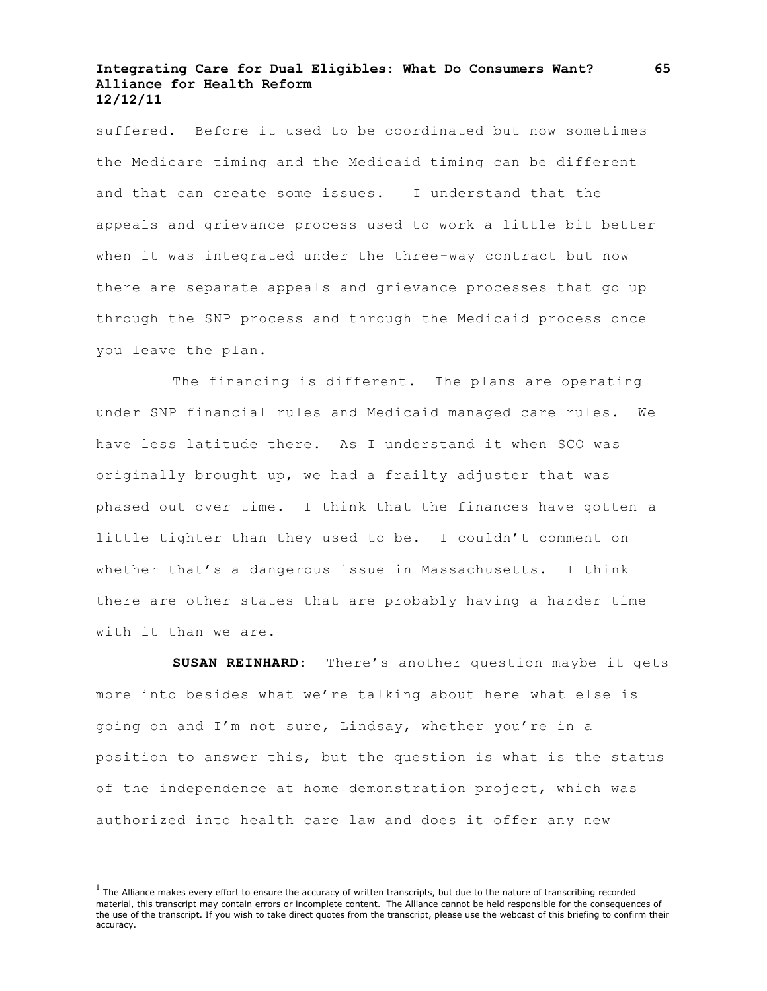suffered. Before it used to be coordinated but now sometimes the Medicare timing and the Medicaid timing can be different and that can create some issues. I understand that the appeals and grievance process used to work a little bit better when it was integrated under the three-way contract but now there are separate appeals and grievance processes that go up through the SNP process and through the Medicaid process once you leave the plan.

The financing is different. The plans are operating under SNP financial rules and Medicaid managed care rules. We have less latitude there. As I understand it when SCO was originally brought up, we had a frailty adjuster that was phased out over time. I think that the finances have gotten a little tighter than they used to be. I couldn't comment on whether that's a dangerous issue in Massachusetts. I think there are other states that are probably having a harder time with it than we are.

**SUSAN REINHARD:** There's another question maybe it gets more into besides what we're talking about here what else is going on and I'm not sure, Lindsay, whether you're in a position to answer this, but the question is what is the status of the independence at home demonstration project, which was authorized into health care law and does it offer any new

 $<sup>1</sup>$  The Alliance makes every effort to ensure the accuracy of written transcripts, but due to the nature of transcribing recorded</sup> material, this transcript may contain errors or incomplete content. The Alliance cannot be held responsible for the consequences of the use of the transcript. If you wish to take direct quotes from the transcript, please use the webcast of this briefing to confirm their accuracy.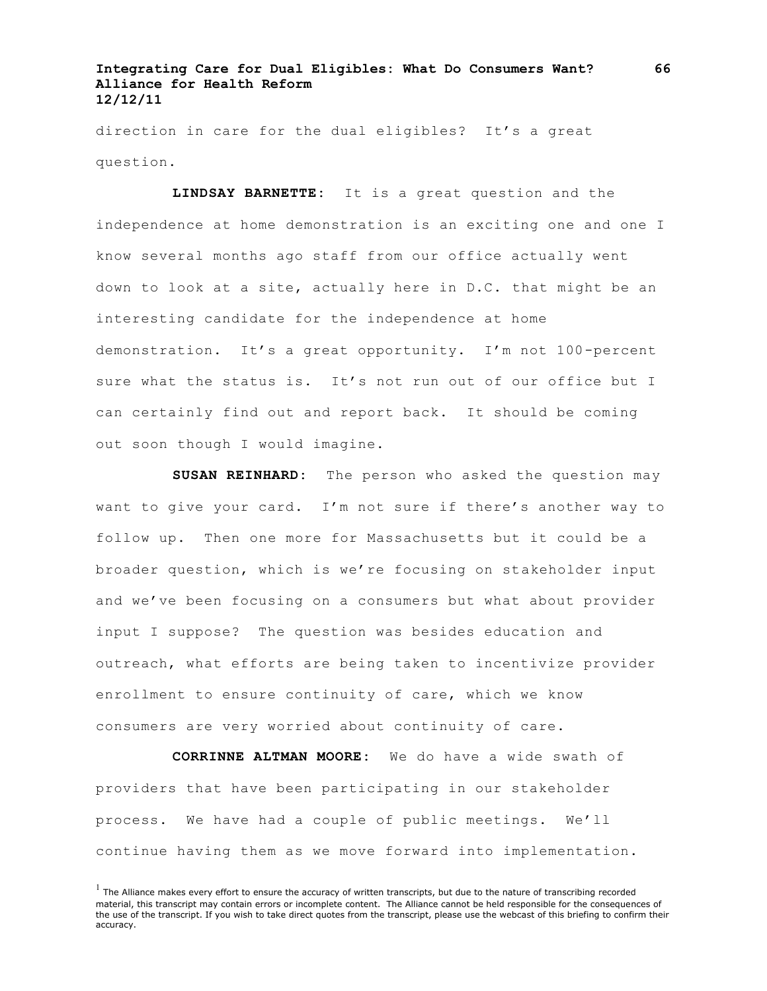direction in care for the dual eligibles? It's a great question.

**LINDSAY BARNETTE:** It is a great question and the independence at home demonstration is an exciting one and one I know several months ago staff from our office actually went down to look at a site, actually here in D.C. that might be an interesting candidate for the independence at home demonstration. It's a great opportunity. I'm not 100-percent sure what the status is. It's not run out of our office but I can certainly find out and report back. It should be coming out soon though I would imagine.

**SUSAN REINHARD:** The person who asked the question may want to give your card. I'm not sure if there's another way to follow up. Then one more for Massachusetts but it could be a broader question, which is we're focusing on stakeholder input and we've been focusing on a consumers but what about provider input I suppose? The question was besides education and outreach, what efforts are being taken to incentivize provider enrollment to ensure continuity of care, which we know consumers are very worried about continuity of care.

**CORRINNE ALTMAN MOORE:** We do have a wide swath of providers that have been participating in our stakeholder process. We have had a couple of public meetings. We'll continue having them as we move forward into implementation.

 $<sup>1</sup>$  The Alliance makes every effort to ensure the accuracy of written transcripts, but due to the nature of transcribing recorded</sup> material, this transcript may contain errors or incomplete content. The Alliance cannot be held responsible for the consequences of the use of the transcript. If you wish to take direct quotes from the transcript, please use the webcast of this briefing to confirm their accuracy.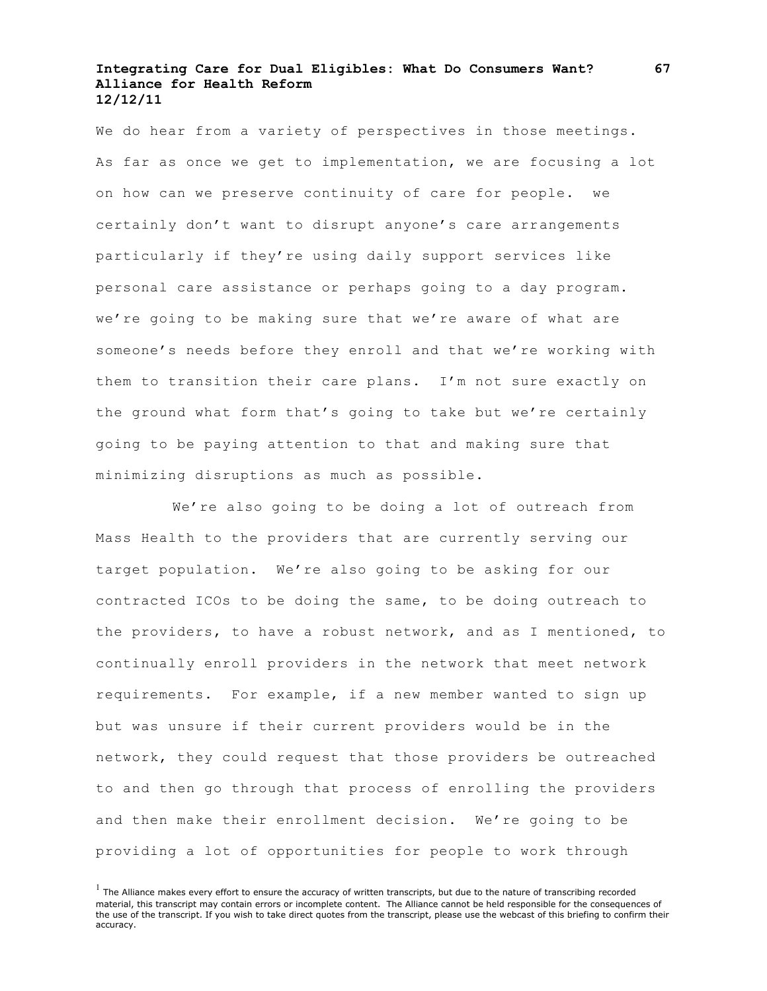We do hear from a variety of perspectives in those meetings. As far as once we get to implementation, we are focusing a lot on how can we preserve continuity of care for people. we certainly don't want to disrupt anyone's care arrangements particularly if they're using daily support services like personal care assistance or perhaps going to a day program. we're going to be making sure that we're aware of what are someone's needs before they enroll and that we're working with them to transition their care plans. I'm not sure exactly on the ground what form that's going to take but we're certainly going to be paying attention to that and making sure that minimizing disruptions as much as possible.

We're also going to be doing a lot of outreach from Mass Health to the providers that are currently serving our target population. We're also going to be asking for our contracted ICOs to be doing the same, to be doing outreach to the providers, to have a robust network, and as I mentioned, to continually enroll providers in the network that meet network requirements. For example, if a new member wanted to sign up but was unsure if their current providers would be in the network, they could request that those providers be outreached to and then go through that process of enrolling the providers and then make their enrollment decision. We're going to be providing a lot of opportunities for people to work through

 $<sup>1</sup>$  The Alliance makes every effort to ensure the accuracy of written transcripts, but due to the nature of transcribing recorded</sup> material, this transcript may contain errors or incomplete content. The Alliance cannot be held responsible for the consequences of the use of the transcript. If you wish to take direct quotes from the transcript, please use the webcast of this briefing to confirm their accuracy.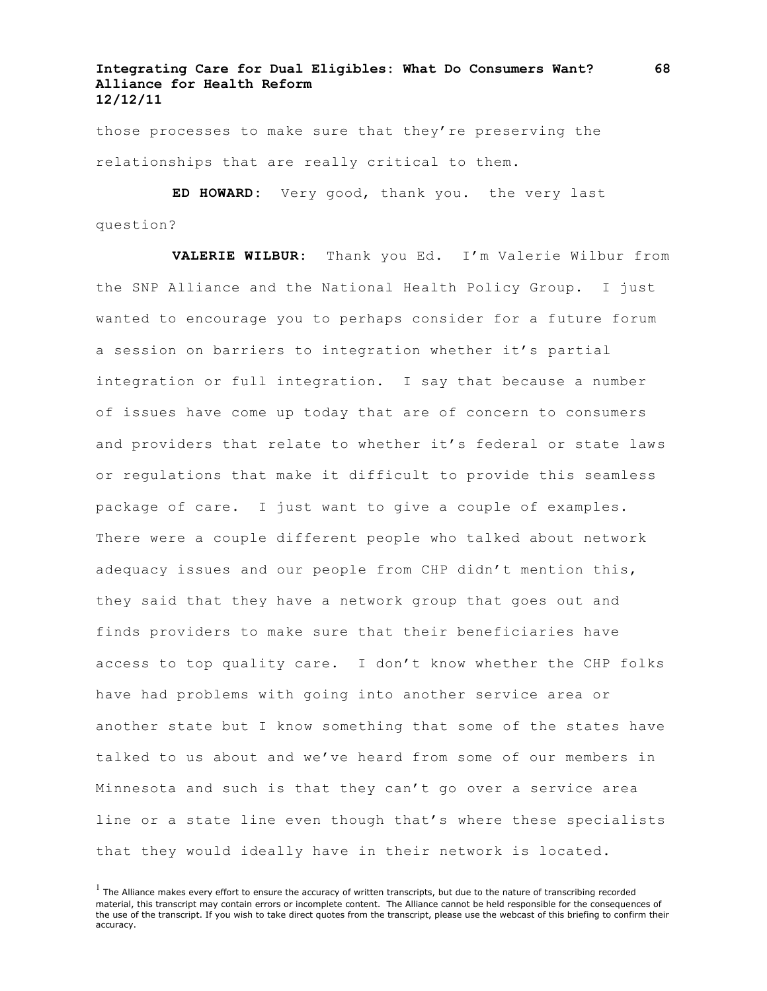those processes to make sure that they're preserving the relationships that are really critical to them.

**ED HOWARD:** Very good, thank you. the very last question?

**VALERIE WILBUR:** Thank you Ed. I'm Valerie Wilbur from the SNP Alliance and the National Health Policy Group. I just wanted to encourage you to perhaps consider for a future forum a session on barriers to integration whether it's partial integration or full integration. I say that because a number of issues have come up today that are of concern to consumers and providers that relate to whether it's federal or state laws or regulations that make it difficult to provide this seamless package of care. I just want to give a couple of examples. There were a couple different people who talked about network adequacy issues and our people from CHP didn't mention this, they said that they have a network group that goes out and finds providers to make sure that their beneficiaries have access to top quality care. I don't know whether the CHP folks have had problems with going into another service area or another state but I know something that some of the states have talked to us about and we've heard from some of our members in Minnesota and such is that they can't go over a service area line or a state line even though that's where these specialists that they would ideally have in their network is located.

 $<sup>1</sup>$  The Alliance makes every effort to ensure the accuracy of written transcripts, but due to the nature of transcribing recorded</sup> material, this transcript may contain errors or incomplete content. The Alliance cannot be held responsible for the consequences of the use of the transcript. If you wish to take direct quotes from the transcript, please use the webcast of this briefing to confirm their accuracy.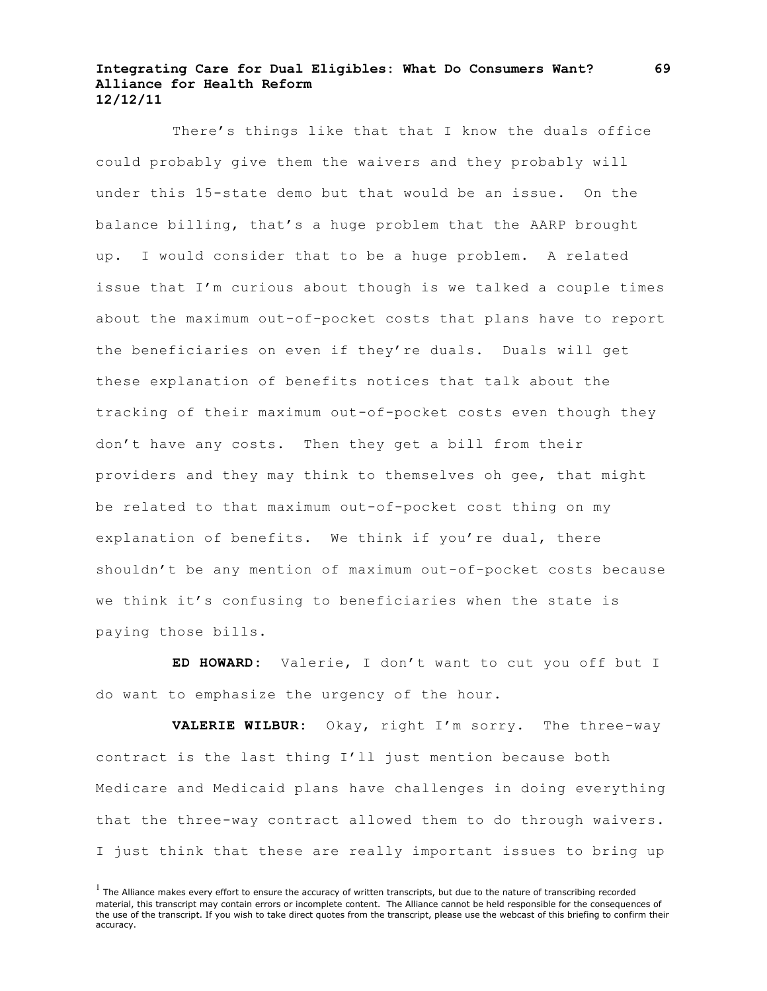There's things like that that I know the duals office could probably give them the waivers and they probably will under this 15-state demo but that would be an issue. On the balance billing, that's a huge problem that the AARP brought up. I would consider that to be a huge problem. A related issue that I'm curious about though is we talked a couple times about the maximum out-of-pocket costs that plans have to report the beneficiaries on even if they're duals. Duals will get these explanation of benefits notices that talk about the tracking of their maximum out-of-pocket costs even though they don't have any costs. Then they get a bill from their providers and they may think to themselves oh gee, that might be related to that maximum out-of-pocket cost thing on my explanation of benefits. We think if you're dual, there shouldn't be any mention of maximum out-of-pocket costs because we think it's confusing to beneficiaries when the state is paying those bills.

**ED HOWARD:** Valerie, I don't want to cut you off but I do want to emphasize the urgency of the hour.

**VALERIE WILBUR:** Okay, right I'm sorry. The three-way contract is the last thing I'll just mention because both Medicare and Medicaid plans have challenges in doing everything that the three-way contract allowed them to do through waivers. I just think that these are really important issues to bring up

 $<sup>1</sup>$  The Alliance makes every effort to ensure the accuracy of written transcripts, but due to the nature of transcribing recorded</sup> material, this transcript may contain errors or incomplete content. The Alliance cannot be held responsible for the consequences of the use of the transcript. If you wish to take direct quotes from the transcript, please use the webcast of this briefing to confirm their accuracy.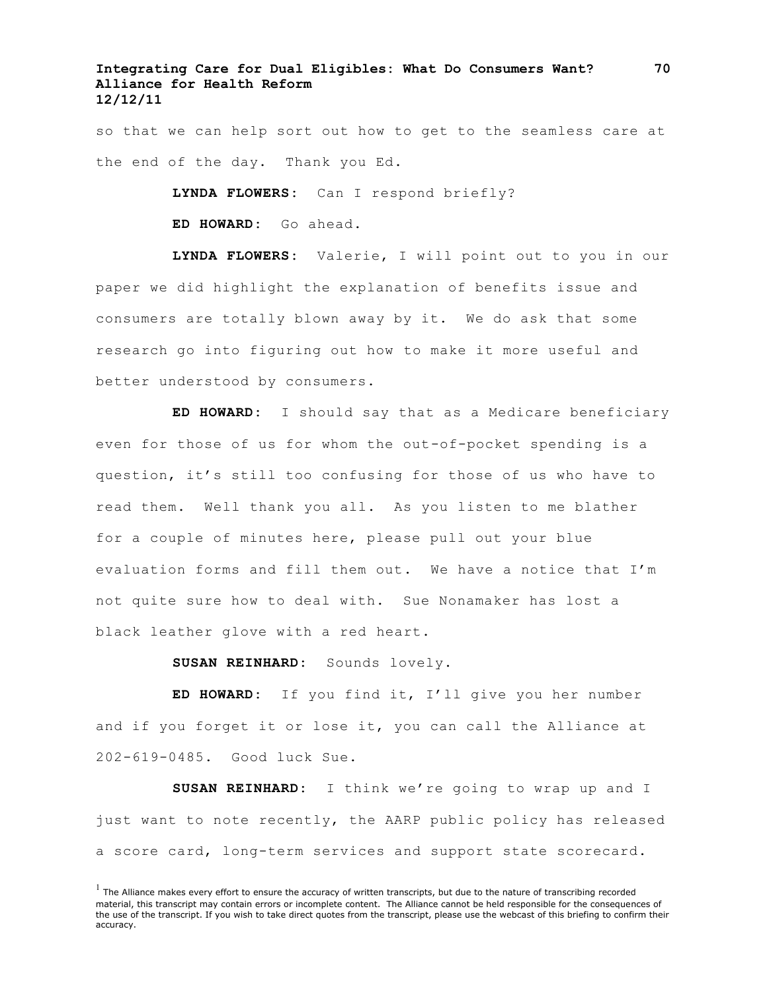so that we can help sort out how to get to the seamless care at the end of the day. Thank you Ed.

**LYNDA FLOWERS:** Can I respond briefly?

**ED HOWARD:** Go ahead.

**LYNDA FLOWERS:** Valerie, I will point out to you in our paper we did highlight the explanation of benefits issue and consumers are totally blown away by it. We do ask that some research go into figuring out how to make it more useful and better understood by consumers.

**ED HOWARD:** I should say that as a Medicare beneficiary even for those of us for whom the out-of-pocket spending is a question, it's still too confusing for those of us who have to read them. Well thank you all. As you listen to me blather for a couple of minutes here, please pull out your blue evaluation forms and fill them out. We have a notice that I'm not quite sure how to deal with. Sue Nonamaker has lost a black leather glove with a red heart.

**SUSAN REINHARD:** Sounds lovely.

**ED HOWARD:** If you find it, I'll give you her number and if you forget it or lose it, you can call the Alliance at 202-619-0485. Good luck Sue.

**SUSAN REINHARD:** I think we're going to wrap up and I just want to note recently, the AARP public policy has released a score card, long-term services and support state scorecard.

 $<sup>1</sup>$  The Alliance makes every effort to ensure the accuracy of written transcripts, but due to the nature of transcribing recorded</sup> material, this transcript may contain errors or incomplete content. The Alliance cannot be held responsible for the consequences of the use of the transcript. If you wish to take direct quotes from the transcript, please use the webcast of this briefing to confirm their accuracy.